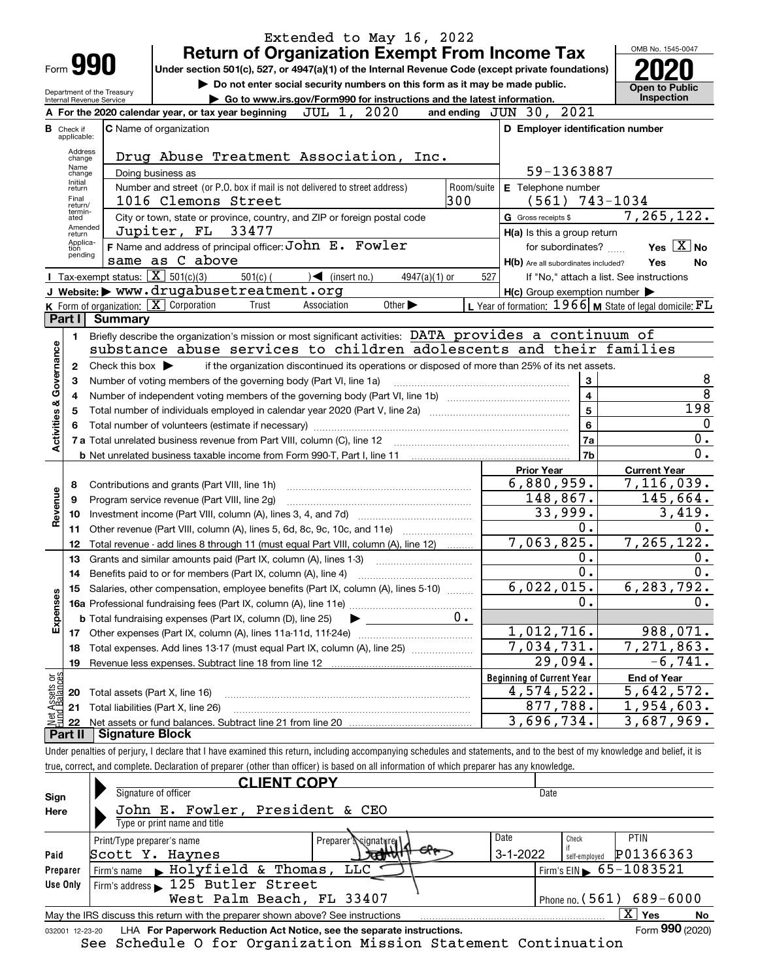| Extended to May 16, 2022                                                                                                                                                                                          |                  |                                          |  |  |  |  |  |  |  |  |  |
|-------------------------------------------------------------------------------------------------------------------------------------------------------------------------------------------------------------------|------------------|------------------------------------------|--|--|--|--|--|--|--|--|--|
| <b>Return of Organization Exempt From Income Tax</b>                                                                                                                                                              |                  | OMB No. 1545-0047                        |  |  |  |  |  |  |  |  |  |
| <b>Form 990</b><br>Under section 501(c), 527, or 4947(a)(1) of the Internal Revenue Code (except private foundations)                                                                                             |                  |                                          |  |  |  |  |  |  |  |  |  |
| Do not enter social security numbers on this form as it may be made public.<br><b>Open to Public</b><br>Department of the Treasury<br>Inspection                                                                  |                  |                                          |  |  |  |  |  |  |  |  |  |
| Go to www.irs.gov/Form990 for instructions and the latest information.<br><b>Internal Revenue Service</b><br>JUL 1, 2020<br>and ending $JUN$ $30$ , $2021$<br>A For the 2020 calendar year, or tax year beginning |                  |                                          |  |  |  |  |  |  |  |  |  |
| D Employer identification number<br><b>C</b> Name of organization<br><b>B</b> Check if                                                                                                                            |                  |                                          |  |  |  |  |  |  |  |  |  |
| applicable:                                                                                                                                                                                                       |                  |                                          |  |  |  |  |  |  |  |  |  |
| Address<br>Drug Abuse Treatment Association, Inc.<br>change                                                                                                                                                       |                  |                                          |  |  |  |  |  |  |  |  |  |
| Name<br>59-1363887<br>Doing business as<br>change                                                                                                                                                                 |                  |                                          |  |  |  |  |  |  |  |  |  |
| Initial<br>Number and street (or P.O. box if mail is not delivered to street address)<br>Room/suite<br>E Telephone number<br>return                                                                               |                  |                                          |  |  |  |  |  |  |  |  |  |
| Final<br>300<br>$(561)$ 743-1034<br>1016 Clemons Street<br>return/<br>termin-                                                                                                                                     |                  |                                          |  |  |  |  |  |  |  |  |  |
| City or town, state or province, country, and ZIP or foreign postal code<br>G Gross receipts \$<br>ated<br>Amended<br>Jupiter, FL 33477                                                                           |                  | 7,265,122.                               |  |  |  |  |  |  |  |  |  |
| H(a) Is this a group return<br>return<br>Applica-<br>F Name and address of principal officer: John E. Fowler<br>for subordinates?                                                                                 |                  | Yes $ \overline{X} $<br><b>No</b>        |  |  |  |  |  |  |  |  |  |
| tion<br>pending<br>same as C above<br>H(b) Are all subordinates included?                                                                                                                                         |                  | Yes<br>No                                |  |  |  |  |  |  |  |  |  |
| <b>I</b> Tax-exempt status: $\overline{X}$ 501(c)(3)<br>$\sqrt{\phantom{a}}$ (insert no.)<br>$501(c)$ (<br>4947(a)(1) or<br>527                                                                                   |                  | If "No," attach a list. See instructions |  |  |  |  |  |  |  |  |  |
| J Website: > www.drugabusetreatment.org<br>$H(c)$ Group exemption number $\blacktriangleright$                                                                                                                    |                  |                                          |  |  |  |  |  |  |  |  |  |
| K Form of organization: $\boxed{\mathbf{X}}$ Corporation<br>L Year of formation: $1966$ M State of legal domicile: $FL$<br>Trust<br>Other $\blacktriangleright$<br>Association                                    |                  |                                          |  |  |  |  |  |  |  |  |  |
| Part I<br>Summary                                                                                                                                                                                                 |                  |                                          |  |  |  |  |  |  |  |  |  |
| Briefly describe the organization's mission or most significant activities: DATA provides a continuum of<br>1.                                                                                                    |                  |                                          |  |  |  |  |  |  |  |  |  |
| Governance<br>substance abuse services to children adolescents and their families                                                                                                                                 |                  |                                          |  |  |  |  |  |  |  |  |  |
| Check this box $\blacktriangleright$<br>if the organization discontinued its operations or disposed of more than 25% of its net assets.<br>$\mathbf{2}$<br>3                                                      | 3                | 8                                        |  |  |  |  |  |  |  |  |  |
| Number of voting members of the governing body (Part VI, line 1a)<br>4                                                                                                                                            | $\overline{4}$   | $\overline{8}$                           |  |  |  |  |  |  |  |  |  |
| 5                                                                                                                                                                                                                 | $\overline{5}$   | 198                                      |  |  |  |  |  |  |  |  |  |
| 6                                                                                                                                                                                                                 | 6                | $\mathbf{0}$                             |  |  |  |  |  |  |  |  |  |
| <b>Activities &amp;</b>                                                                                                                                                                                           | 7a               | 0.                                       |  |  |  |  |  |  |  |  |  |
|                                                                                                                                                                                                                   | 7b               | 0.                                       |  |  |  |  |  |  |  |  |  |
| <b>Prior Year</b>                                                                                                                                                                                                 |                  | <b>Current Year</b>                      |  |  |  |  |  |  |  |  |  |
| 6,880,959.<br>Contributions and grants (Part VIII, line 1h)<br>8<br>148,867.                                                                                                                                      |                  | 7,116,039.<br>145,664.                   |  |  |  |  |  |  |  |  |  |
| Revenue<br>9<br>Program service revenue (Part VIII, line 2g)<br>33,999.<br>10                                                                                                                                     |                  | 3,419.                                   |  |  |  |  |  |  |  |  |  |
| Other revenue (Part VIII, column (A), lines 5, 6d, 8c, 9c, 10c, and 11e)<br>11                                                                                                                                    | 0.               | 0.                                       |  |  |  |  |  |  |  |  |  |
| 7,063,825.<br>Total revenue - add lines 8 through 11 (must equal Part VIII, column (A), line 12)<br>12                                                                                                            |                  | 7,265,122.                               |  |  |  |  |  |  |  |  |  |
| Grants and similar amounts paid (Part IX, column (A), lines 1-3)<br>13                                                                                                                                            | 0.               | 0.                                       |  |  |  |  |  |  |  |  |  |
| Benefits paid to or for members (Part IX, column (A), line 4)<br>14                                                                                                                                               | $\overline{0}$ . | 0.                                       |  |  |  |  |  |  |  |  |  |
| 6,022,015.<br>Salaries, other compensation, employee benefits (Part IX, column (A), lines 5-10)<br>15                                                                                                             |                  | 6,283,792.                               |  |  |  |  |  |  |  |  |  |
|                                                                                                                                                                                                                   | $\mathbf 0$ .    | 0.                                       |  |  |  |  |  |  |  |  |  |
| Expenses<br>$0$ .<br><b>b</b> Total fundraising expenses (Part IX, column (D), line 25)<br>1,012,716.                                                                                                             |                  | 988,071.                                 |  |  |  |  |  |  |  |  |  |
| 7,034,731.<br>Total expenses. Add lines 13-17 (must equal Part IX, column (A), line 25) [                                                                                                                         |                  | 7,271,863.                               |  |  |  |  |  |  |  |  |  |
| 18<br>29,094.<br>19                                                                                                                                                                                               |                  | $-6, 741.$                               |  |  |  |  |  |  |  |  |  |
| <b>Beginning of Current Year</b>                                                                                                                                                                                  |                  | <b>End of Year</b>                       |  |  |  |  |  |  |  |  |  |
| Net Assets or<br>Eund Balances<br>4,574,522.<br>Total assets (Part X, line 16)<br>20                                                                                                                              |                  | 5,642,572.                               |  |  |  |  |  |  |  |  |  |
| 877,788.<br>Total liabilities (Part X, line 26)<br>21                                                                                                                                                             |                  | 1,954,603.                               |  |  |  |  |  |  |  |  |  |
| 3,696,734.<br>22                                                                                                                                                                                                  |                  | $\overline{3,687,969}$ .                 |  |  |  |  |  |  |  |  |  |
| Part II<br><b>Signature Block</b><br>Under penalties of perjury. I declare that I have examined this return, including accompanying schedules and statements, and to the best of my knowledge and belief, it is   |                  |                                          |  |  |  |  |  |  |  |  |  |

Under penalties of perjury, I declare that I have examined this return, including accompanying schedules and statements, and to the best of my knowledge and belief, it is true, correct, and complete. Declaration of preparer (other than officer) is based on all information of which preparer has any knowledge.

|                 | <b>CLIENT COPY</b>                                                              |                     |            |               |                                     |
|-----------------|---------------------------------------------------------------------------------|---------------------|------------|---------------|-------------------------------------|
| Sign            | Signature of officer                                                            |                     | Date       |               |                                     |
| Here            | John E. Fowler, President & CEO                                                 |                     |            |               |                                     |
|                 | Type or print name and title                                                    |                     |            |               |                                     |
|                 | Print/Type preparer's name                                                      | Preparer Ssignature | Date       | Check         | PTIN                                |
| Paid            | Scott Y. Haynes                                                                 |                     | $3-1-2022$ | self-employed | P01366363                           |
| Preparer        | Firm's name $\blacktriangleright$ Holyfield & Thomas, LLC                       |                     |            |               | $\frac{1}{2}$ Firm's EIN 65-1083521 |
| Use Only        | Firm's address 125 Butler Street                                                |                     |            |               |                                     |
|                 | West Palm Beach, FL 33407                                                       |                     |            |               | Phone no. $(561)$ 689-6000          |
|                 | May the IRS discuss this return with the preparer shown above? See instructions |                     |            |               | ΧI<br>∣ Yes<br>No                   |
| 032001 12-23-20 | LHA For Paperwork Reduction Act Notice, see the separate instructions.          |                     |            |               | Form 990 (2020)                     |
|                 | See Schedule O for Organization Mission Statement Continuation                  |                     |            |               |                                     |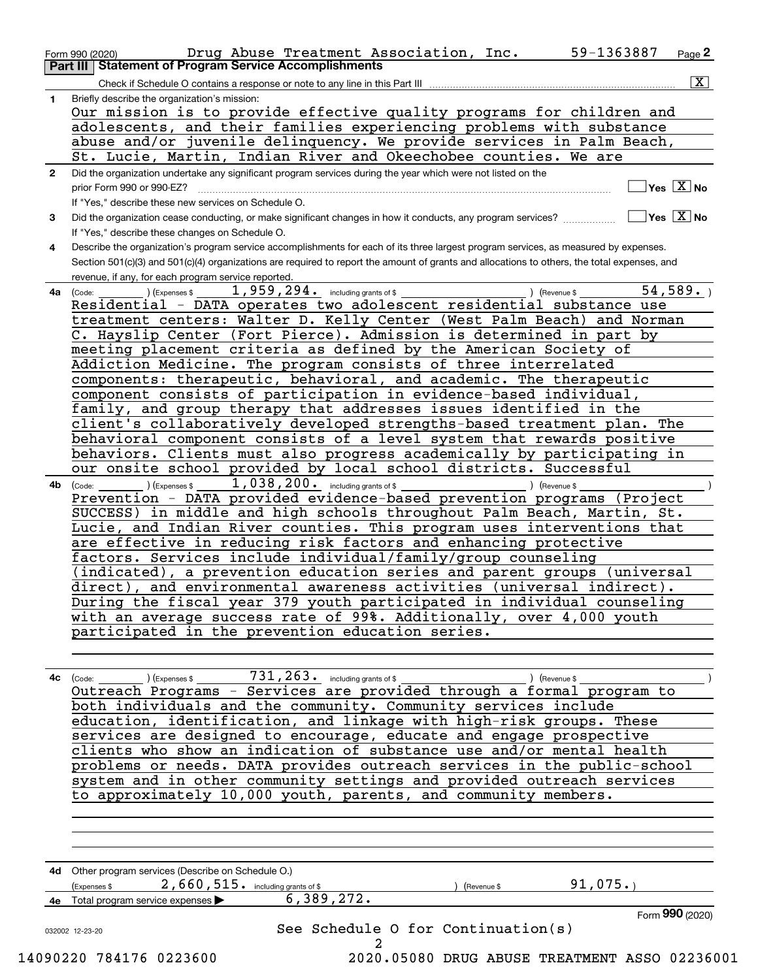| 1            | Check if Schedule O contains a response or note to any line in this Part III<br>Briefly describe the organization's mission:                                                                                                             |
|--------------|------------------------------------------------------------------------------------------------------------------------------------------------------------------------------------------------------------------------------------------|
|              | Our mission is to provide effective quality programs for children and                                                                                                                                                                    |
|              | adolescents, and their families experiencing problems with substance                                                                                                                                                                     |
|              | abuse and/or juvenile delinquency. We provide services in Palm Beach,                                                                                                                                                                    |
|              | St. Lucie, Martin, Indian River and Okeechobee counties. We are                                                                                                                                                                          |
| $\mathbf{2}$ | Did the organization undertake any significant program services during the year which were not listed on the                                                                                                                             |
|              | $]$ Yes $[\overline{\mathrm{X}}]$ No<br>prior Form 990 or 990-EZ?                                                                                                                                                                        |
|              | If "Yes." describe these new services on Schedule O.                                                                                                                                                                                     |
| 3            | $\boxed{\phantom{1}}$ Yes $\boxed{\mathrm{X}}$ No<br>Did the organization cease conducting, or make significant changes in how it conducts, any program services?                                                                        |
|              | If "Yes," describe these changes on Schedule O.                                                                                                                                                                                          |
| 4            | Describe the organization's program service accomplishments for each of its three largest program services, as measured by expenses.                                                                                                     |
|              | Section 501(c)(3) and 501(c)(4) organizations are required to report the amount of grants and allocations to others, the total expenses, and                                                                                             |
|              | revenue, if any, for each program service reported.<br>1,959,294. including grants of \$<br>54,589.                                                                                                                                      |
| 4a           | ) (Expenses \$<br>(Code:<br>) (Revenue \$<br>Residential - DATA operates two adolescent residential substance use                                                                                                                        |
|              | treatment centers: Walter D. Kelly Center (West Palm Beach) and Norman                                                                                                                                                                   |
|              | C. Hayslip Center (Fort Pierce). Admission is determined in part by                                                                                                                                                                      |
|              | meeting placement criteria as defined by the American Society of                                                                                                                                                                         |
|              | Addiction Medicine. The program consists of three interrelated                                                                                                                                                                           |
|              | components: therapeutic, behavioral, and academic. The therapeutic                                                                                                                                                                       |
|              | component consists of participation in evidence-based individual,                                                                                                                                                                        |
|              | family, and group therapy that addresses issues identified in the                                                                                                                                                                        |
|              | client's collaboratively developed strengths-based treatment plan. The                                                                                                                                                                   |
|              | behavioral component consists of a level system that rewards positive                                                                                                                                                                    |
|              | behaviors. Clients must also progress academically by participating in                                                                                                                                                                   |
|              | our onsite school provided by local school districts. Successful                                                                                                                                                                         |
| 4b           | 1,038,200. including grants of \$<br>(Expenses \$<br>(Code:<br>) (Revenue \$                                                                                                                                                             |
|              | Prevention - DATA provided evidence-based prevention programs (Project                                                                                                                                                                   |
|              | SUCCESS) in middle and high schools throughout Palm Beach, Martin, St.                                                                                                                                                                   |
|              | Lucie, and Indian River counties. This program uses interventions that                                                                                                                                                                   |
|              | are effective in reducing risk factors and enhancing protective                                                                                                                                                                          |
|              | factors. Services include individual/family/group counseling                                                                                                                                                                             |
|              | indicated), a prevention education series and parent groups (universal                                                                                                                                                                   |
|              | direct), and environmental awareness activities (universal indirect).                                                                                                                                                                    |
|              | During the fiscal year 379 youth participated in individual counseling<br>with an average success rate of 99%. Additionally, over 4,000 youth                                                                                            |
|              | participated in the prevention education series.                                                                                                                                                                                         |
|              |                                                                                                                                                                                                                                          |
|              |                                                                                                                                                                                                                                          |
|              |                                                                                                                                                                                                                                          |
|              | 4c (Code: 1) (Expenses \$2000) (Expenses \$2000) (Revenue \$2000 ms = 1) (Revenue \$2000 ms = 1) (Revenue \$2000 ms = 1) (Revenue \$2000 ms = 1) (Revenue \$2000 ms = 1) (Revenue \$2000 ms = 1) (Revenue \$2000 ms = 1) (Revenue \$2000 |
|              | both individuals and the community. Community services include                                                                                                                                                                           |
|              | education, identification, and linkage with high-risk groups. These                                                                                                                                                                      |
|              | services are designed to encourage, educate and engage prospective                                                                                                                                                                       |
|              | clients who show an indication of substance use and/or mental health                                                                                                                                                                     |
|              | problems or needs. DATA provides outreach services in the public-school                                                                                                                                                                  |
|              | system and in other community settings and provided outreach services                                                                                                                                                                    |
|              | to approximately 10,000 youth, parents, and community members.                                                                                                                                                                           |
|              |                                                                                                                                                                                                                                          |
|              |                                                                                                                                                                                                                                          |
|              |                                                                                                                                                                                                                                          |
|              |                                                                                                                                                                                                                                          |
|              | 4d Other program services (Describe on Schedule O.)                                                                                                                                                                                      |
|              | (Expenses \$2,660,515. including grants of \$<br>91,075.)<br>) (Revenue \$                                                                                                                                                               |
|              | 6,389,272.<br>4e Total program service expenses >                                                                                                                                                                                        |
|              | Form 990 (2020)                                                                                                                                                                                                                          |
|              | See Schedule 0 for Continuation(s)<br>032002 12-23-20                                                                                                                                                                                    |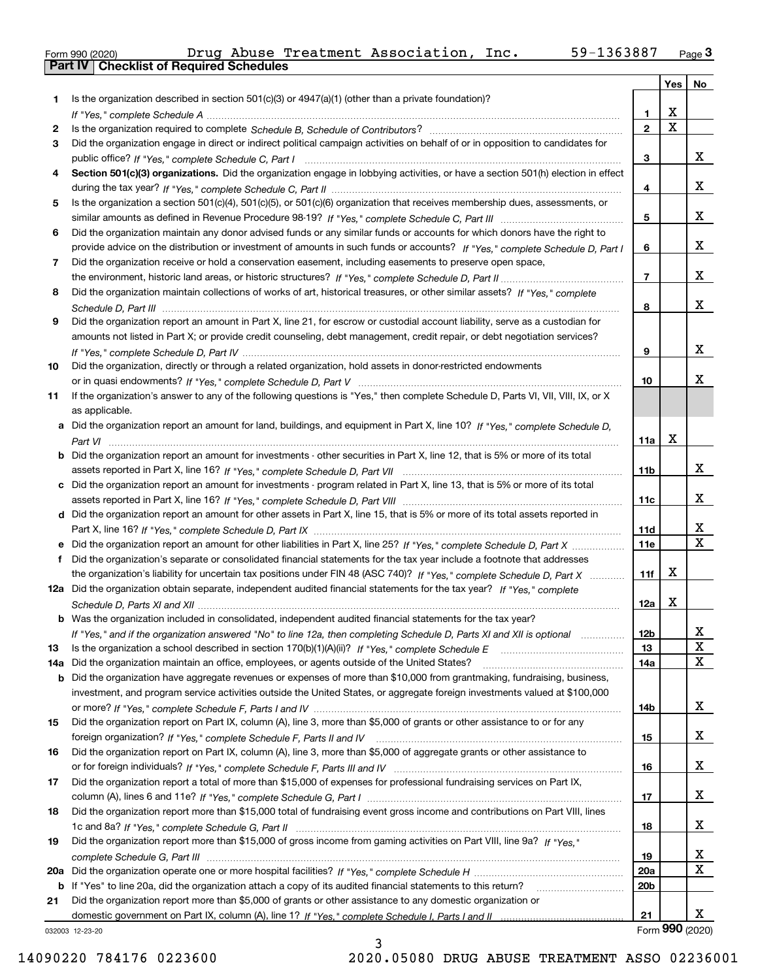|  | Form 990 (2020) |  |
|--|-----------------|--|

|     |                                                                                                                                  |                 | Yes   No    |                         |
|-----|----------------------------------------------------------------------------------------------------------------------------------|-----------------|-------------|-------------------------|
| 1   | Is the organization described in section $501(c)(3)$ or $4947(a)(1)$ (other than a private foundation)?                          |                 |             |                         |
|     |                                                                                                                                  | 1               | X           |                         |
| 2   |                                                                                                                                  | $\overline{2}$  | $\mathbf X$ |                         |
| 3   | Did the organization engage in direct or indirect political campaign activities on behalf of or in opposition to candidates for  |                 |             |                         |
|     |                                                                                                                                  | 3               |             | x                       |
| 4   | Section 501(c)(3) organizations. Did the organization engage in lobbying activities, or have a section 501(h) election in effect |                 |             |                         |
|     |                                                                                                                                  | 4               |             | x                       |
| 5   | Is the organization a section 501(c)(4), 501(c)(5), or 501(c)(6) organization that receives membership dues, assessments, or     |                 |             |                         |
|     |                                                                                                                                  | 5               |             | x                       |
| 6   | Did the organization maintain any donor advised funds or any similar funds or accounts for which donors have the right to        |                 |             |                         |
|     | provide advice on the distribution or investment of amounts in such funds or accounts? If "Yes," complete Schedule D, Part I     | 6               |             | x                       |
| 7   | Did the organization receive or hold a conservation easement, including easements to preserve open space,                        |                 |             | x                       |
|     |                                                                                                                                  | $\overline{7}$  |             |                         |
| 8   | Did the organization maintain collections of works of art, historical treasures, or other similar assets? If "Yes," complete     |                 |             | x                       |
|     |                                                                                                                                  | 8               |             |                         |
| 9   | Did the organization report an amount in Part X, line 21, for escrow or custodial account liability, serve as a custodian for    |                 |             |                         |
|     | amounts not listed in Part X; or provide credit counseling, debt management, credit repair, or debt negotiation services?        |                 |             | x                       |
|     |                                                                                                                                  | 9               |             |                         |
| 10  | Did the organization, directly or through a related organization, hold assets in donor-restricted endowments                     | 10              |             | x                       |
| 11  | If the organization's answer to any of the following questions is "Yes," then complete Schedule D, Parts VI, VII, VIII, IX, or X |                 |             |                         |
|     | as applicable.                                                                                                                   |                 |             |                         |
| а   | Did the organization report an amount for land, buildings, and equipment in Part X, line 10? If "Yes," complete Schedule D.      |                 |             |                         |
|     |                                                                                                                                  | 11a             | X           |                         |
|     | Did the organization report an amount for investments - other securities in Part X, line 12, that is 5% or more of its total     |                 |             |                         |
|     |                                                                                                                                  | 11 <sub>b</sub> |             | x                       |
| c   | Did the organization report an amount for investments - program related in Part X, line 13, that is 5% or more of its total      |                 |             |                         |
|     |                                                                                                                                  | 11c             |             | x                       |
| d   | Did the organization report an amount for other assets in Part X, line 15, that is 5% or more of its total assets reported in    |                 |             |                         |
|     |                                                                                                                                  | 11d             |             | x                       |
|     |                                                                                                                                  | <b>11e</b>      |             | $\overline{\mathbf{X}}$ |
| f   | Did the organization's separate or consolidated financial statements for the tax year include a footnote that addresses          |                 |             |                         |
|     | the organization's liability for uncertain tax positions under FIN 48 (ASC 740)? If "Yes," complete Schedule D, Part X           | 11f             | X           |                         |
|     | 12a Did the organization obtain separate, independent audited financial statements for the tax year? If "Yes," complete          |                 |             |                         |
|     |                                                                                                                                  | 12a             | X           |                         |
|     | <b>b</b> Was the organization included in consolidated, independent audited financial statements for the tax year?               |                 |             |                         |
|     | If "Yes," and if the organization answered "No" to line 12a, then completing Schedule D, Parts XI and XII is optional            | 12 <sub>b</sub> |             | 47                      |
| 13  | Is the organization a school described in section $170(b)(1)(A)(ii)?$ If "Yes," complete Schedule E                              | 13              |             | X                       |
| 14a | Did the organization maintain an office, employees, or agents outside of the United States?                                      | 14a             |             | X                       |
| b   | Did the organization have aggregate revenues or expenses of more than \$10,000 from grantmaking, fundraising, business,          |                 |             |                         |
|     | investment, and program service activities outside the United States, or aggregate foreign investments valued at \$100,000       |                 |             |                         |
|     |                                                                                                                                  | 14b             |             | x                       |
| 15  | Did the organization report on Part IX, column (A), line 3, more than \$5,000 of grants or other assistance to or for any        |                 |             |                         |
|     |                                                                                                                                  | 15              |             | x                       |
| 16  | Did the organization report on Part IX, column (A), line 3, more than \$5,000 of aggregate grants or other assistance to         |                 |             |                         |
|     |                                                                                                                                  | 16              |             | x                       |
| 17  | Did the organization report a total of more than \$15,000 of expenses for professional fundraising services on Part IX,          |                 |             |                         |
|     |                                                                                                                                  | 17              |             | x                       |
| 18  | Did the organization report more than \$15,000 total of fundraising event gross income and contributions on Part VIII, lines     |                 |             |                         |
|     |                                                                                                                                  | 18              |             | x                       |
| 19  | Did the organization report more than \$15,000 of gross income from gaming activities on Part VIII, line 9a? If "Yes."           |                 |             |                         |
|     |                                                                                                                                  | 19              |             | x                       |
| 20a |                                                                                                                                  | <b>20a</b>      |             | X                       |
|     | b If "Yes" to line 20a, did the organization attach a copy of its audited financial statements to this return?                   | 20 <sub>b</sub> |             |                         |
| 21  | Did the organization report more than \$5,000 of grants or other assistance to any domestic organization or                      |                 |             |                         |
|     |                                                                                                                                  | 21              |             | x<br>Form 990 (2020)    |
|     | 032003 12-23-20                                                                                                                  |                 |             |                         |

3

032003 12-23-20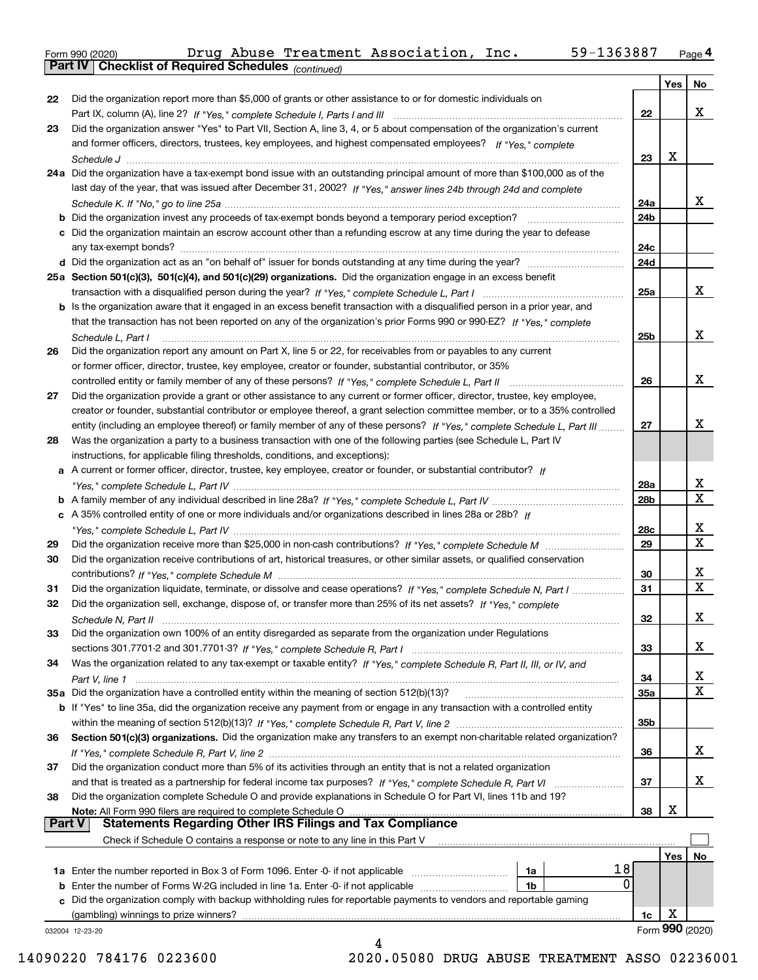| Form 990 (2020) |                                                       |  | Drug Abuse Treatment Association, Inc. | 59-1363887 | Page 4 |
|-----------------|-------------------------------------------------------|--|----------------------------------------|------------|--------|
|                 | Part IV   Checklist of Required Schedules (continued) |  |                                        |            |        |

*(continued)*

|               |                                                                                                                              |                 | Yes | No.             |
|---------------|------------------------------------------------------------------------------------------------------------------------------|-----------------|-----|-----------------|
| 22            | Did the organization report more than \$5,000 of grants or other assistance to or for domestic individuals on                |                 |     |                 |
|               |                                                                                                                              | 22              |     | х               |
| 23            | Did the organization answer "Yes" to Part VII, Section A, line 3, 4, or 5 about compensation of the organization's current   |                 |     |                 |
|               | and former officers, directors, trustees, key employees, and highest compensated employees? If "Yes." complete               |                 |     |                 |
|               |                                                                                                                              | 23              | x   |                 |
|               | 24a Did the organization have a tax-exempt bond issue with an outstanding principal amount of more than \$100,000 as of the  |                 |     |                 |
|               | last day of the year, that was issued after December 31, 2002? If "Yes," answer lines 24b through 24d and complete           |                 |     |                 |
|               |                                                                                                                              | 24a             |     | x               |
| b             |                                                                                                                              | 24b             |     |                 |
|               | c Did the organization maintain an escrow account other than a refunding escrow at any time during the year to defease       |                 |     |                 |
|               |                                                                                                                              | 24c             |     |                 |
|               |                                                                                                                              | 24d             |     |                 |
|               | 25a Section 501(c)(3), 501(c)(4), and 501(c)(29) organizations. Did the organization engage in an excess benefit             |                 |     |                 |
|               |                                                                                                                              | 25a             |     | x               |
|               | b Is the organization aware that it engaged in an excess benefit transaction with a disqualified person in a prior year, and |                 |     |                 |
|               | that the transaction has not been reported on any of the organization's prior Forms 990 or 990-EZ? If "Yes," complete        |                 |     |                 |
|               | Schedule L, Part I                                                                                                           | 25b             |     | x               |
| 26            | Did the organization report any amount on Part X, line 5 or 22, for receivables from or payables to any current              |                 |     |                 |
|               | or former officer, director, trustee, key employee, creator or founder, substantial contributor, or 35%                      |                 |     |                 |
|               |                                                                                                                              | 26              |     | x               |
| 27            | Did the organization provide a grant or other assistance to any current or former officer, director, trustee, key employee,  |                 |     |                 |
|               | creator or founder, substantial contributor or employee thereof, a grant selection committee member, or to a 35% controlled  |                 |     |                 |
|               | entity (including an employee thereof) or family member of any of these persons? If "Yes," complete Schedule L, Part III     | 27              |     | x               |
| 28            | Was the organization a party to a business transaction with one of the following parties (see Schedule L, Part IV            |                 |     |                 |
|               | instructions, for applicable filing thresholds, conditions, and exceptions):                                                 |                 |     |                 |
|               | a A current or former officer, director, trustee, key employee, creator or founder, or substantial contributor? If           |                 |     |                 |
|               |                                                                                                                              | 28a             |     | x               |
|               |                                                                                                                              | 28 <sub>b</sub> |     | x               |
|               | c A 35% controlled entity of one or more individuals and/or organizations described in lines 28a or 28b? If                  |                 |     |                 |
|               |                                                                                                                              | 28c             |     | х               |
| 29            |                                                                                                                              | 29              |     | x               |
| 30            | Did the organization receive contributions of art, historical treasures, or other similar assets, or qualified conservation  |                 |     |                 |
|               |                                                                                                                              | 30              |     | х<br>X          |
| 31            | Did the organization liquidate, terminate, or dissolve and cease operations? If "Yes," complete Schedule N, Part I           | 31              |     |                 |
| 32            | Did the organization sell, exchange, dispose of, or transfer more than 25% of its net assets? If "Yes," complete             |                 |     | х               |
|               |                                                                                                                              | 32              |     |                 |
| 33            | Did the organization own 100% of an entity disregarded as separate from the organization under Regulations                   |                 |     | x               |
|               |                                                                                                                              | 33              |     |                 |
| 34            | Was the organization related to any tax-exempt or taxable entity? If "Yes," complete Schedule R, Part II, III, or IV, and    | 34              |     | x               |
|               | 35a Did the organization have a controlled entity within the meaning of section 512(b)(13)?                                  | 35a             |     | x               |
|               | b If "Yes" to line 35a, did the organization receive any payment from or engage in any transaction with a controlled entity  |                 |     |                 |
|               |                                                                                                                              | 35b             |     |                 |
| 36            | Section 501(c)(3) organizations. Did the organization make any transfers to an exempt non-charitable related organization?   |                 |     |                 |
|               |                                                                                                                              | 36              |     | X.              |
| 37            | Did the organization conduct more than 5% of its activities through an entity that is not a related organization             |                 |     |                 |
|               | and that is treated as a partnership for federal income tax purposes? If "Yes," complete Schedule R, Part VI                 | 37              |     | X.              |
| 38            | Did the organization complete Schedule O and provide explanations in Schedule O for Part VI, lines 11b and 19?               |                 |     |                 |
|               | Note: All Form 990 filers are required to complete Schedule O                                                                | 38              | х   |                 |
| <b>Part V</b> | <b>Statements Regarding Other IRS Filings and Tax Compliance</b>                                                             |                 |     |                 |
|               | Check if Schedule O contains a response or note to any line in this Part V                                                   |                 |     |                 |
|               |                                                                                                                              |                 | Yes | No              |
|               | 18<br>1a Enter the number reported in Box 3 of Form 1096. Enter -0- if not applicable<br>1a                                  |                 |     |                 |
| b             | $\Omega$<br>Enter the number of Forms W-2G included in line 1a. Enter -0- if not applicable<br>1b                            |                 |     |                 |
|               | Did the organization comply with backup withholding rules for reportable payments to vendors and reportable gaming           |                 |     |                 |
|               |                                                                                                                              | 1c              | х   |                 |
|               | 032004 12-23-20                                                                                                              |                 |     | Form 990 (2020) |
|               | 4                                                                                                                            |                 |     |                 |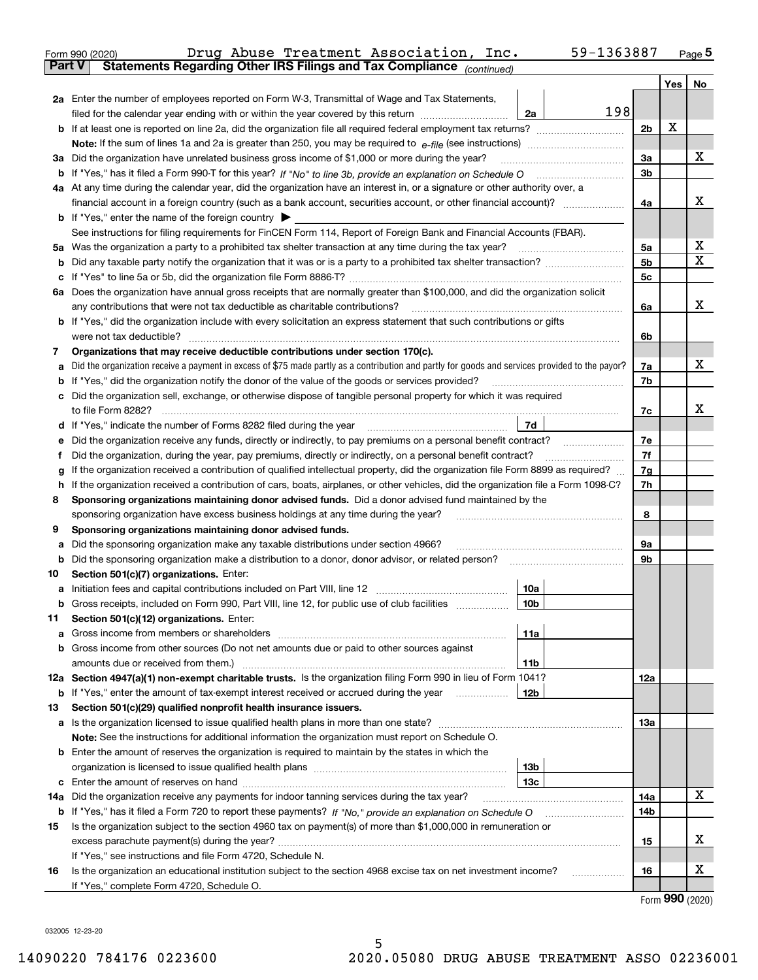|               | 59-1363887<br>Drug Abuse Treatment Association, Inc.<br>Form 990 (2020)                                                                                                                                                                          |                |     | Page $5$         |
|---------------|--------------------------------------------------------------------------------------------------------------------------------------------------------------------------------------------------------------------------------------------------|----------------|-----|------------------|
| <b>Part V</b> | Statements Regarding Other IRS Filings and Tax Compliance (continued)                                                                                                                                                                            |                |     |                  |
|               |                                                                                                                                                                                                                                                  |                | Yes | No               |
|               | 2a Enter the number of employees reported on Form W-3, Transmittal of Wage and Tax Statements,                                                                                                                                                   |                |     |                  |
|               | 198<br>filed for the calendar year ending with or within the year covered by this return<br>2a                                                                                                                                                   |                |     |                  |
|               |                                                                                                                                                                                                                                                  | 2b             | х   |                  |
|               |                                                                                                                                                                                                                                                  |                |     |                  |
|               | 3a Did the organization have unrelated business gross income of \$1,000 or more during the year?                                                                                                                                                 | 3a             |     | х                |
|               |                                                                                                                                                                                                                                                  | 3 <sub>b</sub> |     |                  |
|               | 4a At any time during the calendar year, did the organization have an interest in, or a signature or other authority over, a                                                                                                                     |                |     |                  |
|               | financial account in a foreign country (such as a bank account, securities account, or other financial account)?                                                                                                                                 | 4a             |     | х                |
|               | <b>b</b> If "Yes," enter the name of the foreign country $\triangleright$                                                                                                                                                                        |                |     |                  |
|               | See instructions for filing requirements for FinCEN Form 114, Report of Foreign Bank and Financial Accounts (FBAR).                                                                                                                              |                |     |                  |
|               |                                                                                                                                                                                                                                                  | 5a             |     | х                |
|               |                                                                                                                                                                                                                                                  | 5 <sub>b</sub> |     | х                |
|               |                                                                                                                                                                                                                                                  | 5c             |     |                  |
|               | 6a Does the organization have annual gross receipts that are normally greater than \$100,000, and did the organization solicit                                                                                                                   |                |     |                  |
|               |                                                                                                                                                                                                                                                  | 6a             |     | х                |
|               | <b>b</b> If "Yes," did the organization include with every solicitation an express statement that such contributions or gifts                                                                                                                    |                |     |                  |
|               |                                                                                                                                                                                                                                                  | 6b             |     |                  |
| 7             | Organizations that may receive deductible contributions under section 170(c).                                                                                                                                                                    |                |     |                  |
| a             | Did the organization receive a payment in excess of \$75 made partly as a contribution and partly for goods and services provided to the payor?                                                                                                  | 7a             |     | х                |
|               | <b>b</b> If "Yes," did the organization notify the donor of the value of the goods or services provided?                                                                                                                                         | 7b             |     |                  |
|               | c Did the organization sell, exchange, or otherwise dispose of tangible personal property for which it was required                                                                                                                              |                |     |                  |
|               |                                                                                                                                                                                                                                                  | 7c             |     | x                |
|               | 7d                                                                                                                                                                                                                                               |                |     |                  |
|               |                                                                                                                                                                                                                                                  | 7e             |     |                  |
|               | e Did the organization receive any funds, directly or indirectly, to pay premiums on a personal benefit contract?                                                                                                                                | 7f             |     |                  |
| f             | Did the organization, during the year, pay premiums, directly or indirectly, on a personal benefit contract?<br>If the organization received a contribution of qualified intellectual property, did the organization file Form 8899 as required? |                |     |                  |
| g             |                                                                                                                                                                                                                                                  | 7g             |     |                  |
| h             | If the organization received a contribution of cars, boats, airplanes, or other vehicles, did the organization file a Form 1098-C?                                                                                                               | 7h             |     |                  |
| 8             | Sponsoring organizations maintaining donor advised funds. Did a donor advised fund maintained by the                                                                                                                                             |                |     |                  |
|               | sponsoring organization have excess business holdings at any time during the year?                                                                                                                                                               | 8              |     |                  |
| 9             | Sponsoring organizations maintaining donor advised funds.                                                                                                                                                                                        |                |     |                  |
| а             | Did the sponsoring organization make any taxable distributions under section 4966?                                                                                                                                                               | 9а             |     |                  |
|               | b Did the sponsoring organization make a distribution to a donor, donor advisor, or related person?                                                                                                                                              | 9b             |     |                  |
| 10            | Section 501(c)(7) organizations. Enter:                                                                                                                                                                                                          |                |     |                  |
|               | 10a                                                                                                                                                                                                                                              |                |     |                  |
|               | 10 <sub>b</sub><br>Gross receipts, included on Form 990, Part VIII, line 12, for public use of club facilities                                                                                                                                   |                |     |                  |
| 11            | Section 501(c)(12) organizations. Enter:                                                                                                                                                                                                         |                |     |                  |
|               | 11a                                                                                                                                                                                                                                              |                |     |                  |
|               | b Gross income from other sources (Do not net amounts due or paid to other sources against                                                                                                                                                       |                |     |                  |
|               | 11b                                                                                                                                                                                                                                              |                |     |                  |
|               | 12a Section 4947(a)(1) non-exempt charitable trusts. Is the organization filing Form 990 in lieu of Form 1041?                                                                                                                                   | 12a            |     |                  |
|               | 12b<br><b>b</b> If "Yes," enter the amount of tax-exempt interest received or accrued during the year                                                                                                                                            |                |     |                  |
| 13            | Section 501(c)(29) qualified nonprofit health insurance issuers.                                                                                                                                                                                 |                |     |                  |
|               | a Is the organization licensed to issue qualified health plans in more than one state?                                                                                                                                                           | 13a            |     |                  |
|               | Note: See the instructions for additional information the organization must report on Schedule O.                                                                                                                                                |                |     |                  |
|               | <b>b</b> Enter the amount of reserves the organization is required to maintain by the states in which the                                                                                                                                        |                |     |                  |
|               | 13b                                                                                                                                                                                                                                              |                |     |                  |
|               | 13с                                                                                                                                                                                                                                              |                |     |                  |
| 14a           | Did the organization receive any payments for indoor tanning services during the tax year?                                                                                                                                                       | 14a            |     | х                |
|               | <b>b</b> If "Yes," has it filed a Form 720 to report these payments? If "No," provide an explanation on Schedule O                                                                                                                               | 14b            |     |                  |
| 15            | Is the organization subject to the section 4960 tax on payment(s) of more than \$1,000,000 in remuneration or                                                                                                                                    |                |     |                  |
|               |                                                                                                                                                                                                                                                  | 15             |     | x                |
|               | If "Yes," see instructions and file Form 4720, Schedule N.                                                                                                                                                                                       |                |     |                  |
| 16            | Is the organization an educational institution subject to the section 4968 excise tax on net investment income?                                                                                                                                  | 16             |     | х                |
|               | If "Yes," complete Form 4720, Schedule O.                                                                                                                                                                                                        |                |     |                  |
|               |                                                                                                                                                                                                                                                  |                |     | Earm $990(2020)$ |

5

Form (2020) **990**

032005 12-23-20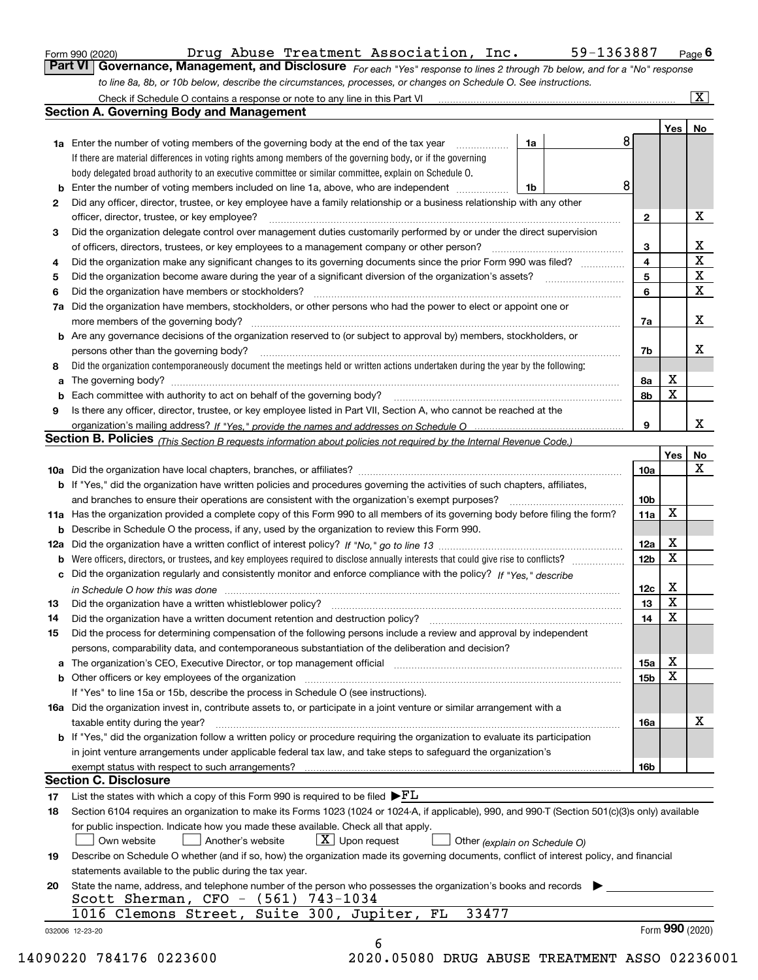| Form 990 (2020) |  |
|-----------------|--|
|-----------------|--|

Drug Abuse Treatment Association, Inc. 59-1363887

*For each "Yes" response to lines 2 through 7b below, and for a "No" response to line 8a, 8b, or 10b below, describe the circumstances, processes, or changes on Schedule O. See instructions.* Form 990 (2020) Page **6Part VI Governance, Management, and Disclosure** 

|              |                                                                                                                                                                            |    |  |   |                 | Yes   No        |              |  |  |
|--------------|----------------------------------------------------------------------------------------------------------------------------------------------------------------------------|----|--|---|-----------------|-----------------|--------------|--|--|
|              | <b>1a</b> Enter the number of voting members of the governing body at the end of the tax year <i>manumum</i>                                                               | 1a |  | 8 |                 |                 |              |  |  |
|              | If there are material differences in voting rights among members of the governing body, or if the governing                                                                |    |  |   |                 |                 |              |  |  |
|              | body delegated broad authority to an executive committee or similar committee, explain on Schedule O.                                                                      |    |  |   |                 |                 |              |  |  |
|              |                                                                                                                                                                            | 1b |  | 8 |                 |                 |              |  |  |
| $\mathbf{2}$ | Did any officer, director, trustee, or key employee have a family relationship or a business relationship with any other                                                   |    |  |   |                 |                 |              |  |  |
|              | officer, director, trustee, or key employee?                                                                                                                               |    |  |   | $\mathbf{2}$    |                 | X            |  |  |
| 3            | Did the organization delegate control over management duties customarily performed by or under the direct supervision                                                      |    |  |   |                 |                 |              |  |  |
|              |                                                                                                                                                                            |    |  |   | 3               |                 | X            |  |  |
| 4            | Did the organization make any significant changes to its governing documents since the prior Form 990 was filed?                                                           |    |  |   | 4               |                 | $\mathbf X$  |  |  |
| 5            |                                                                                                                                                                            |    |  |   | 5               |                 | $\mathbf X$  |  |  |
| 6            | Did the organization have members or stockholders?                                                                                                                         |    |  |   | 6               |                 | $\mathbf{x}$ |  |  |
|              | 7a Did the organization have members, stockholders, or other persons who had the power to elect or appoint one or                                                          |    |  |   |                 |                 |              |  |  |
|              |                                                                                                                                                                            |    |  |   | 7a              |                 | X            |  |  |
|              | <b>b</b> Are any governance decisions of the organization reserved to (or subject to approval by) members, stockholders, or                                                |    |  |   |                 |                 |              |  |  |
|              | persons other than the governing body?                                                                                                                                     |    |  |   | 7b              |                 | Х            |  |  |
| 8            | Did the organization contemporaneously document the meetings held or written actions undertaken during the year by the following:                                          |    |  |   |                 |                 |              |  |  |
| a            |                                                                                                                                                                            |    |  |   | 8a              | X               |              |  |  |
|              |                                                                                                                                                                            |    |  |   | 8b              | $\mathbf X$     |              |  |  |
| 9            | Is there any officer, director, trustee, or key employee listed in Part VII, Section A, who cannot be reached at the                                                       |    |  |   |                 |                 |              |  |  |
|              |                                                                                                                                                                            |    |  |   | 9               |                 | X            |  |  |
|              | Section B. Policies <sub>(This</sub> Section B requests information about policies not required by the Internal Revenue Code.)                                             |    |  |   |                 |                 |              |  |  |
|              |                                                                                                                                                                            |    |  |   |                 | Yes             | <b>No</b>    |  |  |
|              |                                                                                                                                                                            |    |  |   | <b>10a</b>      |                 | X            |  |  |
|              |                                                                                                                                                                            |    |  |   |                 |                 |              |  |  |
|              | <b>b</b> If "Yes," did the organization have written policies and procedures governing the activities of such chapters, affiliates,                                        |    |  |   |                 |                 |              |  |  |
|              |                                                                                                                                                                            |    |  |   | 10 <sub>b</sub> |                 |              |  |  |
|              | 11a Has the organization provided a complete copy of this Form 990 to all members of its governing body before filing the form?                                            |    |  |   | 11a             | X               |              |  |  |
|              | <b>b</b> Describe in Schedule O the process, if any, used by the organization to review this Form 990.                                                                     |    |  |   |                 |                 |              |  |  |
|              |                                                                                                                                                                            |    |  |   | 12a             | X               |              |  |  |
| b            |                                                                                                                                                                            |    |  |   | 12 <sub>b</sub> | X               |              |  |  |
|              | c Did the organization regularly and consistently monitor and enforce compliance with the policy? If "Yes," describe                                                       |    |  |   |                 |                 |              |  |  |
|              | in Schedule O how this was done measured and contained a state of the state of the state of the state of the s                                                             |    |  |   | 12c             | X               |              |  |  |
| 13           |                                                                                                                                                                            |    |  |   | 13              | $\mathbf X$     |              |  |  |
| 14           | Did the organization have a written document retention and destruction policy? manufactured and the organization have a written document retention and destruction policy? |    |  |   | 14              | $\mathbf X$     |              |  |  |
| 15           | Did the process for determining compensation of the following persons include a review and approval by independent                                                         |    |  |   |                 |                 |              |  |  |
|              | persons, comparability data, and contemporaneous substantiation of the deliberation and decision?                                                                          |    |  |   |                 |                 |              |  |  |
|              |                                                                                                                                                                            |    |  |   | 15a             | X               |              |  |  |
|              | <b>b</b> Other officers or key employees of the organization                                                                                                               |    |  |   | 15b             | X               |              |  |  |
|              | If "Yes" to line 15a or 15b, describe the process in Schedule O (see instructions).                                                                                        |    |  |   |                 |                 |              |  |  |
|              | 16a Did the organization invest in, contribute assets to, or participate in a joint venture or similar arrangement with a                                                  |    |  |   |                 |                 |              |  |  |
|              | taxable entity during the year?                                                                                                                                            |    |  |   | 16a             |                 | х            |  |  |
|              | b If "Yes," did the organization follow a written policy or procedure requiring the organization to evaluate its participation                                             |    |  |   |                 |                 |              |  |  |
|              | in joint venture arrangements under applicable federal tax law, and take steps to safeguard the organization's                                                             |    |  |   |                 |                 |              |  |  |
|              | exempt status with respect to such arrangements?                                                                                                                           |    |  |   | <b>16b</b>      |                 |              |  |  |
|              | <b>Section C. Disclosure</b>                                                                                                                                               |    |  |   |                 |                 |              |  |  |
| 17           | List the states with which a copy of this Form 990 is required to be filed $\blacktriangleright$ $\underline{FL}$                                                          |    |  |   |                 |                 |              |  |  |
| 18           | Section 6104 requires an organization to make its Forms 1023 (1024 or 1024-A, if applicable), 990, and 990-T (Section 501(c)(3)s only) available                           |    |  |   |                 |                 |              |  |  |
|              | for public inspection. Indicate how you made these available. Check all that apply.                                                                                        |    |  |   |                 |                 |              |  |  |
|              | $X$ Upon request<br>Another's website<br>Own website<br>Other (explain on Schedule O)                                                                                      |    |  |   |                 |                 |              |  |  |
| 19           | Describe on Schedule O whether (and if so, how) the organization made its governing documents, conflict of interest policy, and financial                                  |    |  |   |                 |                 |              |  |  |
|              | statements available to the public during the tax year.                                                                                                                    |    |  |   |                 |                 |              |  |  |
|              | State the name, address, and telephone number of the person who possesses the organization's books and records                                                             |    |  |   |                 |                 |              |  |  |
| 20           | Scott Sherman, CFO - (561) 743-1034                                                                                                                                        |    |  |   |                 |                 |              |  |  |
|              | 1016 Clemons Street, Suite 300, Jupiter, FL<br>33477                                                                                                                       |    |  |   |                 |                 |              |  |  |
|              |                                                                                                                                                                            |    |  |   |                 | Form 990 (2020) |              |  |  |
|              | 032006 12-23-20                                                                                                                                                            |    |  |   |                 |                 |              |  |  |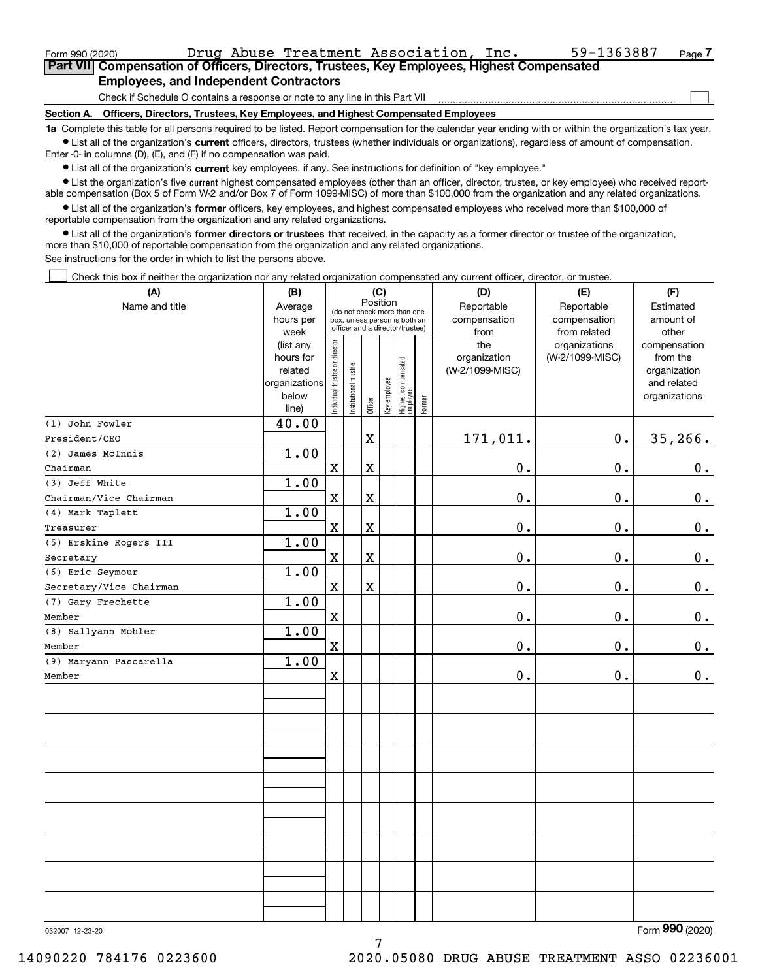| Form 990 (2020)                                                                                                                                            |  |  | Drug Abuse Treatment Association, Inc. |  | 59-1363887 | Page |  |  |  |  |
|------------------------------------------------------------------------------------------------------------------------------------------------------------|--|--|----------------------------------------|--|------------|------|--|--|--|--|
| Part VII Compensation of Officers, Directors, Trustees, Key Employees, Highest Compensated                                                                 |  |  |                                        |  |            |      |  |  |  |  |
| <b>Employees, and Independent Contractors</b>                                                                                                              |  |  |                                        |  |            |      |  |  |  |  |
| Check if Schedule O contains a response or note to any line in this Part VII                                                                               |  |  |                                        |  |            |      |  |  |  |  |
| Officers, Directors, Trustees, Key Employees, and Highest Compensated Employees<br>Section A.                                                              |  |  |                                        |  |            |      |  |  |  |  |
| to Complete this table for all persons required to be listed. Report compensation for the calendar year ending with or within the organization's tay year. |  |  |                                        |  |            |      |  |  |  |  |

**1a •** List all of the organization's current officers, directors, trustees (whether individuals or organizations), regardless of amount of compensation. ils table for all persons required to be listed. Report compensation for the calendar year ending with or within the orga

Enter -0- in columns (D), (E), and (F) if no compensation was paid.

 $\bullet$  List all of the organization's  $\,$ current key employees, if any. See instructions for definition of "key employee."

**•** List the organization's five current highest compensated employees (other than an officer, director, trustee, or key employee) who received reportable compensation (Box 5 of Form W-2 and/or Box 7 of Form 1099-MISC) of more than \$100,000 from the organization and any related organizations.

**•** List all of the organization's former officers, key employees, and highest compensated employees who received more than \$100,000 of reportable compensation from the organization and any related organizations.

**former directors or trustees**  ¥ List all of the organization's that received, in the capacity as a former director or trustee of the organization, more than \$10,000 of reportable compensation from the organization and any related organizations.

See instructions for the order in which to list the persons above.

Check this box if neither the organization nor any related organization compensated any current officer, director, or trustee.  $\mathcal{L}^{\text{max}}$ 

| (A)                                 | (B)                    | (C)                                     |                                                                  |                         |              |                                  |        | (D)             | (E)                              | (F)                      |  |  |  |
|-------------------------------------|------------------------|-----------------------------------------|------------------------------------------------------------------|-------------------------|--------------|----------------------------------|--------|-----------------|----------------------------------|--------------------------|--|--|--|
| Name and title                      | Average                | Position<br>(do not check more than one |                                                                  |                         |              |                                  |        | Reportable      | Reportable                       | Estimated                |  |  |  |
|                                     | hours per              |                                         | box, unless person is both an<br>officer and a director/trustee) |                         |              |                                  |        | compensation    | compensation                     | amount of                |  |  |  |
|                                     | week                   |                                         |                                                                  |                         |              |                                  |        | from<br>the     | from related                     | other                    |  |  |  |
|                                     | (list any<br>hours for |                                         |                                                                  |                         |              |                                  |        | organization    | organizations<br>(W-2/1099-MISC) | compensation<br>from the |  |  |  |
|                                     | related                |                                         |                                                                  |                         |              |                                  |        | (W-2/1099-MISC) |                                  | organization             |  |  |  |
|                                     | organizations          |                                         |                                                                  |                         |              |                                  |        |                 |                                  | and related              |  |  |  |
|                                     | below                  | ndividual trustee or director           | nstitutional trustee                                             |                         | Key employee |                                  |        |                 |                                  | organizations            |  |  |  |
|                                     | line)                  |                                         |                                                                  | Officer                 |              | Highest compensated<br> employee | Former |                 |                                  |                          |  |  |  |
| (1) John Fowler                     | 40.00                  |                                         |                                                                  |                         |              |                                  |        |                 |                                  |                          |  |  |  |
| President/CEO                       |                        |                                         |                                                                  | $\rm X$                 |              |                                  |        | 171,011.        | $0$ .                            | 35,266.                  |  |  |  |
| (2) James McInnis                   | 1.00                   |                                         |                                                                  |                         |              |                                  |        |                 |                                  |                          |  |  |  |
| Chairman                            |                        | $\overline{\textbf{X}}$                 |                                                                  | $\overline{\textbf{X}}$ |              |                                  |        | 0.              | 0.                               | $\mathbf 0$ .            |  |  |  |
| (3) Jeff White                      | 1.00                   |                                         |                                                                  |                         |              |                                  |        |                 |                                  |                          |  |  |  |
| Chairman/Vice Chairman              |                        | $\mathbf X$                             |                                                                  | $\mathbf X$             |              |                                  |        | 0.              | 0.                               | $\mathbf 0$ .            |  |  |  |
| (4) Mark Taplett                    | 1.00                   |                                         |                                                                  |                         |              |                                  |        |                 |                                  |                          |  |  |  |
| Treasurer                           |                        | $\overline{\textbf{X}}$                 |                                                                  | $\overline{\textbf{X}}$ |              |                                  |        | 0.              | 0.                               | $\mathbf 0$ .            |  |  |  |
| $\overline{(5)}$ Erskine Rogers III | 1.00                   |                                         |                                                                  |                         |              |                                  |        |                 |                                  |                          |  |  |  |
| Secretary                           |                        | $\mathbf X$                             |                                                                  | X                       |              |                                  |        | 0.              | 0.                               | $0_{.}$                  |  |  |  |
| $(6)$ Eric Seymour                  | 1.00                   |                                         |                                                                  |                         |              |                                  |        |                 |                                  |                          |  |  |  |
| Secretary/Vice Chairman             |                        | $\mathbf X$                             |                                                                  | X                       |              |                                  |        | 0.              | $\mathbf 0$ .                    | $\mathbf 0$ .            |  |  |  |
| (7) Gary Frechette                  | 1.00                   |                                         |                                                                  |                         |              |                                  |        |                 |                                  |                          |  |  |  |
| Member                              |                        | $\mathbf X$                             |                                                                  |                         |              |                                  |        | 0.              | 0.                               | $\mathbf 0$ .            |  |  |  |
| (8) Sallyann Mohler                 | 1.00                   |                                         |                                                                  |                         |              |                                  |        |                 |                                  |                          |  |  |  |
| Member                              |                        | $\overline{\textbf{X}}$                 |                                                                  |                         |              |                                  |        | 0.              | 0.                               | $\mathbf 0$ .            |  |  |  |
| (9) Maryann Pascarella              | 1.00                   |                                         |                                                                  |                         |              |                                  |        |                 |                                  |                          |  |  |  |
| Member                              |                        | $\mathbf X$                             |                                                                  |                         |              |                                  |        | 0.              | 0.                               | $0_{.}$                  |  |  |  |
|                                     |                        |                                         |                                                                  |                         |              |                                  |        |                 |                                  |                          |  |  |  |
|                                     |                        |                                         |                                                                  |                         |              |                                  |        |                 |                                  |                          |  |  |  |
|                                     |                        |                                         |                                                                  |                         |              |                                  |        |                 |                                  |                          |  |  |  |
|                                     |                        |                                         |                                                                  |                         |              |                                  |        |                 |                                  |                          |  |  |  |
|                                     |                        |                                         |                                                                  |                         |              |                                  |        |                 |                                  |                          |  |  |  |
|                                     |                        |                                         |                                                                  |                         |              |                                  |        |                 |                                  |                          |  |  |  |
|                                     |                        |                                         |                                                                  |                         |              |                                  |        |                 |                                  |                          |  |  |  |
|                                     |                        |                                         |                                                                  |                         |              |                                  |        |                 |                                  |                          |  |  |  |
|                                     |                        |                                         |                                                                  |                         |              |                                  |        |                 |                                  |                          |  |  |  |
|                                     |                        |                                         |                                                                  |                         |              |                                  |        |                 |                                  |                          |  |  |  |
|                                     |                        |                                         |                                                                  |                         |              |                                  |        |                 |                                  |                          |  |  |  |
|                                     |                        |                                         |                                                                  |                         |              |                                  |        |                 |                                  |                          |  |  |  |
|                                     |                        |                                         |                                                                  |                         |              |                                  |        |                 |                                  |                          |  |  |  |
|                                     |                        |                                         |                                                                  |                         |              |                                  |        |                 |                                  |                          |  |  |  |
|                                     |                        |                                         |                                                                  |                         |              |                                  |        |                 |                                  |                          |  |  |  |
|                                     |                        |                                         |                                                                  |                         |              |                                  |        |                 |                                  |                          |  |  |  |

7

032007 12-23-20

Form (2020) **990**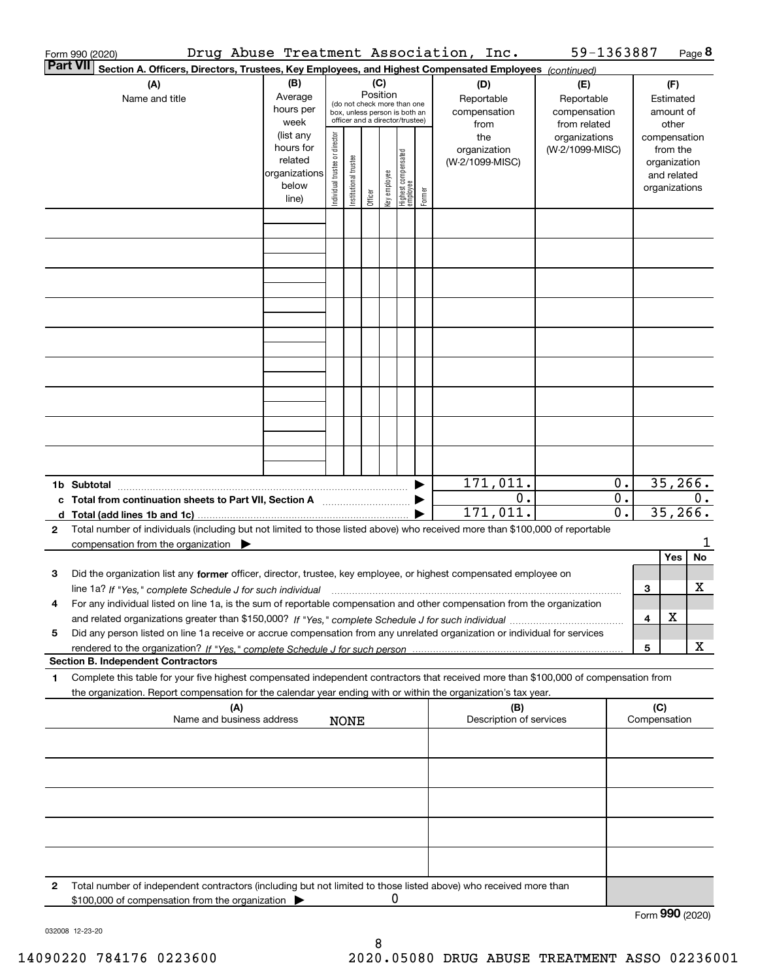|                 | Form 990 (2020)                                                                                                                                   | Drug Abuse Treatment Association, Inc. |                                |                       |          |              |                                                              |        |                         | 59-1363887      |                  |                 |                              | Page 8 |
|-----------------|---------------------------------------------------------------------------------------------------------------------------------------------------|----------------------------------------|--------------------------------|-----------------------|----------|--------------|--------------------------------------------------------------|--------|-------------------------|-----------------|------------------|-----------------|------------------------------|--------|
| <b>Part VII</b> | Section A. Officers, Directors, Trustees, Key Employees, and Highest Compensated Employees (continued)                                            |                                        |                                |                       |          |              |                                                              |        |                         |                 |                  |                 |                              |        |
|                 | (A)                                                                                                                                               | (B)                                    |                                |                       |          | (C)          |                                                              |        | (D)                     | (E)             |                  |                 | (F)                          |        |
|                 | Name and title                                                                                                                                    | Average                                |                                |                       | Position |              |                                                              |        | Reportable              | Reportable      |                  |                 | Estimated                    |        |
|                 |                                                                                                                                                   | hours per                              |                                |                       |          |              | (do not check more than one<br>box, unless person is both an |        | compensation            | compensation    |                  |                 | amount of                    |        |
|                 |                                                                                                                                                   | week                                   |                                |                       |          |              | officer and a director/trustee)                              |        | from                    | from related    |                  |                 | other                        |        |
|                 |                                                                                                                                                   | (list any                              |                                |                       |          |              |                                                              |        | the                     | organizations   |                  |                 | compensation                 |        |
|                 |                                                                                                                                                   | hours for                              |                                |                       |          |              |                                                              |        | organization            | (W-2/1099-MISC) |                  |                 | from the                     |        |
|                 |                                                                                                                                                   | related<br>organizations               |                                |                       |          |              |                                                              |        | (W-2/1099-MISC)         |                 |                  |                 | organization                 |        |
|                 |                                                                                                                                                   | below                                  |                                |                       |          |              |                                                              |        |                         |                 |                  |                 | and related<br>organizations |        |
|                 |                                                                                                                                                   | line)                                  | Individual trustee or director | Institutional trustee | Officer  | Key employee | Highest compensated<br> employee                             | Former |                         |                 |                  |                 |                              |        |
|                 |                                                                                                                                                   |                                        |                                |                       |          |              |                                                              |        |                         |                 |                  |                 |                              |        |
|                 |                                                                                                                                                   |                                        |                                |                       |          |              |                                                              |        |                         |                 |                  |                 |                              |        |
|                 |                                                                                                                                                   |                                        |                                |                       |          |              |                                                              |        |                         |                 |                  |                 |                              |        |
|                 |                                                                                                                                                   |                                        |                                |                       |          |              |                                                              |        |                         |                 |                  |                 |                              |        |
|                 |                                                                                                                                                   |                                        |                                |                       |          |              |                                                              |        |                         |                 |                  |                 |                              |        |
|                 |                                                                                                                                                   |                                        |                                |                       |          |              |                                                              |        |                         |                 |                  |                 |                              |        |
|                 |                                                                                                                                                   |                                        |                                |                       |          |              |                                                              |        |                         |                 |                  |                 |                              |        |
|                 |                                                                                                                                                   |                                        |                                |                       |          |              |                                                              |        |                         |                 |                  |                 |                              |        |
|                 |                                                                                                                                                   |                                        |                                |                       |          |              |                                                              |        |                         |                 |                  |                 |                              |        |
|                 |                                                                                                                                                   |                                        |                                |                       |          |              |                                                              |        |                         |                 |                  |                 |                              |        |
|                 |                                                                                                                                                   |                                        |                                |                       |          |              |                                                              |        |                         |                 |                  |                 |                              |        |
|                 |                                                                                                                                                   |                                        |                                |                       |          |              |                                                              |        |                         |                 |                  |                 |                              |        |
|                 |                                                                                                                                                   |                                        |                                |                       |          |              |                                                              |        |                         |                 |                  |                 |                              |        |
|                 |                                                                                                                                                   |                                        |                                |                       |          |              |                                                              |        |                         |                 |                  |                 |                              |        |
|                 |                                                                                                                                                   |                                        |                                |                       |          |              |                                                              |        |                         |                 |                  |                 |                              |        |
|                 |                                                                                                                                                   |                                        |                                |                       |          |              |                                                              |        |                         |                 |                  |                 |                              |        |
|                 |                                                                                                                                                   |                                        |                                |                       |          |              |                                                              |        |                         |                 |                  |                 |                              |        |
|                 |                                                                                                                                                   |                                        |                                |                       |          |              |                                                              |        |                         |                 |                  |                 |                              |        |
|                 |                                                                                                                                                   |                                        |                                |                       |          |              |                                                              |        |                         |                 |                  |                 |                              |        |
|                 |                                                                                                                                                   |                                        |                                |                       |          |              |                                                              |        | 171,011.                |                 | $0$ .            |                 | 35, 266.                     |        |
|                 | c Total from continuation sheets to Part VII, Section A                                                                                           |                                        |                                |                       |          |              |                                                              |        | 0.                      |                 | $\overline{0}$ . |                 |                              | О.     |
|                 |                                                                                                                                                   |                                        |                                |                       |          |              |                                                              |        | 171,011.                |                 | 0.               |                 | 35, 266.                     |        |
| $\mathbf{2}$    | Total number of individuals (including but not limited to those listed above) who received more than \$100,000 of reportable                      |                                        |                                |                       |          |              |                                                              |        |                         |                 |                  |                 |                              |        |
|                 | compensation from the organization $\blacktriangleright$                                                                                          |                                        |                                |                       |          |              |                                                              |        |                         |                 |                  |                 |                              | 1      |
|                 |                                                                                                                                                   |                                        |                                |                       |          |              |                                                              |        |                         |                 |                  |                 | Yes                          | No     |
| 3               | Did the organization list any former officer, director, trustee, key employee, or highest compensated employee on                                 |                                        |                                |                       |          |              |                                                              |        |                         |                 |                  |                 |                              |        |
|                 | line 1a? If "Yes," complete Schedule J for such individual material content content to the content of the complete schedule J for such individual |                                        |                                |                       |          |              |                                                              |        |                         |                 |                  | 3               |                              | x      |
|                 | For any individual listed on line 1a, is the sum of reportable compensation and other compensation from the organization                          |                                        |                                |                       |          |              |                                                              |        |                         |                 |                  |                 |                              |        |
|                 |                                                                                                                                                   |                                        |                                |                       |          |              |                                                              |        |                         |                 |                  | 4               | X                            |        |
| 5               | Did any person listed on line 1a receive or accrue compensation from any unrelated organization or individual for services                        |                                        |                                |                       |          |              |                                                              |        |                         |                 |                  |                 |                              |        |
|                 |                                                                                                                                                   |                                        |                                |                       |          |              |                                                              |        |                         |                 |                  | 5               |                              | х      |
|                 | <b>Section B. Independent Contractors</b>                                                                                                         |                                        |                                |                       |          |              |                                                              |        |                         |                 |                  |                 |                              |        |
| 1               | Complete this table for your five highest compensated independent contractors that received more than \$100,000 of compensation from              |                                        |                                |                       |          |              |                                                              |        |                         |                 |                  |                 |                              |        |
|                 | the organization. Report compensation for the calendar year ending with or within the organization's tax year.                                    |                                        |                                |                       |          |              |                                                              |        |                         |                 |                  |                 |                              |        |
|                 | (A)                                                                                                                                               |                                        |                                |                       |          |              |                                                              |        | (B)                     |                 |                  | (C)             |                              |        |
|                 | Name and business address                                                                                                                         |                                        |                                | <b>NONE</b>           |          |              |                                                              |        | Description of services |                 |                  | Compensation    |                              |        |
|                 |                                                                                                                                                   |                                        |                                |                       |          |              |                                                              |        |                         |                 |                  |                 |                              |        |
|                 |                                                                                                                                                   |                                        |                                |                       |          |              |                                                              |        |                         |                 |                  |                 |                              |        |
|                 |                                                                                                                                                   |                                        |                                |                       |          |              |                                                              |        |                         |                 |                  |                 |                              |        |
|                 |                                                                                                                                                   |                                        |                                |                       |          |              |                                                              |        |                         |                 |                  |                 |                              |        |
|                 |                                                                                                                                                   |                                        |                                |                       |          |              |                                                              |        |                         |                 |                  |                 |                              |        |
|                 |                                                                                                                                                   |                                        |                                |                       |          |              |                                                              |        |                         |                 |                  |                 |                              |        |
|                 |                                                                                                                                                   |                                        |                                |                       |          |              |                                                              |        |                         |                 |                  |                 |                              |        |
|                 |                                                                                                                                                   |                                        |                                |                       |          |              |                                                              |        |                         |                 |                  |                 |                              |        |
|                 |                                                                                                                                                   |                                        |                                |                       |          |              |                                                              |        |                         |                 |                  |                 |                              |        |
|                 |                                                                                                                                                   |                                        |                                |                       |          |              |                                                              |        |                         |                 |                  |                 |                              |        |
| 2               | Total number of independent contractors (including but not limited to those listed above) who received more than                                  |                                        |                                |                       |          |              |                                                              |        |                         |                 |                  |                 |                              |        |
|                 | \$100,000 of compensation from the organization                                                                                                   |                                        |                                |                       |          | 0            |                                                              |        |                         |                 |                  |                 |                              |        |
|                 |                                                                                                                                                   |                                        |                                |                       |          |              |                                                              |        |                         |                 |                  | Form 990 (2020) |                              |        |

032008 12-23-20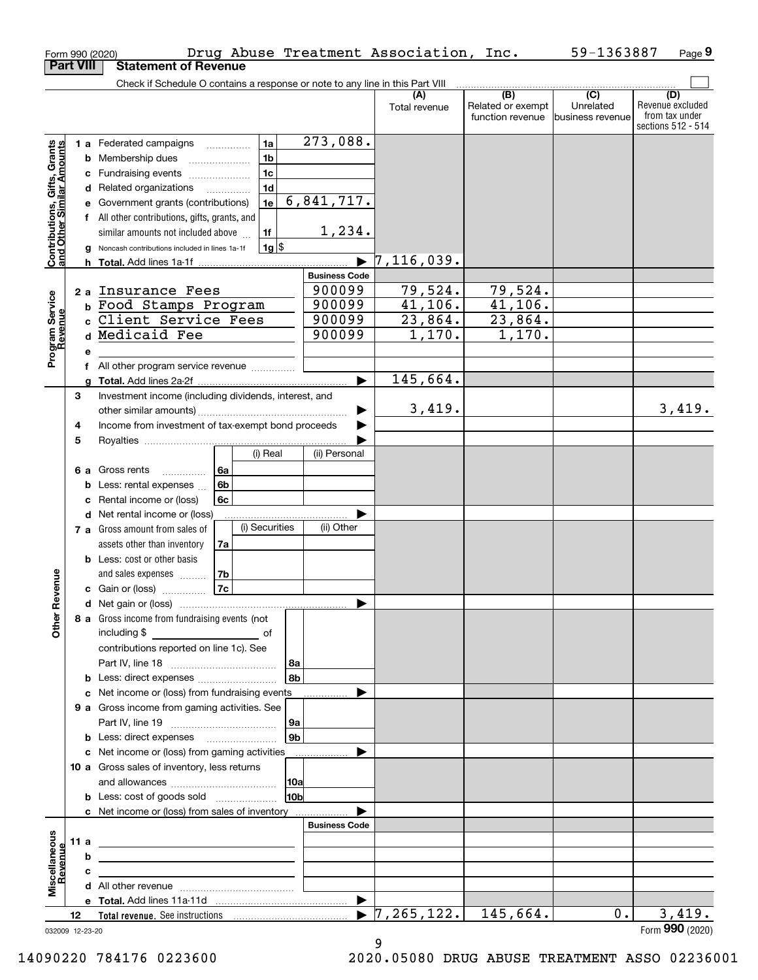|                                                           |                  | Drug Abuse Treatment Association, Inc.<br>Form 990 (2020)                                                                                                                                                                                 |                       |                                  |                                       | 59-1363887                     | Page 9                                                   |
|-----------------------------------------------------------|------------------|-------------------------------------------------------------------------------------------------------------------------------------------------------------------------------------------------------------------------------------------|-----------------------|----------------------------------|---------------------------------------|--------------------------------|----------------------------------------------------------|
|                                                           | <b>Part VIII</b> | <b>Statement of Revenue</b>                                                                                                                                                                                                               |                       |                                  |                                       |                                |                                                          |
|                                                           |                  | Check if Schedule O contains a response or note to any line in this Part VIII                                                                                                                                                             |                       | (A)                              | (B)                                   | $\overline{C}$                 | (D)                                                      |
|                                                           |                  |                                                                                                                                                                                                                                           |                       | Total revenue                    | Related or exempt<br>function revenue | Unrelated<br> business revenue | Revenue excluded<br>from tax under<br>sections 512 - 514 |
|                                                           |                  | 1a<br>1 a Federated campaigns                                                                                                                                                                                                             | 273,088.              |                                  |                                       |                                |                                                          |
| Contributions, Gifts, Grants<br>and Other Similar Amounts |                  | 1 <sub>b</sub><br><b>b</b> Membership dues                                                                                                                                                                                                |                       |                                  |                                       |                                |                                                          |
|                                                           |                  | 1 <sub>c</sub><br>c Fundraising events                                                                                                                                                                                                    |                       |                                  |                                       |                                |                                                          |
|                                                           |                  | 1d<br>d Related organizations                                                                                                                                                                                                             |                       |                                  |                                       |                                |                                                          |
|                                                           |                  | e Government grants (contributions)<br>1e                                                                                                                                                                                                 | 6,841,717.            |                                  |                                       |                                |                                                          |
|                                                           |                  | f All other contributions, gifts, grants, and                                                                                                                                                                                             |                       |                                  |                                       |                                |                                                          |
|                                                           |                  | similar amounts not included above<br>1f                                                                                                                                                                                                  | 1,234.                |                                  |                                       |                                |                                                          |
|                                                           |                  | $1g$ \$<br>g Noncash contributions included in lines 1a-1f                                                                                                                                                                                |                       |                                  |                                       |                                |                                                          |
|                                                           |                  |                                                                                                                                                                                                                                           |                       | 7, 116, 039.                     |                                       |                                |                                                          |
|                                                           |                  |                                                                                                                                                                                                                                           | <b>Business Code</b>  |                                  |                                       |                                |                                                          |
|                                                           |                  | 2a Insurance Fees                                                                                                                                                                                                                         | 900099                | 79,524.                          | 79,524.                               |                                |                                                          |
|                                                           |                  | b Food Stamps Program                                                                                                                                                                                                                     | 900099                | 41, 106.                         | 41, 106.                              |                                |                                                          |
|                                                           |                  | c Client Service Fees                                                                                                                                                                                                                     | 900099                | 23,864.                          | 23,864.                               |                                |                                                          |
|                                                           |                  | d Medicaid Fee                                                                                                                                                                                                                            | 900099                | 1,170.                           | $\overline{1,170}$ .                  |                                |                                                          |
| Program Service<br>Revenue                                |                  | е                                                                                                                                                                                                                                         |                       |                                  |                                       |                                |                                                          |
|                                                           |                  | All other program service revenue <i></i><br>f                                                                                                                                                                                            |                       |                                  |                                       |                                |                                                          |
|                                                           |                  | a                                                                                                                                                                                                                                         |                       | 145,664.                         |                                       |                                |                                                          |
|                                                           | З                | Investment income (including dividends, interest, and                                                                                                                                                                                     |                       |                                  |                                       |                                |                                                          |
|                                                           |                  |                                                                                                                                                                                                                                           |                       | 3,419.                           |                                       |                                | 3,419.                                                   |
|                                                           | 4                | Income from investment of tax-exempt bond proceeds                                                                                                                                                                                        |                       |                                  |                                       |                                |                                                          |
|                                                           | 5                |                                                                                                                                                                                                                                           |                       |                                  |                                       |                                |                                                          |
|                                                           |                  | (i) Real                                                                                                                                                                                                                                  | (ii) Personal         |                                  |                                       |                                |                                                          |
|                                                           |                  | <b>6 a</b> Gross rents<br>l 6a<br>.                                                                                                                                                                                                       |                       |                                  |                                       |                                |                                                          |
|                                                           |                  | 6b<br><b>b</b> Less: rental expenses $\ldots$                                                                                                                                                                                             |                       |                                  |                                       |                                |                                                          |
|                                                           |                  | c Rental income or (loss)<br>6с                                                                                                                                                                                                           |                       |                                  |                                       |                                |                                                          |
|                                                           |                  | d Net rental income or (loss)<br>(i) Securities                                                                                                                                                                                           | (ii) Other            |                                  |                                       |                                |                                                          |
|                                                           |                  | 7 a Gross amount from sales of                                                                                                                                                                                                            |                       |                                  |                                       |                                |                                                          |
|                                                           |                  | assets other than inventory<br>7a<br><b>b</b> Less: cost or other basis                                                                                                                                                                   |                       |                                  |                                       |                                |                                                          |
|                                                           |                  | 7b<br>and sales expenses                                                                                                                                                                                                                  |                       |                                  |                                       |                                |                                                          |
| evenue                                                    |                  | 7c<br>c Gain or (loss)                                                                                                                                                                                                                    |                       |                                  |                                       |                                |                                                          |
|                                                           |                  |                                                                                                                                                                                                                                           |                       |                                  |                                       |                                |                                                          |
| Other R                                                   |                  | 8 a Gross income from fundraising events (not<br>including \$                                                                                                                                                                             |                       |                                  |                                       |                                |                                                          |
|                                                           |                  | contributions reported on line 1c). See                                                                                                                                                                                                   |                       |                                  |                                       |                                |                                                          |
|                                                           |                  | 8a                                                                                                                                                                                                                                        |                       |                                  |                                       |                                |                                                          |
|                                                           |                  | 8b                                                                                                                                                                                                                                        |                       |                                  |                                       |                                |                                                          |
|                                                           |                  | c Net income or (loss) from fundraising events                                                                                                                                                                                            |                       |                                  |                                       |                                |                                                          |
|                                                           |                  | 9 a Gross income from gaming activities. See                                                                                                                                                                                              |                       |                                  |                                       |                                |                                                          |
|                                                           |                  | ∣9a                                                                                                                                                                                                                                       |                       |                                  |                                       |                                |                                                          |
|                                                           |                  | 9 <sub>b</sub><br><b>b</b> Less: direct expenses <b>manually</b>                                                                                                                                                                          |                       |                                  |                                       |                                |                                                          |
|                                                           |                  | c Net income or (loss) from gaming activities                                                                                                                                                                                             | .                     |                                  |                                       |                                |                                                          |
|                                                           |                  | 10 a Gross sales of inventory, less returns                                                                                                                                                                                               |                       |                                  |                                       |                                |                                                          |
|                                                           |                  | 10a                                                                                                                                                                                                                                       |                       |                                  |                                       |                                |                                                          |
|                                                           |                  | 10 <sub>b</sub>                                                                                                                                                                                                                           |                       |                                  |                                       |                                |                                                          |
|                                                           |                  | c Net income or (loss) from sales of inventory                                                                                                                                                                                            |                       |                                  |                                       |                                |                                                          |
|                                                           |                  |                                                                                                                                                                                                                                           | <b>Business Code</b>  |                                  |                                       |                                |                                                          |
|                                                           | 11 a             | <u> 2008 - John Stein, Amerikaansk politiker (</u>                                                                                                                                                                                        |                       |                                  |                                       |                                |                                                          |
|                                                           |                  | b<br><u>and the contract of the contract of the contract of the contract of the contract of the contract of the contract of the contract of the contract of the contract of the contract of the contract of the contract of the contr</u> |                       |                                  |                                       |                                |                                                          |
| Miscellaneous<br>Revenue                                  |                  | c<br>the contract of the contract of the contract of the contract of the contract of                                                                                                                                                      |                       |                                  |                                       |                                |                                                          |
|                                                           |                  |                                                                                                                                                                                                                                           |                       |                                  |                                       |                                |                                                          |
|                                                           |                  |                                                                                                                                                                                                                                           | $\blacktriangleright$ |                                  |                                       |                                |                                                          |
|                                                           | 12               |                                                                                                                                                                                                                                           |                       | $\blacktriangleright$ 7,265,122. | 145,664.                              | $0$ .                          | 3,419.                                                   |
|                                                           |                  | 032009 12-23-20                                                                                                                                                                                                                           |                       |                                  |                                       |                                | Form 990 (2020)                                          |

9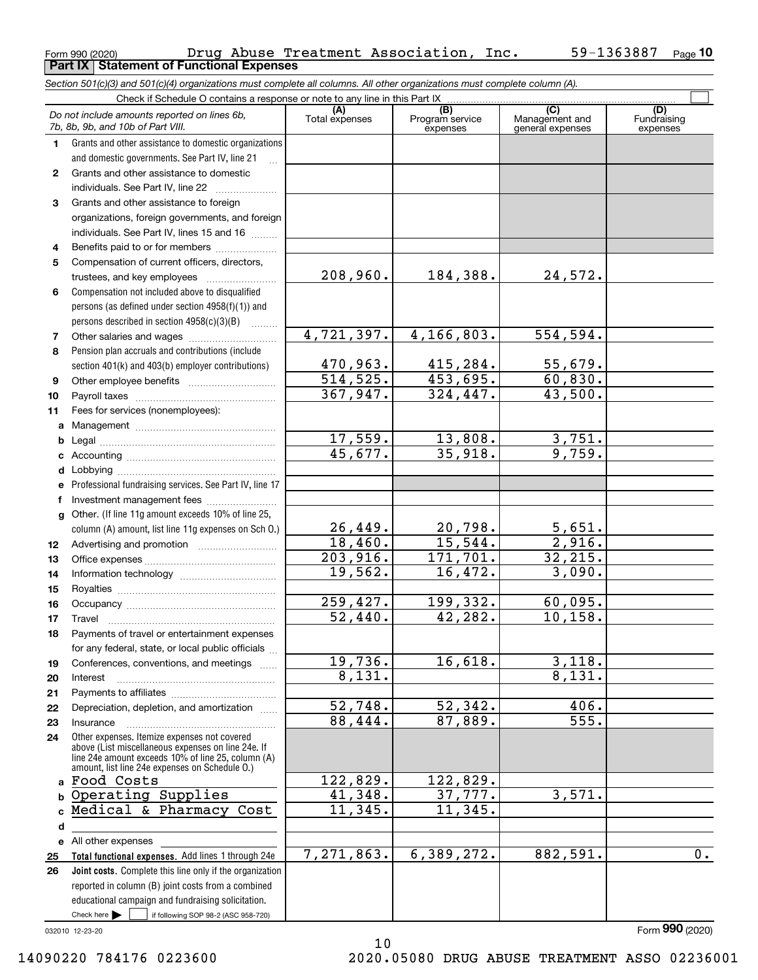|              | Form 990 (2020)<br><b>Part IX   Statement of Functional Expenses</b>                                                                                                                                       | Drug Abuse Treatment Association, |                        | $\texttt{inc.}$                | 59-1363887<br>Page 10   |
|--------------|------------------------------------------------------------------------------------------------------------------------------------------------------------------------------------------------------------|-----------------------------------|------------------------|--------------------------------|-------------------------|
|              | Section 501(c)(3) and 501(c)(4) organizations must complete all columns. All other organizations must complete column (A).                                                                                 |                                   |                        |                                |                         |
|              | Check if Schedule O contains a response or note to any line in this Part IX<br>Do not include amounts reported on lines 6b,                                                                                | (A)                               | (B)<br>Program service | (C)<br>Management and          | (D)                     |
|              | 7b, 8b, 9b, and 10b of Part VIII.                                                                                                                                                                          | Total expenses                    | expenses               | general expenses               | Fundraising<br>expenses |
| 1.           | Grants and other assistance to domestic organizations                                                                                                                                                      |                                   |                        |                                |                         |
|              | and domestic governments. See Part IV, line 21                                                                                                                                                             |                                   |                        |                                |                         |
| $\mathbf{2}$ | Grants and other assistance to domestic                                                                                                                                                                    |                                   |                        |                                |                         |
|              |                                                                                                                                                                                                            |                                   |                        |                                |                         |
| 3            | Grants and other assistance to foreign                                                                                                                                                                     |                                   |                        |                                |                         |
|              | organizations, foreign governments, and foreign                                                                                                                                                            |                                   |                        |                                |                         |
|              | individuals. See Part IV, lines 15 and 16                                                                                                                                                                  |                                   |                        |                                |                         |
| 4            | Benefits paid to or for members                                                                                                                                                                            |                                   |                        |                                |                         |
| 5            | Compensation of current officers, directors,                                                                                                                                                               |                                   |                        |                                |                         |
|              |                                                                                                                                                                                                            | 208,960.                          | 184,388.               | 24,572.                        |                         |
| 6            | Compensation not included above to disqualified                                                                                                                                                            |                                   |                        |                                |                         |
|              | persons (as defined under section 4958(f)(1)) and                                                                                                                                                          |                                   |                        |                                |                         |
|              | persons described in section 4958(c)(3)(B)                                                                                                                                                                 |                                   |                        |                                |                         |
| 7            | Other salaries and wages                                                                                                                                                                                   | 4,721,397.                        | 4,166,803.             | 554,594.                       |                         |
| 8            | Pension plan accruals and contributions (include                                                                                                                                                           |                                   |                        |                                |                         |
|              | section 401(k) and 403(b) employer contributions)                                                                                                                                                          | 470,963.                          | 415,284.               | 55,679.                        |                         |
| 9            |                                                                                                                                                                                                            | 514, 525.                         | 453,695.               | 60,830.                        |                         |
| 10           |                                                                                                                                                                                                            | 367,947.                          | 324,447.               | 43,500.                        |                         |
| 11           | Fees for services (nonemployees):                                                                                                                                                                          |                                   |                        |                                |                         |
|              |                                                                                                                                                                                                            |                                   |                        |                                |                         |
| b            |                                                                                                                                                                                                            | 17,559.                           | 13,808.                | 3,751.                         |                         |
|              |                                                                                                                                                                                                            | 45,677.                           | 35,918.                | 9,759.                         |                         |
|              |                                                                                                                                                                                                            |                                   |                        |                                |                         |
|              | e Professional fundraising services. See Part IV, line 17                                                                                                                                                  |                                   |                        |                                |                         |
| f            | Investment management fees                                                                                                                                                                                 |                                   |                        |                                |                         |
|              | g Other. (If line 11g amount exceeds 10% of line 25,                                                                                                                                                       |                                   |                        |                                |                         |
|              | column (A) amount, list line 11g expenses on Sch O.)                                                                                                                                                       | 26,449.                           | 20,798.                | 5,651.                         |                         |
| 12           |                                                                                                                                                                                                            | 18,460.                           | 15,544.                | 2,916.                         |                         |
| 13           |                                                                                                                                                                                                            | $\overline{203,916}$ .            | 171,701.               | 32, 215.                       |                         |
| 14           |                                                                                                                                                                                                            | 19,562.                           | 16,472.                | 3,090.                         |                         |
| 15           |                                                                                                                                                                                                            |                                   |                        |                                |                         |
| 16           | Occupancy                                                                                                                                                                                                  | 259,427.                          | 199,332.               | 60,095.                        |                         |
| 17           |                                                                                                                                                                                                            | 52,440.                           | 42,282.                | 10, 158.                       |                         |
| 18           | Payments of travel or entertainment expenses                                                                                                                                                               |                                   |                        |                                |                         |
|              | for any federal, state, or local public officials                                                                                                                                                          |                                   |                        |                                |                         |
| 19           | Conferences, conventions, and meetings                                                                                                                                                                     | 19,736.<br>8,131.                 | 16,618.                | 3,118.<br>$\overline{8,131}$ . |                         |
| 20           | Interest                                                                                                                                                                                                   |                                   |                        |                                |                         |
| 21           |                                                                                                                                                                                                            | 52,748.                           | 52,342.                | 406.                           |                         |
| 22           | Depreciation, depletion, and amortization                                                                                                                                                                  | 88,444.                           | 87,889.                | $\overline{555}$ .             |                         |
| 23           |                                                                                                                                                                                                            |                                   |                        |                                |                         |
| 24           | Other expenses. Itemize expenses not covered<br>above (List miscellaneous expenses on line 24e. If<br>line 24e amount exceeds 10% of line 25, column (A)<br>amount, list line 24e expenses on Schedule O.) |                                   |                        |                                |                         |
| a            | Food Costs                                                                                                                                                                                                 | 122,829.                          | 122,829.               |                                |                         |
|              | Operating Supplies                                                                                                                                                                                         | 41,348.                           | 37,777.                | 3,571.                         |                         |
|              | Medical & Pharmacy Cost                                                                                                                                                                                    | 11,345.                           | 11,345.                |                                |                         |
| d            |                                                                                                                                                                                                            |                                   |                        |                                |                         |
|              | e All other expenses                                                                                                                                                                                       |                                   |                        |                                |                         |
| 25           | Total functional expenses. Add lines 1 through 24e                                                                                                                                                         | 7,271,863.                        | 6,389,272.             | 882,591.                       | $0$ .                   |
| 26           | Joint costs. Complete this line only if the organization                                                                                                                                                   |                                   |                        |                                |                         |
|              | reported in column (B) joint costs from a combined                                                                                                                                                         |                                   |                        |                                |                         |
|              | educational campaign and fundraising solicitation.                                                                                                                                                         |                                   |                        |                                |                         |
|              | Check here $\blacktriangleright$<br>if following SOP 98-2 (ASC 958-720)                                                                                                                                    |                                   |                        |                                |                         |

10

Drug Abuse Treatment Association, Inc. 59-1363887

032010 12-23-20

Form (2020) **990**

**10**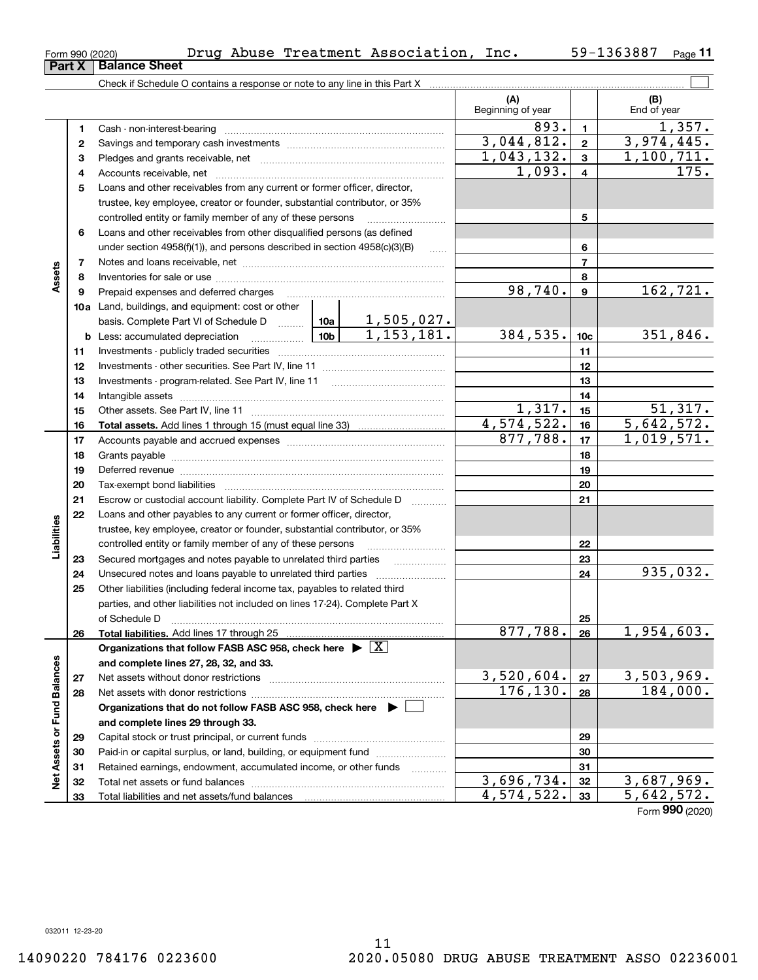|                          | 1  |                                                                                                                                                                                                                                |        |          | 893.           | $\mathbf{1}$     | 1,357.                  |
|--------------------------|----|--------------------------------------------------------------------------------------------------------------------------------------------------------------------------------------------------------------------------------|--------|----------|----------------|------------------|-------------------------|
|                          | 2  |                                                                                                                                                                                                                                |        |          | 3,044,812.     | $\mathbf{2}$     | 3,974,445.              |
|                          | З  |                                                                                                                                                                                                                                |        |          | 1,043,132.     | $\mathbf{3}$     | 1,100,711.              |
|                          | 4  |                                                                                                                                                                                                                                |        | 1,093.   | $\overline{4}$ | 175.             |                         |
|                          | 5  | Loans and other receivables from any current or former officer, director,                                                                                                                                                      |        |          |                |                  |                         |
|                          |    | trustee, key employee, creator or founder, substantial contributor, or 35%                                                                                                                                                     |        |          |                |                  |                         |
|                          |    | controlled entity or family member of any of these persons                                                                                                                                                                     |        |          |                | 5                |                         |
|                          | 6  | Loans and other receivables from other disqualified persons (as defined                                                                                                                                                        |        |          |                |                  |                         |
|                          |    | under section $4958(f)(1)$ , and persons described in section $4958(c)(3)(B)$                                                                                                                                                  |        |          |                | 6                |                         |
|                          | 7  |                                                                                                                                                                                                                                |        |          |                | $\overline{7}$   |                         |
| Assets                   | 8  |                                                                                                                                                                                                                                |        |          |                | 8                |                         |
|                          | 9  | Prepaid expenses and deferred charges                                                                                                                                                                                          |        |          | 98,740.        | $\boldsymbol{9}$ | 162, 721.               |
|                          |    | <b>10a</b> Land, buildings, and equipment: cost or other                                                                                                                                                                       |        |          |                |                  |                         |
|                          |    |                                                                                                                                                                                                                                |        |          |                |                  |                         |
|                          |    |                                                                                                                                                                                                                                |        |          | 384,535.       | 10 <sub>c</sub>  | 351,846.                |
|                          | 11 |                                                                                                                                                                                                                                |        |          | 11             |                  |                         |
|                          | 12 |                                                                                                                                                                                                                                |        |          |                | 12               |                         |
|                          | 13 |                                                                                                                                                                                                                                |        | 13       |                |                  |                         |
|                          | 14 |                                                                                                                                                                                                                                |        | 14       |                |                  |                         |
|                          | 15 |                                                                                                                                                                                                                                | 1,317. | 15       | 51,317.        |                  |                         |
|                          | 16 |                                                                                                                                                                                                                                |        |          | 4,574,522.     | 16               | 5,642,572.              |
|                          | 17 |                                                                                                                                                                                                                                |        | 877,788. | 17             | 1,019,571.       |                         |
|                          | 18 |                                                                                                                                                                                                                                |        |          | 18             |                  |                         |
|                          | 19 | Deferred revenue manual contracts and contracts are all the contracts and contracts are contracted and contracts are contracted and contract are contracted and contract are contracted and contract are contracted and contra |        |          | 19             |                  |                         |
|                          | 20 |                                                                                                                                                                                                                                |        | 20       |                |                  |                         |
|                          | 21 | Escrow or custodial account liability. Complete Part IV of Schedule D                                                                                                                                                          |        | 21       |                |                  |                         |
|                          | 22 | Loans and other payables to any current or former officer, director,                                                                                                                                                           |        |          |                |                  |                         |
|                          |    | trustee, key employee, creator or founder, substantial contributor, or 35%                                                                                                                                                     |        |          |                |                  |                         |
| Liabilities              |    | controlled entity or family member of any of these persons                                                                                                                                                                     |        | 22       |                |                  |                         |
|                          | 23 |                                                                                                                                                                                                                                |        | 23       |                |                  |                         |
|                          | 24 |                                                                                                                                                                                                                                |        |          | 24             | 935,032.         |                         |
|                          | 25 | Other liabilities (including federal income tax, payables to related third                                                                                                                                                     |        |          |                |                  |                         |
|                          |    | parties, and other liabilities not included on lines 17-24). Complete Part X                                                                                                                                                   |        |          |                |                  |                         |
|                          |    | of Schedule D                                                                                                                                                                                                                  |        |          | 25             |                  |                         |
|                          | 26 | <b>Total liabilities.</b> Add lines 17 through 25                                                                                                                                                                              |        |          | 877,788.       | 26               | 1,954,603.              |
|                          |    | Organizations that follow FASB ASC 958, check here $\blacktriangleright \boxed{X}$                                                                                                                                             |        |          |                |                  |                         |
| rces                     |    | and complete lines 27, 28, 32, and 33.                                                                                                                                                                                         |        |          | 3,520,604.     |                  |                         |
|                          | 27 |                                                                                                                                                                                                                                |        |          |                |                  | 3,503,969.              |
|                          | 28 | Net assets with donor restrictions                                                                                                                                                                                             |        |          | 176, 130.      | 28               | 184,000.                |
|                          |    | Organizations that do not follow FASB ASC 958, check here $\blacktriangleright$                                                                                                                                                |        |          |                |                  |                         |
|                          |    | and complete lines 29 through 33.                                                                                                                                                                                              |        |          |                |                  |                         |
|                          | 29 |                                                                                                                                                                                                                                |        |          |                | 29               |                         |
|                          | 30 | Paid-in or capital surplus, or land, building, or equipment fund                                                                                                                                                               |        |          |                | 30               |                         |
| Net Assets or Fund Balar | 31 | Retained earnings, endowment, accumulated income, or other funds                                                                                                                                                               |        | .        |                | 31               |                         |
|                          | 32 |                                                                                                                                                                                                                                |        |          | 3,696,734.     | 32               | 3,687,969.              |
|                          | 33 | Total liabilities and net assets/fund balances                                                                                                                                                                                 |        |          | 4,574,522.     | 33               | $\overline{5,642},572.$ |
|                          |    |                                                                                                                                                                                                                                |        |          |                |                  | Form 990 (2020)         |

Form 990 (2020) Drug Abuse Treatment Association, Inc. 59-1363887  $\,$  Page

Check if Schedule O contains a response or note to any line in this Part X

**11**

 $(B)$ <br>End of year

 $\mathcal{L}^{\text{max}}$ 

**(A) (B)**

Beginning of year | | End of year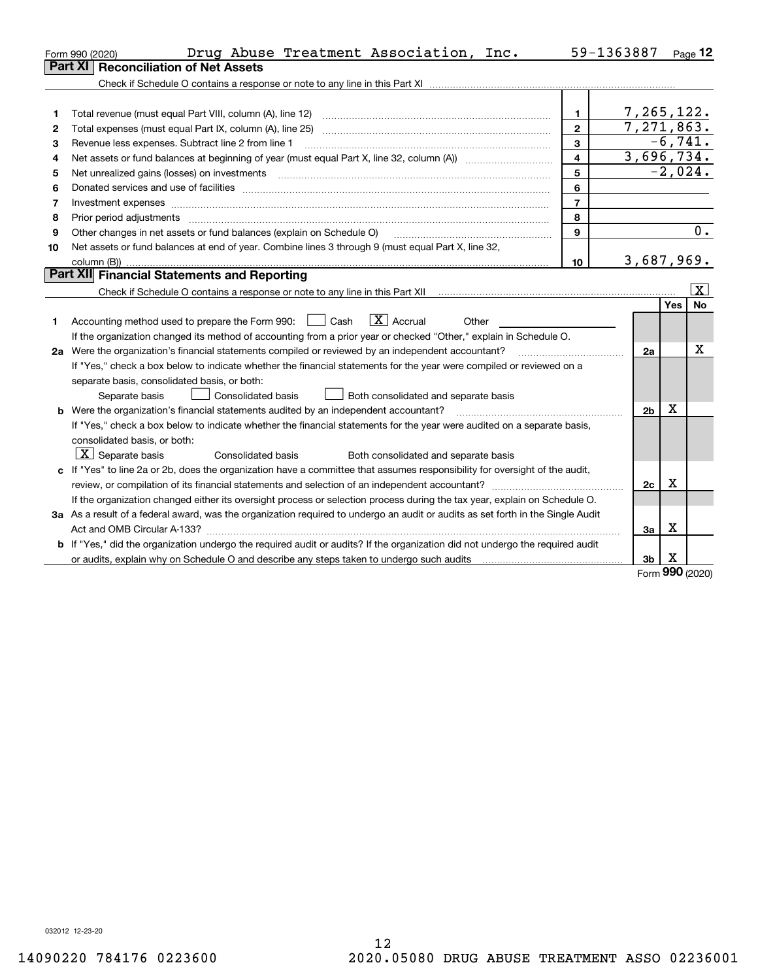|    | Drug Abuse Treatment Association, Inc.<br>Form 990 (2020)                                                                       | 59-1363887              |                |           | Page 12                 |
|----|---------------------------------------------------------------------------------------------------------------------------------|-------------------------|----------------|-----------|-------------------------|
|    | Reconciliation of Net Assets<br>Part XI                                                                                         |                         |                |           |                         |
|    |                                                                                                                                 |                         |                |           |                         |
|    |                                                                                                                                 |                         |                |           |                         |
| 1  | Total revenue (must equal Part VIII, column (A), line 12)                                                                       | 1.                      | 7,265,122.     |           |                         |
| 2  |                                                                                                                                 | $\overline{2}$          | 7,271,863.     |           |                         |
| 3  | Revenue less expenses. Subtract line 2 from line 1                                                                              | 3                       |                | $-6,741.$ |                         |
| 4  |                                                                                                                                 | $\overline{\mathbf{4}}$ | 3,696,734.     |           |                         |
| 5  | Net unrealized gains (losses) on investments                                                                                    | 5                       |                | $-2,024.$ |                         |
| 6  |                                                                                                                                 | 6                       |                |           |                         |
| 7  |                                                                                                                                 | $\overline{7}$          |                |           |                         |
| 8  |                                                                                                                                 | 8                       |                |           |                         |
| 9  | Other changes in net assets or fund balances (explain on Schedule O)                                                            | 9                       |                |           | 0.                      |
| 10 | Net assets or fund balances at end of year. Combine lines 3 through 9 (must equal Part X, line 32,                              |                         |                |           |                         |
|    |                                                                                                                                 | 10                      | 3,687,969.     |           |                         |
|    | Part XII Financial Statements and Reporting                                                                                     |                         |                |           |                         |
|    |                                                                                                                                 |                         |                |           | $\overline{\mathbf{x}}$ |
|    |                                                                                                                                 |                         |                | Yes       | No                      |
| 1  | $\vert X \vert$ Accrual<br>Accounting method used to prepare the Form 990:     Cash<br>Other                                    |                         |                |           |                         |
|    | If the organization changed its method of accounting from a prior year or checked "Other," explain in Schedule O.               |                         |                |           |                         |
|    | 2a Were the organization's financial statements compiled or reviewed by an independent accountant?                              |                         | 2a             |           | Х                       |
|    | If "Yes," check a box below to indicate whether the financial statements for the year were compiled or reviewed on a            |                         |                |           |                         |
|    | separate basis, consolidated basis, or both:                                                                                    |                         |                |           |                         |
|    | <b>Consolidated basis</b><br>Both consolidated and separate basis<br>Separate basis                                             |                         |                |           |                         |
|    | <b>b</b> Were the organization's financial statements audited by an independent accountant?                                     |                         | 2 <sub>b</sub> | Χ         |                         |
|    | If "Yes," check a box below to indicate whether the financial statements for the year were audited on a separate basis,         |                         |                |           |                         |
|    | consolidated basis, or both:                                                                                                    |                         |                |           |                         |
|    | $ X $ Separate basis<br><b>Consolidated basis</b><br>Both consolidated and separate basis                                       |                         |                |           |                         |
|    | c If "Yes" to line 2a or 2b, does the organization have a committee that assumes responsibility for oversight of the audit,     |                         |                |           |                         |
|    |                                                                                                                                 |                         | 2c             | х         |                         |
|    | If the organization changed either its oversight process or selection process during the tax year, explain on Schedule O.       |                         |                |           |                         |
|    | 3a As a result of a federal award, was the organization required to undergo an audit or audits as set forth in the Single Audit |                         |                |           |                         |
|    | Act and OMB Circular A-133?                                                                                                     |                         | За             | X         |                         |
|    | b If "Yes," did the organization undergo the required audit or audits? If the organization did not undergo the required audit   |                         |                |           |                         |
|    |                                                                                                                                 |                         | 3b             | x         |                         |

Form (2020) **990**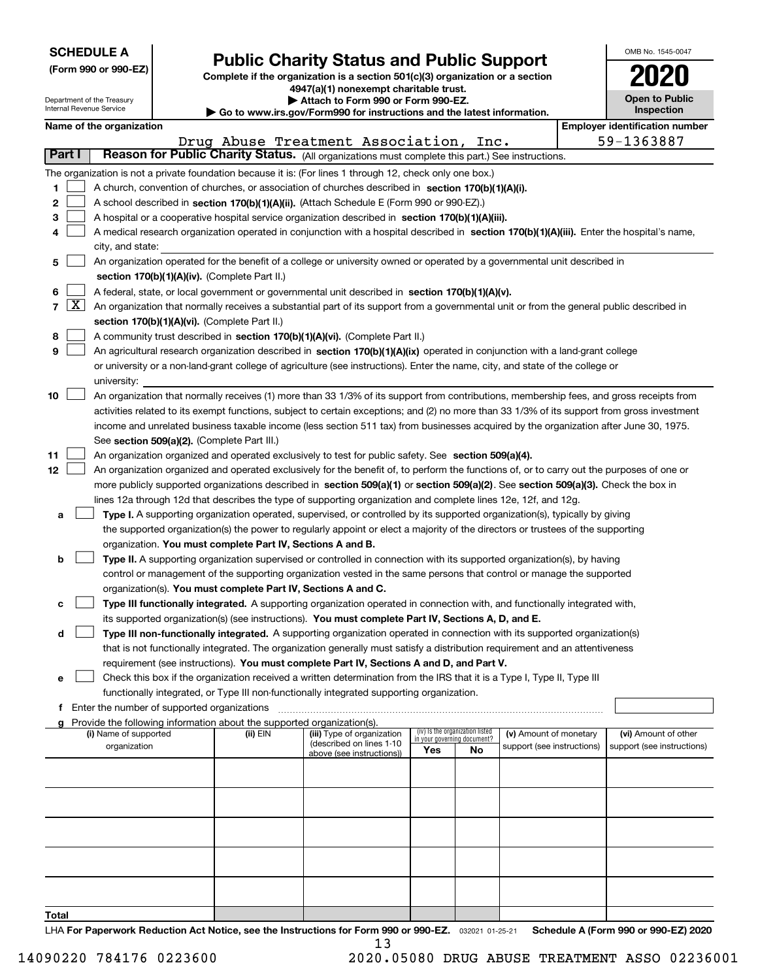| <b>SCHEDULE A</b> |  |
|-------------------|--|
|-------------------|--|

Department of the Treasury Internal Revenue Service

| (Form 990 or 990-EZ) |  |
|----------------------|--|

# **Public Charity Status and Public Support**

**Complete if the organization is a section 501(c)(3) organization or a section 4947(a)(1) nonexempt charitable trust. | Attach to Form 990 or Form 990-EZ.**   $\blacktriangleright$  Go to

| , www.irs.αον/Form990 for instructions and the latest information. |  |
|--------------------------------------------------------------------|--|
|                                                                    |  |

| OMB No. 1545-0047     |
|-----------------------|
| 2020                  |
| <b>Open to Public</b> |

**Inspection**

|                | Name of the organization<br><b>Employer identification number</b> |                                                                                                                                                                                            |          |                                                        |                             |                                 |                                                      |  |                                                    |  |  |  |
|----------------|-------------------------------------------------------------------|--------------------------------------------------------------------------------------------------------------------------------------------------------------------------------------------|----------|--------------------------------------------------------|-----------------------------|---------------------------------|------------------------------------------------------|--|----------------------------------------------------|--|--|--|
|                |                                                                   |                                                                                                                                                                                            |          | Drug Abuse Treatment Association, Inc.                 |                             |                                 |                                                      |  | 59-1363887                                         |  |  |  |
| Part I         |                                                                   | Reason for Public Charity Status. (All organizations must complete this part.) See instructions.                                                                                           |          |                                                        |                             |                                 |                                                      |  |                                                    |  |  |  |
|                |                                                                   | The organization is not a private foundation because it is: (For lines 1 through 12, check only one box.)                                                                                  |          |                                                        |                             |                                 |                                                      |  |                                                    |  |  |  |
| 1              |                                                                   | A church, convention of churches, or association of churches described in section 170(b)(1)(A)(i).                                                                                         |          |                                                        |                             |                                 |                                                      |  |                                                    |  |  |  |
| 2              |                                                                   | A school described in section 170(b)(1)(A)(ii). (Attach Schedule E (Form 990 or 990-EZ).)                                                                                                  |          |                                                        |                             |                                 |                                                      |  |                                                    |  |  |  |
| з              |                                                                   | A hospital or a cooperative hospital service organization described in section 170(b)(1)(A)(iii).                                                                                          |          |                                                        |                             |                                 |                                                      |  |                                                    |  |  |  |
|                |                                                                   | A medical research organization operated in conjunction with a hospital described in section 170(b)(1)(A)(iii). Enter the hospital's name,                                                 |          |                                                        |                             |                                 |                                                      |  |                                                    |  |  |  |
|                |                                                                   | city, and state:                                                                                                                                                                           |          |                                                        |                             |                                 |                                                      |  |                                                    |  |  |  |
| 5              |                                                                   | An organization operated for the benefit of a college or university owned or operated by a governmental unit described in                                                                  |          |                                                        |                             |                                 |                                                      |  |                                                    |  |  |  |
|                |                                                                   | section 170(b)(1)(A)(iv). (Complete Part II.)                                                                                                                                              |          |                                                        |                             |                                 |                                                      |  |                                                    |  |  |  |
| 6              |                                                                   |                                                                                                                                                                                            |          |                                                        |                             |                                 |                                                      |  |                                                    |  |  |  |
| $7\mid X \mid$ |                                                                   | A federal, state, or local government or governmental unit described in section 170(b)(1)(A)(v).                                                                                           |          |                                                        |                             |                                 |                                                      |  |                                                    |  |  |  |
|                |                                                                   | An organization that normally receives a substantial part of its support from a governmental unit or from the general public described in<br>section 170(b)(1)(A)(vi). (Complete Part II.) |          |                                                        |                             |                                 |                                                      |  |                                                    |  |  |  |
| 8              |                                                                   |                                                                                                                                                                                            |          |                                                        |                             |                                 |                                                      |  |                                                    |  |  |  |
| 9              |                                                                   | A community trust described in section 170(b)(1)(A)(vi). (Complete Part II.)                                                                                                               |          |                                                        |                             |                                 |                                                      |  |                                                    |  |  |  |
|                |                                                                   | An agricultural research organization described in section 170(b)(1)(A)(ix) operated in conjunction with a land-grant college                                                              |          |                                                        |                             |                                 |                                                      |  |                                                    |  |  |  |
|                |                                                                   | or university or a non-land-grant college of agriculture (see instructions). Enter the name, city, and state of the college or                                                             |          |                                                        |                             |                                 |                                                      |  |                                                    |  |  |  |
|                |                                                                   | university:                                                                                                                                                                                |          |                                                        |                             |                                 |                                                      |  |                                                    |  |  |  |
| 10             |                                                                   | An organization that normally receives (1) more than 33 1/3% of its support from contributions, membership fees, and gross receipts from                                                   |          |                                                        |                             |                                 |                                                      |  |                                                    |  |  |  |
|                |                                                                   | activities related to its exempt functions, subject to certain exceptions; and (2) no more than 33 1/3% of its support from gross investment                                               |          |                                                        |                             |                                 |                                                      |  |                                                    |  |  |  |
|                |                                                                   | income and unrelated business taxable income (less section 511 tax) from businesses acquired by the organization after June 30, 1975.                                                      |          |                                                        |                             |                                 |                                                      |  |                                                    |  |  |  |
|                |                                                                   | See section 509(a)(2). (Complete Part III.)                                                                                                                                                |          |                                                        |                             |                                 |                                                      |  |                                                    |  |  |  |
| 11             |                                                                   | An organization organized and operated exclusively to test for public safety. See section 509(a)(4).                                                                                       |          |                                                        |                             |                                 |                                                      |  |                                                    |  |  |  |
| 12             |                                                                   | An organization organized and operated exclusively for the benefit of, to perform the functions of, or to carry out the purposes of one or                                                 |          |                                                        |                             |                                 |                                                      |  |                                                    |  |  |  |
|                |                                                                   | more publicly supported organizations described in section 509(a)(1) or section 509(a)(2). See section 509(a)(3). Check the box in                                                         |          |                                                        |                             |                                 |                                                      |  |                                                    |  |  |  |
|                |                                                                   | lines 12a through 12d that describes the type of supporting organization and complete lines 12e, 12f, and 12g.                                                                             |          |                                                        |                             |                                 |                                                      |  |                                                    |  |  |  |
| а              |                                                                   | Type I. A supporting organization operated, supervised, or controlled by its supported organization(s), typically by giving                                                                |          |                                                        |                             |                                 |                                                      |  |                                                    |  |  |  |
|                |                                                                   | the supported organization(s) the power to regularly appoint or elect a majority of the directors or trustees of the supporting                                                            |          |                                                        |                             |                                 |                                                      |  |                                                    |  |  |  |
|                |                                                                   | organization. You must complete Part IV, Sections A and B.                                                                                                                                 |          |                                                        |                             |                                 |                                                      |  |                                                    |  |  |  |
| b              |                                                                   | Type II. A supporting organization supervised or controlled in connection with its supported organization(s), by having                                                                    |          |                                                        |                             |                                 |                                                      |  |                                                    |  |  |  |
|                |                                                                   | control or management of the supporting organization vested in the same persons that control or manage the supported                                                                       |          |                                                        |                             |                                 |                                                      |  |                                                    |  |  |  |
|                |                                                                   | organization(s). You must complete Part IV, Sections A and C.                                                                                                                              |          |                                                        |                             |                                 |                                                      |  |                                                    |  |  |  |
| c              |                                                                   | Type III functionally integrated. A supporting organization operated in connection with, and functionally integrated with,                                                                 |          |                                                        |                             |                                 |                                                      |  |                                                    |  |  |  |
|                |                                                                   | its supported organization(s) (see instructions). You must complete Part IV, Sections A, D, and E.                                                                                         |          |                                                        |                             |                                 |                                                      |  |                                                    |  |  |  |
| d              |                                                                   | Type III non-functionally integrated. A supporting organization operated in connection with its supported organization(s)                                                                  |          |                                                        |                             |                                 |                                                      |  |                                                    |  |  |  |
|                |                                                                   | that is not functionally integrated. The organization generally must satisfy a distribution requirement and an attentiveness                                                               |          |                                                        |                             |                                 |                                                      |  |                                                    |  |  |  |
|                |                                                                   | requirement (see instructions). You must complete Part IV, Sections A and D, and Part V.                                                                                                   |          |                                                        |                             |                                 |                                                      |  |                                                    |  |  |  |
| е              |                                                                   | Check this box if the organization received a written determination from the IRS that it is a Type I, Type II, Type III                                                                    |          |                                                        |                             |                                 |                                                      |  |                                                    |  |  |  |
|                |                                                                   | functionally integrated, or Type III non-functionally integrated supporting organization.                                                                                                  |          |                                                        |                             |                                 |                                                      |  |                                                    |  |  |  |
|                |                                                                   | f Enter the number of supported organizations                                                                                                                                              |          |                                                        |                             |                                 |                                                      |  |                                                    |  |  |  |
|                |                                                                   | Provide the following information about the supported organization(s).                                                                                                                     |          |                                                        |                             | (iv) Is the organization listed |                                                      |  |                                                    |  |  |  |
|                |                                                                   | (i) Name of supported<br>organization                                                                                                                                                      | (ii) EIN | (iii) Type of organization<br>(described on lines 1-10 | in your governing document? |                                 | (v) Amount of monetary<br>support (see instructions) |  | (vi) Amount of other<br>support (see instructions) |  |  |  |
|                |                                                                   |                                                                                                                                                                                            |          | above (see instructions))                              | Yes                         | No                              |                                                      |  |                                                    |  |  |  |
|                |                                                                   |                                                                                                                                                                                            |          |                                                        |                             |                                 |                                                      |  |                                                    |  |  |  |
|                |                                                                   |                                                                                                                                                                                            |          |                                                        |                             |                                 |                                                      |  |                                                    |  |  |  |
|                |                                                                   |                                                                                                                                                                                            |          |                                                        |                             |                                 |                                                      |  |                                                    |  |  |  |
|                |                                                                   |                                                                                                                                                                                            |          |                                                        |                             |                                 |                                                      |  |                                                    |  |  |  |
|                |                                                                   |                                                                                                                                                                                            |          |                                                        |                             |                                 |                                                      |  |                                                    |  |  |  |
|                |                                                                   |                                                                                                                                                                                            |          |                                                        |                             |                                 |                                                      |  |                                                    |  |  |  |
|                |                                                                   |                                                                                                                                                                                            |          |                                                        |                             |                                 |                                                      |  |                                                    |  |  |  |
|                |                                                                   |                                                                                                                                                                                            |          |                                                        |                             |                                 |                                                      |  |                                                    |  |  |  |
|                |                                                                   |                                                                                                                                                                                            |          |                                                        |                             |                                 |                                                      |  |                                                    |  |  |  |

LHA For Paperwork Reduction Act Notice, see the Instructions for Form 990 or 990-EZ. <sub>032021</sub> o1-25-21 Schedule A (Form 990 or 990-EZ) 2020 13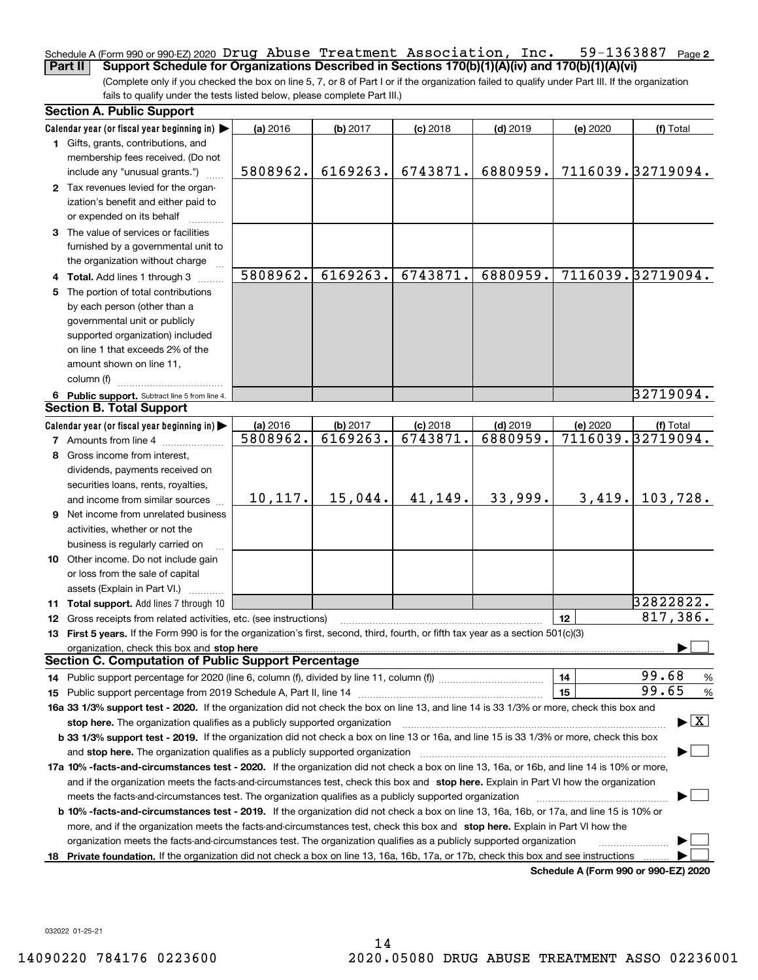### **2** Schedule A (Form 990 or 990-EZ) 2020 <code>Drug Abuse Treatment Association, Inc. by-136387</code> Page **Part II Support Schedule for Organizations Described in Sections 170(b)(1)(A)(iv) and 170(b)(1)(A)(vi)** Drug Abuse Treatment Association, Inc. 59-1363887

(Complete only if you checked the box on line 5, 7, or 8 of Part I or if the organization failed to qualify under Part III. If the organization fails to qualify under the tests listed below, please complete Part III.)

|    | <b>Section A. Public Support</b>                                                                                                                                                                                               |          |          |            |            |          |                                          |
|----|--------------------------------------------------------------------------------------------------------------------------------------------------------------------------------------------------------------------------------|----------|----------|------------|------------|----------|------------------------------------------|
|    | Calendar year (or fiscal year beginning in)                                                                                                                                                                                    | (a) 2016 | (b) 2017 | $(c)$ 2018 | $(d)$ 2019 | (e) 2020 | (f) Total                                |
|    | 1 Gifts, grants, contributions, and                                                                                                                                                                                            |          |          |            |            |          |                                          |
|    | membership fees received. (Do not                                                                                                                                                                                              |          |          |            |            |          |                                          |
|    | include any "unusual grants.")                                                                                                                                                                                                 | 5808962. | 6169263. | 6743871.   | 6880959.   |          | 7116039.32719094.                        |
|    | 2 Tax revenues levied for the organ-                                                                                                                                                                                           |          |          |            |            |          |                                          |
|    | ization's benefit and either paid to                                                                                                                                                                                           |          |          |            |            |          |                                          |
|    | or expended on its behalf                                                                                                                                                                                                      |          |          |            |            |          |                                          |
|    | 3 The value of services or facilities                                                                                                                                                                                          |          |          |            |            |          |                                          |
|    | furnished by a governmental unit to                                                                                                                                                                                            |          |          |            |            |          |                                          |
|    | the organization without charge                                                                                                                                                                                                | 5808962. | 6169263. | 6743871.   | 6880959.   |          | 7116039.32719094.                        |
|    | 4 Total. Add lines 1 through 3                                                                                                                                                                                                 |          |          |            |            |          |                                          |
| 5. | The portion of total contributions                                                                                                                                                                                             |          |          |            |            |          |                                          |
|    | by each person (other than a<br>governmental unit or publicly                                                                                                                                                                  |          |          |            |            |          |                                          |
|    | supported organization) included                                                                                                                                                                                               |          |          |            |            |          |                                          |
|    | on line 1 that exceeds 2% of the                                                                                                                                                                                               |          |          |            |            |          |                                          |
|    | amount shown on line 11,                                                                                                                                                                                                       |          |          |            |            |          |                                          |
|    | column (f)                                                                                                                                                                                                                     |          |          |            |            |          |                                          |
|    |                                                                                                                                                                                                                                |          |          |            |            |          | 32719094.                                |
|    | 6 Public support. Subtract line 5 from line 4.<br><b>Section B. Total Support</b>                                                                                                                                              |          |          |            |            |          |                                          |
|    | Calendar year (or fiscal year beginning in)                                                                                                                                                                                    | (a) 2016 | (b) 2017 | $(c)$ 2018 | $(d)$ 2019 | (e) 2020 | (f) Total                                |
|    | <b>7</b> Amounts from line 4                                                                                                                                                                                                   | 5808962. | 6169263. | 6743871.   | 6880959.   |          | 7116039.32719094.                        |
| 8  | Gross income from interest,                                                                                                                                                                                                    |          |          |            |            |          |                                          |
|    | dividends, payments received on                                                                                                                                                                                                |          |          |            |            |          |                                          |
|    | securities loans, rents, royalties,                                                                                                                                                                                            |          |          |            |            |          |                                          |
|    | and income from similar sources                                                                                                                                                                                                | 10,117.  | 15,044.  | 41,149.    | 33,999.    | 3,419.   | 103,728.                                 |
|    | 9 Net income from unrelated business                                                                                                                                                                                           |          |          |            |            |          |                                          |
|    | activities, whether or not the                                                                                                                                                                                                 |          |          |            |            |          |                                          |
|    | business is regularly carried on                                                                                                                                                                                               |          |          |            |            |          |                                          |
|    | 10 Other income. Do not include gain                                                                                                                                                                                           |          |          |            |            |          |                                          |
|    | or loss from the sale of capital                                                                                                                                                                                               |          |          |            |            |          |                                          |
|    | assets (Explain in Part VI.)                                                                                                                                                                                                   |          |          |            |            |          |                                          |
|    | 11 Total support. Add lines 7 through 10                                                                                                                                                                                       |          |          |            |            |          | 32822822.                                |
|    | <b>12</b> Gross receipts from related activities, etc. (see instructions)                                                                                                                                                      |          |          |            |            | 12       | 817,386.                                 |
|    | 13 First 5 years. If the Form 990 is for the organization's first, second, third, fourth, or fifth tax year as a section 501(c)(3)                                                                                             |          |          |            |            |          |                                          |
|    | organization, check this box and stop here manufactured and stop here are all the contractions of the state of the state of the contraction of the contract of the contract of the contract of the contract of the contract of |          |          |            |            |          |                                          |
|    | <b>Section C. Computation of Public Support Percentage</b>                                                                                                                                                                     |          |          |            |            |          |                                          |
|    | 14 Public support percentage for 2020 (line 6, column (f), divided by line 11, column (f) <i>marroummaname</i>                                                                                                                 |          |          |            |            | 14       | 99.68<br>%                               |
|    |                                                                                                                                                                                                                                |          |          |            |            | 15       | 99.65<br>%                               |
|    | 16a 33 1/3% support test - 2020. If the organization did not check the box on line 13, and line 14 is 33 1/3% or more, check this box and                                                                                      |          |          |            |            |          |                                          |
|    | stop here. The organization qualifies as a publicly supported organization                                                                                                                                                     |          |          |            |            |          | $\blacktriangleright$ $\boxed{\text{X}}$ |
|    | b 33 1/3% support test - 2019. If the organization did not check a box on line 13 or 16a, and line 15 is 33 1/3% or more, check this box                                                                                       |          |          |            |            |          |                                          |
|    | and stop here. The organization qualifies as a publicly supported organization                                                                                                                                                 |          |          |            |            |          |                                          |
|    | 17a 10% -facts-and-circumstances test - 2020. If the organization did not check a box on line 13, 16a, or 16b, and line 14 is 10% or more,                                                                                     |          |          |            |            |          |                                          |
|    | and if the organization meets the facts-and-circumstances test, check this box and stop here. Explain in Part VI how the organization                                                                                          |          |          |            |            |          |                                          |
|    | meets the facts-and-circumstances test. The organization qualifies as a publicly supported organization                                                                                                                        |          |          |            |            |          |                                          |
|    | <b>b 10% -facts-and-circumstances test - 2019.</b> If the organization did not check a box on line 13, 16a, 16b, or 17a, and line 15 is 10% or                                                                                 |          |          |            |            |          |                                          |
|    | more, and if the organization meets the facts-and-circumstances test, check this box and stop here. Explain in Part VI how the                                                                                                 |          |          |            |            |          |                                          |
|    | organization meets the facts-and-circumstances test. The organization qualifies as a publicly supported organization                                                                                                           |          |          |            |            |          |                                          |
| 18 | Private foundation. If the organization did not check a box on line 13, 16a, 16b, 17a, or 17b, check this box and see instructions                                                                                             |          |          |            |            |          |                                          |
|    |                                                                                                                                                                                                                                |          |          |            |            |          | Schedule A (Form 990 or 990-EZ) 2020     |

032022 01-25-21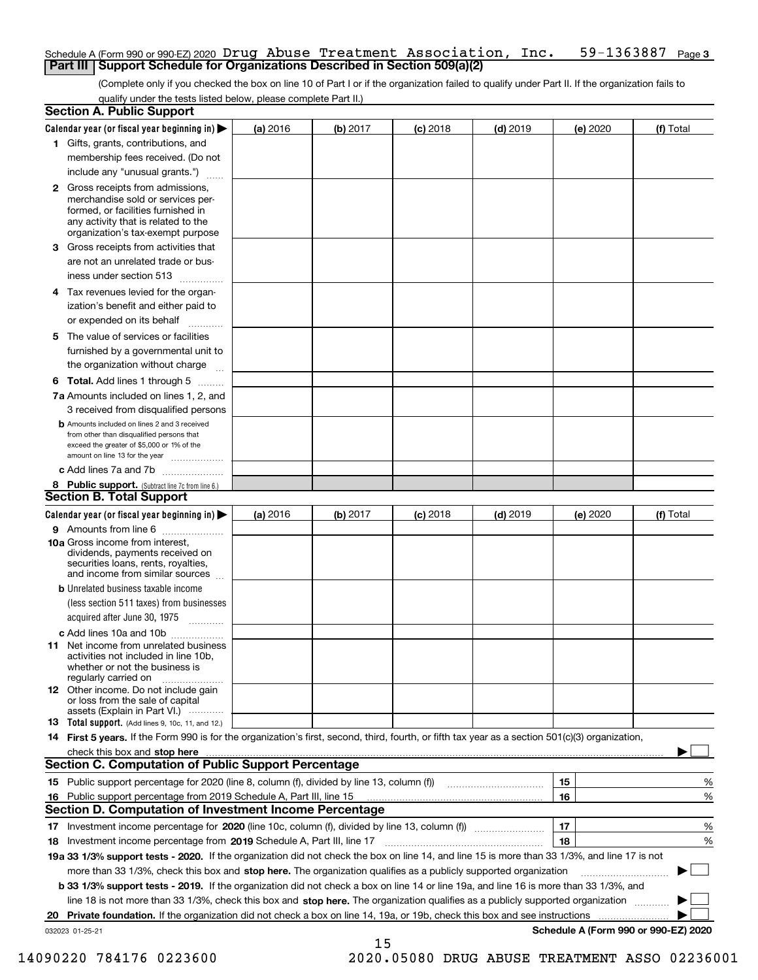### Schedule A (Form 990 or 990-EZ) 2020 **Drug Abuse Treatment Association, Inc.** 59-1363887 <sub>Page 3</sub> **Part III Support Schedule for Organizations Described in Section 509(a)(2)**

(Complete only if you checked the box on line 10 of Part I or if the organization failed to qualify under Part II. If the organization fails to qualify under the tests listed below, please complete Part II.)

|    | <b>Section A. Public Support</b>                                                                                                                                                                                               |          |          |            |            |          |                                      |
|----|--------------------------------------------------------------------------------------------------------------------------------------------------------------------------------------------------------------------------------|----------|----------|------------|------------|----------|--------------------------------------|
|    | Calendar year (or fiscal year beginning in) $\blacktriangleright$                                                                                                                                                              | (a) 2016 | (b) 2017 | $(c)$ 2018 | $(d)$ 2019 | (e) 2020 | (f) Total                            |
|    | 1 Gifts, grants, contributions, and                                                                                                                                                                                            |          |          |            |            |          |                                      |
|    | membership fees received. (Do not                                                                                                                                                                                              |          |          |            |            |          |                                      |
|    | include any "unusual grants.")                                                                                                                                                                                                 |          |          |            |            |          |                                      |
|    | 2 Gross receipts from admissions,<br>merchandise sold or services per-<br>formed, or facilities furnished in<br>any activity that is related to the<br>organization's tax-exempt purpose                                       |          |          |            |            |          |                                      |
|    | 3 Gross receipts from activities that<br>are not an unrelated trade or bus-                                                                                                                                                    |          |          |            |            |          |                                      |
|    | iness under section 513                                                                                                                                                                                                        |          |          |            |            |          |                                      |
|    | 4 Tax revenues levied for the organ-<br>ization's benefit and either paid to                                                                                                                                                   |          |          |            |            |          |                                      |
|    | or expended on its behalf<br>.                                                                                                                                                                                                 |          |          |            |            |          |                                      |
|    | 5 The value of services or facilities<br>furnished by a governmental unit to<br>the organization without charge                                                                                                                |          |          |            |            |          |                                      |
|    | <b>6 Total.</b> Add lines 1 through 5                                                                                                                                                                                          |          |          |            |            |          |                                      |
|    | 7a Amounts included on lines 1, 2, and<br>3 received from disqualified persons                                                                                                                                                 |          |          |            |            |          |                                      |
|    | <b>b</b> Amounts included on lines 2 and 3 received<br>from other than disqualified persons that<br>exceed the greater of \$5,000 or 1% of the<br>amount on line 13 for the year                                               |          |          |            |            |          |                                      |
|    | c Add lines 7a and 7b                                                                                                                                                                                                          |          |          |            |            |          |                                      |
|    | 8 Public support. (Subtract line 7c from line 6.)                                                                                                                                                                              |          |          |            |            |          |                                      |
|    | <b>Section B. Total Support</b>                                                                                                                                                                                                |          |          |            |            |          |                                      |
|    | Calendar year (or fiscal year beginning in) $\blacktriangleright$                                                                                                                                                              | (a) 2016 | (b) 2017 | $(c)$ 2018 | $(d)$ 2019 | (e) 2020 | (f) Total                            |
|    | 9 Amounts from line 6                                                                                                                                                                                                          |          |          |            |            |          |                                      |
|    | 10a Gross income from interest,<br>dividends, payments received on<br>securities loans, rents, royalties,<br>and income from similar sources                                                                                   |          |          |            |            |          |                                      |
|    | <b>b</b> Unrelated business taxable income                                                                                                                                                                                     |          |          |            |            |          |                                      |
|    | (less section 511 taxes) from businesses                                                                                                                                                                                       |          |          |            |            |          |                                      |
|    | acquired after June 30, 1975                                                                                                                                                                                                   |          |          |            |            |          |                                      |
|    | c Add lines 10a and 10b<br>11 Net income from unrelated business<br>activities not included in line 10b,<br>whether or not the business is<br>regularly carried on                                                             |          |          |            |            |          |                                      |
|    | <b>12</b> Other income. Do not include gain<br>or loss from the sale of capital<br>assets (Explain in Part VI.)                                                                                                                |          |          |            |            |          |                                      |
|    | <b>13</b> Total support. (Add lines 9, 10c, 11, and 12.)                                                                                                                                                                       |          |          |            |            |          |                                      |
|    | 14 First 5 years. If the Form 990 is for the organization's first, second, third, fourth, or fifth tax year as a section 501(c)(3) organization,                                                                               |          |          |            |            |          |                                      |
|    | check this box and stop here manufactured and control the state of the state of the state of the state of the state of the state of the state of the state of the state of the state of the state of the state of the state of |          |          |            |            |          |                                      |
|    | <b>Section C. Computation of Public Support Percentage</b>                                                                                                                                                                     |          |          |            |            |          |                                      |
|    | 15 Public support percentage for 2020 (line 8, column (f), divided by line 13, column (f))                                                                                                                                     |          |          |            |            | 15       | %                                    |
|    | 16 Public support percentage from 2019 Schedule A, Part III, line 15                                                                                                                                                           |          |          |            |            | 16       | %                                    |
|    | <b>Section D. Computation of Investment Income Percentage</b>                                                                                                                                                                  |          |          |            |            |          |                                      |
|    | 17 Investment income percentage for 2020 (line 10c, column (f), divided by line 13, column (f))                                                                                                                                |          |          |            |            | 17       | %                                    |
|    | <b>18</b> Investment income percentage from <b>2019</b> Schedule A, Part III, line 17                                                                                                                                          |          |          |            |            | 18       | %                                    |
|    | 19a 33 1/3% support tests - 2020. If the organization did not check the box on line 14, and line 15 is more than 33 1/3%, and line 17 is not                                                                                   |          |          |            |            |          |                                      |
|    | more than 33 1/3%, check this box and stop here. The organization qualifies as a publicly supported organization                                                                                                               |          |          |            |            |          | ▶                                    |
|    | b 33 1/3% support tests - 2019. If the organization did not check a box on line 14 or line 19a, and line 16 is more than 33 1/3%, and                                                                                          |          |          |            |            |          |                                      |
|    | line 18 is not more than 33 1/3%, check this box and stop here. The organization qualifies as a publicly supported organization                                                                                                |          |          |            |            |          |                                      |
| 20 | Private foundation. If the organization did not check a box on line 14, 19a, or 19b, check this box and see instructions                                                                                                       |          |          |            |            |          | Schedule A (Form 990 or 990-EZ) 2020 |
|    | 032023 01-25-21                                                                                                                                                                                                                |          |          |            |            |          |                                      |

15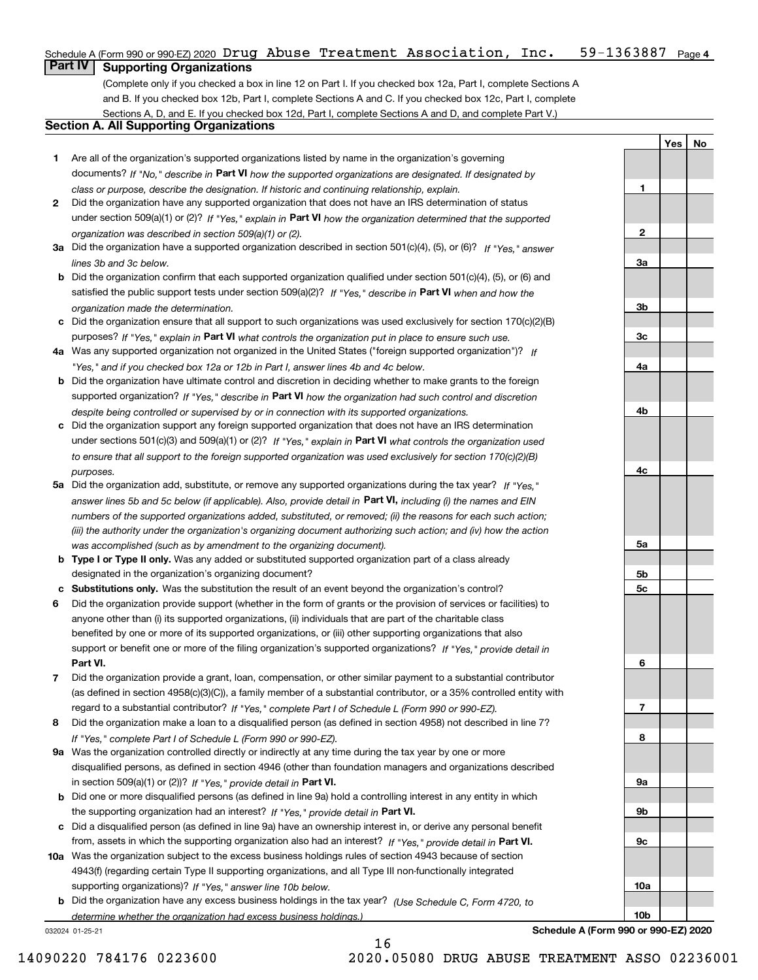### $59 - 1363887$  Page 4 Schedule A (Form 990 or 990-EZ) 2020  $\, {\rm Drug} \,$  Abuse <code>Treatment Association, Inc. 59–1363887</code> <code>Page</code> **Part IV Supporting Organizations**

(Complete only if you checked a box in line 12 on Part I. If you checked box 12a, Part I, complete Sections A and B. If you checked box 12b, Part I, complete Sections A and C. If you checked box 12c, Part I, complete Sections A, D, and E. If you checked box 12d, Part I, complete Sections A and D, and complete Part V.)

## **Section A. All Supporting Organizations**

- **1** Are all of the organization's supported organizations listed by name in the organization's governing documents? If "No," describe in **Part VI** how the supported organizations are designated. If designated by *class or purpose, describe the designation. If historic and continuing relationship, explain.*
- **2** Did the organization have any supported organization that does not have an IRS determination of status under section 509(a)(1) or (2)? If "Yes," explain in Part VI how the organization determined that the supported *organization was described in section 509(a)(1) or (2).*
- **3a** Did the organization have a supported organization described in section 501(c)(4), (5), or (6)? If "Yes," answer *lines 3b and 3c below.*
- **b** Did the organization confirm that each supported organization qualified under section 501(c)(4), (5), or (6) and satisfied the public support tests under section 509(a)(2)? If "Yes," describe in **Part VI** when and how the *organization made the determination.*
- **c**Did the organization ensure that all support to such organizations was used exclusively for section 170(c)(2)(B) purposes? If "Yes," explain in **Part VI** what controls the organization put in place to ensure such use.
- **4a***If* Was any supported organization not organized in the United States ("foreign supported organization")? *"Yes," and if you checked box 12a or 12b in Part I, answer lines 4b and 4c below.*
- **b** Did the organization have ultimate control and discretion in deciding whether to make grants to the foreign supported organization? If "Yes," describe in **Part VI** how the organization had such control and discretion *despite being controlled or supervised by or in connection with its supported organizations.*
- **c** Did the organization support any foreign supported organization that does not have an IRS determination under sections 501(c)(3) and 509(a)(1) or (2)? If "Yes," explain in **Part VI** what controls the organization used *to ensure that all support to the foreign supported organization was used exclusively for section 170(c)(2)(B) purposes.*
- **5a** Did the organization add, substitute, or remove any supported organizations during the tax year? If "Yes," answer lines 5b and 5c below (if applicable). Also, provide detail in **Part VI,** including (i) the names and EIN *numbers of the supported organizations added, substituted, or removed; (ii) the reasons for each such action; (iii) the authority under the organization's organizing document authorizing such action; and (iv) how the action was accomplished (such as by amendment to the organizing document).*
- **b** Type I or Type II only. Was any added or substituted supported organization part of a class already designated in the organization's organizing document?
- **cSubstitutions only.**  Was the substitution the result of an event beyond the organization's control?
- **6** Did the organization provide support (whether in the form of grants or the provision of services or facilities) to **Part VI.** *If "Yes," provide detail in* support or benefit one or more of the filing organization's supported organizations? anyone other than (i) its supported organizations, (ii) individuals that are part of the charitable class benefited by one or more of its supported organizations, or (iii) other supporting organizations that also
- **7**Did the organization provide a grant, loan, compensation, or other similar payment to a substantial contributor *If "Yes," complete Part I of Schedule L (Form 990 or 990-EZ).* regard to a substantial contributor? (as defined in section 4958(c)(3)(C)), a family member of a substantial contributor, or a 35% controlled entity with
- **8** Did the organization make a loan to a disqualified person (as defined in section 4958) not described in line 7? *If "Yes," complete Part I of Schedule L (Form 990 or 990-EZ).*
- **9a** Was the organization controlled directly or indirectly at any time during the tax year by one or more in section 509(a)(1) or (2))? If "Yes," *provide detail in* <code>Part VI.</code> disqualified persons, as defined in section 4946 (other than foundation managers and organizations described
- **b** Did one or more disqualified persons (as defined in line 9a) hold a controlling interest in any entity in which the supporting organization had an interest? If "Yes," provide detail in P**art VI**.
- **c**Did a disqualified person (as defined in line 9a) have an ownership interest in, or derive any personal benefit from, assets in which the supporting organization also had an interest? If "Yes," provide detail in P**art VI.**
- **10a** Was the organization subject to the excess business holdings rules of section 4943 because of section supporting organizations)? If "Yes," answer line 10b below. 4943(f) (regarding certain Type II supporting organizations, and all Type III non-functionally integrated
- **b** Did the organization have any excess business holdings in the tax year? (Use Schedule C, Form 4720, to *determine whether the organization had excess business holdings.)*

16

032024 01-25-21

**Schedule A (Form 990 or 990-EZ) 2020**

**YesNo**

**1**

**2**

**3a**

**3b**

**3c**

**4a**

**4b**

**4c**

**5a**

**5b5c**

**6**

**7**

**8**

**9a**

**9b**

**9c**

**10a**

**10b**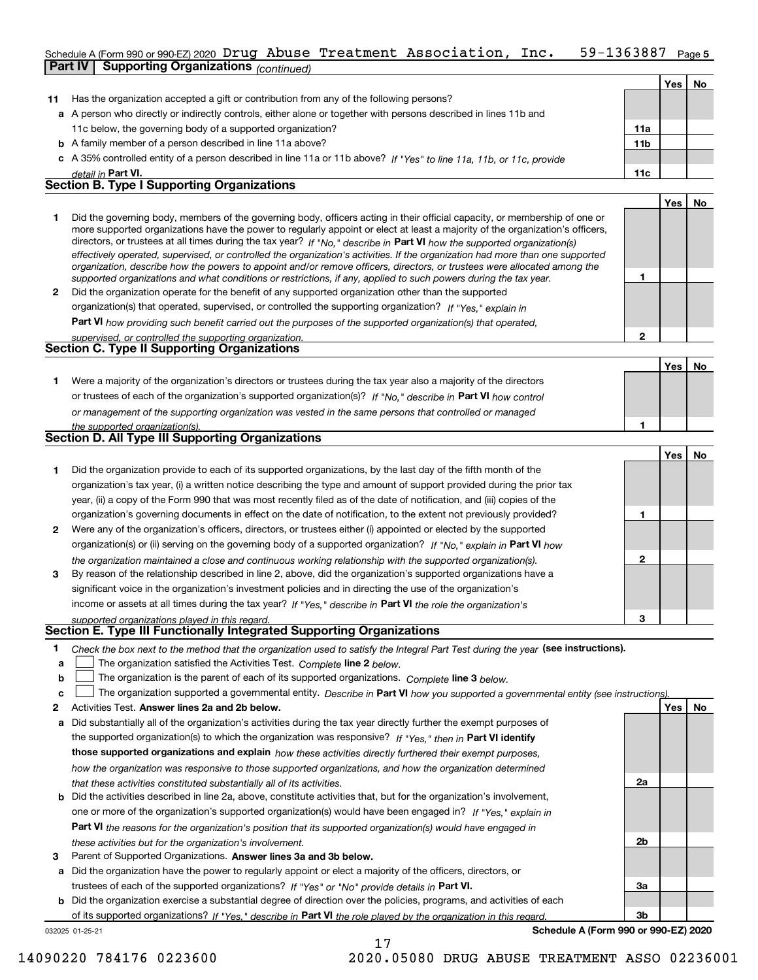### **5**Schedule A (Form 990 or 990-EZ) 2020  $\, {\rm Drug} \,$  Abuse <code>Treatment Association, Inc. 59–1363887</code> <code>Page</code> **Part IV Supporting Organizations** *(continued)*

|    |                                                                                                                      |                 | Yes | No |
|----|----------------------------------------------------------------------------------------------------------------------|-----------------|-----|----|
| 11 | Has the organization accepted a gift or contribution from any of the following persons?                              |                 |     |    |
|    | a A person who directly or indirectly controls, either alone or together with persons described in lines 11b and     |                 |     |    |
|    | 11c below, the governing body of a supported organization?                                                           | 11a             |     |    |
|    | <b>b</b> A family member of a person described in line 11a above?                                                    | 11 <sub>b</sub> |     |    |
|    | c A 35% controlled entity of a person described in line 11a or 11b above? If "Yes" to line 11a, 11b, or 11c, provide |                 |     |    |
|    | detail in Part VI.                                                                                                   | 11c             |     |    |
|    | <b>Section B. Type I Supporting Organizations</b>                                                                    |                 |     |    |
|    |                                                                                                                      |                 | Yes | Nο |
|    |                                                                                                                      |                 |     |    |

|              | Did the governing body, members of the governing body, officers acting in their official capacity, or membership of one or<br>more supported organizations have the power to regularly appoint or elect at least a majority of the organization's officers,<br>directors, or trustees at all times during the tax year? If "No," describe in Part VI how the supported organization(s)<br>effectively operated, supervised, or controlled the organization's activities. If the organization had more than one supported |  |
|--------------|--------------------------------------------------------------------------------------------------------------------------------------------------------------------------------------------------------------------------------------------------------------------------------------------------------------------------------------------------------------------------------------------------------------------------------------------------------------------------------------------------------------------------|--|
|              | organization, describe how the powers to appoint and/or remove officers, directors, or trustees were allocated among the<br>supported organizations and what conditions or restrictions, if any, applied to such powers during the tax year.                                                                                                                                                                                                                                                                             |  |
| $\mathbf{2}$ | Did the organization operate for the benefit of any supported organization other than the supported                                                                                                                                                                                                                                                                                                                                                                                                                      |  |
|              | organization(s) that operated, supervised, or controlled the supporting organization? If "Yes," explain in                                                                                                                                                                                                                                                                                                                                                                                                               |  |

**Part VI**  *how providing such benefit carried out the purposes of the supported organization(s) that operated,*

| supervised, or controlled the supporting organization. |     |  |
|--------------------------------------------------------|-----|--|
| <b>Section C. Type II Supporting Organizations</b>     |     |  |
|                                                        | Yes |  |

**1**or trustees of each of the organization's supported organization(s)? If "No," describe in **Part VI** how control *or management of the supporting organization was vested in the same persons that controlled or managed the supported organization(s).* Were a majority of the organization's directors or trustees during the tax year also a majority of the directors

| <b>Section D. All Type III Supporting Organizations</b> |  |
|---------------------------------------------------------|--|

|              |                                                                                                                        |   | Yes l | No |
|--------------|------------------------------------------------------------------------------------------------------------------------|---|-------|----|
|              | Did the organization provide to each of its supported organizations, by the last day of the fifth month of the         |   |       |    |
|              | organization's tax year, (i) a written notice describing the type and amount of support provided during the prior tax  |   |       |    |
|              | year, (ii) a copy of the Form 990 that was most recently filed as of the date of notification, and (iii) copies of the |   |       |    |
|              | organization's governing documents in effect on the date of notification, to the extent not previously provided?       |   |       |    |
| $\mathbf{2}$ | Were any of the organization's officers, directors, or trustees either (i) appointed or elected by the supported       |   |       |    |
|              | organization(s) or (ii) serving on the governing body of a supported organization? If "No," explain in Part VI how     |   |       |    |
|              | the organization maintained a close and continuous working relationship with the supported organization(s).            | 2 |       |    |
| 3            | By reason of the relationship described in line 2, above, did the organization's supported organizations have a        |   |       |    |
|              | significant voice in the organization's investment policies and in directing the use of the organization's             |   |       |    |
|              | income or assets at all times during the tax year? If "Yes," describe in Part VI the role the organization's           |   |       |    |
|              | supported organizations played in this regard                                                                          | 3 |       |    |

# *supported organizations played in this regard.* **Section E. Type III Functionally Integrated Supporting Organizations**

- **1**Check the box next to the method that the organization used to satisfy the Integral Part Test during the year (see instructions).
- **alinupy** The organization satisfied the Activities Test. Complete line 2 below.
- **bThe organization is the parent of each of its supported organizations. Complete line 3 below.**

|  |  |  | c $\Box$ The organization supported a governmental entity. Describe in Part VI how you supported a governmental entity (see instructions). |  |
|--|--|--|--------------------------------------------------------------------------------------------------------------------------------------------|--|
|--|--|--|--------------------------------------------------------------------------------------------------------------------------------------------|--|

17

- **2Answer lines 2a and 2b below. Yes No** Activities Test.
- **a** Did substantially all of the organization's activities during the tax year directly further the exempt purposes of the supported organization(s) to which the organization was responsive? If "Yes," then in **Part VI identify those supported organizations and explain**  *how these activities directly furthered their exempt purposes, how the organization was responsive to those supported organizations, and how the organization determined that these activities constituted substantially all of its activities.*
- **b** Did the activities described in line 2a, above, constitute activities that, but for the organization's involvement, **Part VI**  *the reasons for the organization's position that its supported organization(s) would have engaged in* one or more of the organization's supported organization(s) would have been engaged in? If "Yes," e*xplain in these activities but for the organization's involvement.*
- **3** Parent of Supported Organizations. Answer lines 3a and 3b below.

**a** Did the organization have the power to regularly appoint or elect a majority of the officers, directors, or trustees of each of the supported organizations? If "Yes" or "No" provide details in **Part VI.** 

**b** Did the organization exercise a substantial degree of direction over the policies, programs, and activities of each of its supported organizations? If "Yes," describe in Part VI the role played by the organization in this regard.

032025 01-25-21

**Schedule A (Form 990 or 990-EZ) 2020**

**2a**

**2b**

**3a**

**3b**

**No**

**1**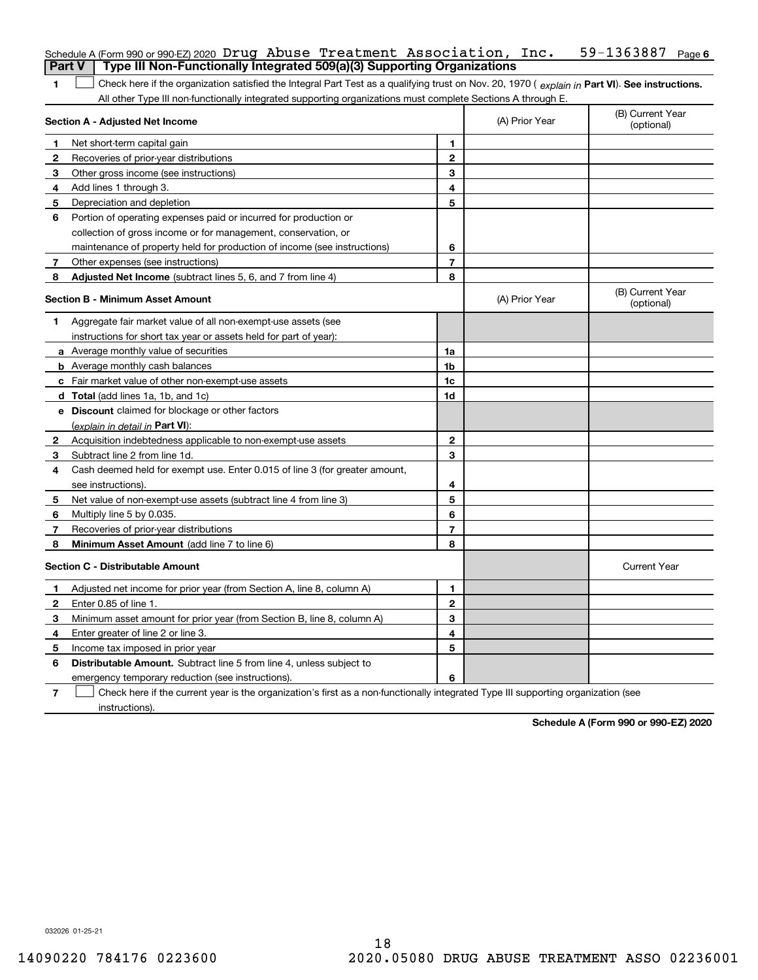| <b>Part V</b>  | Schedule A (Form 990 or 990-EZ) 2020 Drug Abuse Treatment Association, Inc.<br>Type III Non-Functionally Integrated 509(a)(3) Supporting Organizations |                |                | 59-1363887<br>Page 6           |
|----------------|--------------------------------------------------------------------------------------------------------------------------------------------------------|----------------|----------------|--------------------------------|
| 1              | Check here if the organization satisfied the Integral Part Test as a qualifying trust on Nov. 20, 1970 (explain in Part VI). See instructions.         |                |                |                                |
|                | All other Type III non-functionally integrated supporting organizations must complete Sections A through E.                                            |                |                |                                |
|                | Section A - Adjusted Net Income                                                                                                                        |                | (A) Prior Year | (B) Current Year<br>(optional) |
| 1              | Net short-term capital gain                                                                                                                            | 1              |                |                                |
| 2              | Recoveries of prior-year distributions                                                                                                                 | $\mathbf{2}$   |                |                                |
| 3              | Other gross income (see instructions)                                                                                                                  | 3              |                |                                |
| 4              | Add lines 1 through 3.                                                                                                                                 | 4              |                |                                |
| 5              | Depreciation and depletion                                                                                                                             | 5              |                |                                |
| 6              | Portion of operating expenses paid or incurred for production or                                                                                       |                |                |                                |
|                | collection of gross income or for management, conservation, or                                                                                         |                |                |                                |
|                | maintenance of property held for production of income (see instructions)                                                                               | 6              |                |                                |
| 7              | Other expenses (see instructions)                                                                                                                      | $\overline{7}$ |                |                                |
| 8              | <b>Adjusted Net Income</b> (subtract lines 5, 6, and 7 from line 4)                                                                                    | 8              |                |                                |
|                | <b>Section B - Minimum Asset Amount</b>                                                                                                                |                | (A) Prior Year | (B) Current Year<br>(optional) |
| 1              | Aggregate fair market value of all non-exempt-use assets (see                                                                                          |                |                |                                |
|                | instructions for short tax year or assets held for part of year):                                                                                      |                |                |                                |
|                | <b>a</b> Average monthly value of securities                                                                                                           | 1a             |                |                                |
|                | <b>b</b> Average monthly cash balances                                                                                                                 | 1b             |                |                                |
|                | c Fair market value of other non-exempt-use assets                                                                                                     | 1c             |                |                                |
|                | d Total (add lines 1a, 1b, and 1c)                                                                                                                     | 1d             |                |                                |
|                | e Discount claimed for blockage or other factors                                                                                                       |                |                |                                |
|                | (explain in detail in Part VI):                                                                                                                        |                |                |                                |
| $\mathbf{2}$   | Acquisition indebtedness applicable to non-exempt-use assets                                                                                           | $\mathbf{2}$   |                |                                |
| 3              | Subtract line 2 from line 1d.                                                                                                                          | 3              |                |                                |
| 4              | Cash deemed held for exempt use. Enter 0.015 of line 3 (for greater amount,                                                                            |                |                |                                |
|                | see instructions).                                                                                                                                     | 4              |                |                                |
| 5              | Net value of non-exempt-use assets (subtract line 4 from line 3)                                                                                       | 5              |                |                                |
| 6              | Multiply line 5 by 0.035.                                                                                                                              | 6              |                |                                |
| 7              | Recoveries of prior-year distributions                                                                                                                 | 7              |                |                                |
| 8              | <b>Minimum Asset Amount</b> (add line 7 to line 6)                                                                                                     | 8              |                |                                |
|                | <b>Section C - Distributable Amount</b>                                                                                                                |                |                | <b>Current Year</b>            |
| п.             | Adjusted net income for prior year (from Section A, line 8, column A)                                                                                  | 1              |                |                                |
| 2              | Enter 0.85 of line 1.                                                                                                                                  | 2              |                |                                |
| 3              | Minimum asset amount for prior year (from Section B, line 8, column A)                                                                                 | 3              |                |                                |
| 4              | Enter greater of line 2 or line 3.                                                                                                                     | 4              |                |                                |
| 5              | Income tax imposed in prior year                                                                                                                       | 5              |                |                                |
| 6              | Distributable Amount. Subtract line 5 from line 4, unless subject to                                                                                   |                |                |                                |
|                | emergency temporary reduction (see instructions).                                                                                                      | 6              |                |                                |
| $\overline{7}$ | Check here if the current year is the organization's first as a non-functionally integrated Type III supporting organization (see                      |                |                |                                |

instructions).

**Schedule A (Form 990 or 990-EZ) 2020**

032026 01-25-21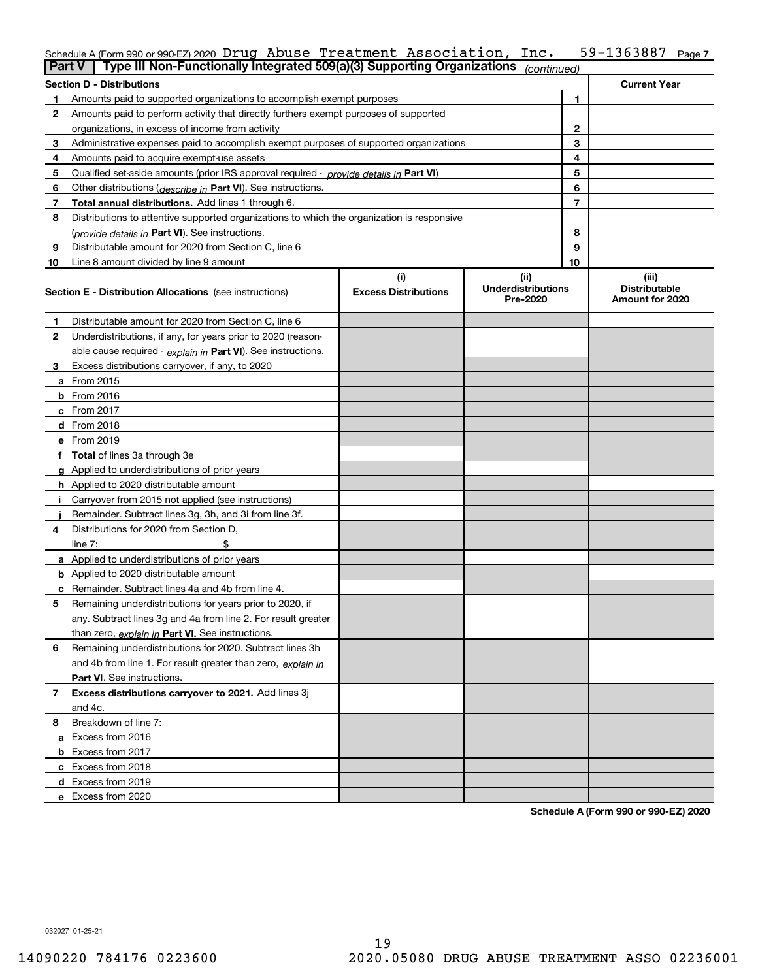|  |  | Schedule A (Form 990 or 990-EZ) 2020 $\, {\rm Drug} \,$ Abuse <code>Treatment</code> Association, <code>Inc. 59–1363887</code> <code>Page 7</code> |  |  |
|--|--|----------------------------------------------------------------------------------------------------------------------------------------------------|--|--|
|  |  |                                                                                                                                                    |  |  |

| <b>Part V</b> | Type III Non-Functionally Integrated 509(a)(3) Supporting Organizations                    |                             | (continued)                           |    |                                         |
|---------------|--------------------------------------------------------------------------------------------|-----------------------------|---------------------------------------|----|-----------------------------------------|
|               | <b>Section D - Distributions</b>                                                           |                             |                                       |    | <b>Current Year</b>                     |
| 1             | Amounts paid to supported organizations to accomplish exempt purposes                      | 1                           |                                       |    |                                         |
| 2             | Amounts paid to perform activity that directly furthers exempt purposes of supported       |                             |                                       |    |                                         |
|               | organizations, in excess of income from activity                                           |                             | $\mathbf{2}$                          |    |                                         |
| 3             | Administrative expenses paid to accomplish exempt purposes of supported organizations      |                             |                                       | 3  |                                         |
| 4             | Amounts paid to acquire exempt-use assets                                                  |                             |                                       | 4  |                                         |
| 5             | Qualified set-aside amounts (prior IRS approval required - provide details in Part VI)     |                             |                                       | 5  |                                         |
| 6             | Other distributions ( <i>describe in</i> Part VI). See instructions.                       |                             |                                       | 6  |                                         |
| 7             | Total annual distributions. Add lines 1 through 6.                                         |                             |                                       | 7  |                                         |
| 8             | Distributions to attentive supported organizations to which the organization is responsive |                             |                                       |    |                                         |
|               | (provide details in Part VI). See instructions.                                            |                             |                                       | 8  |                                         |
| 9             | Distributable amount for 2020 from Section C, line 6                                       |                             |                                       | 9  |                                         |
| 10            | Line 8 amount divided by line 9 amount                                                     |                             |                                       | 10 |                                         |
|               |                                                                                            | (i)                         | (ii)                                  |    | (iii)                                   |
|               | Section E - Distribution Allocations (see instructions)                                    | <b>Excess Distributions</b> | <b>Underdistributions</b><br>Pre-2020 |    | <b>Distributable</b><br>Amount for 2020 |
| 1             | Distributable amount for 2020 from Section C, line 6                                       |                             |                                       |    |                                         |
| 2             | Underdistributions, if any, for years prior to 2020 (reason-                               |                             |                                       |    |                                         |
|               | able cause required - explain in Part VI). See instructions.                               |                             |                                       |    |                                         |
| 3             | Excess distributions carryover, if any, to 2020                                            |                             |                                       |    |                                         |
|               | <b>a</b> From 2015                                                                         |                             |                                       |    |                                         |
|               | <b>b</b> From 2016                                                                         |                             |                                       |    |                                         |
|               | c From 2017                                                                                |                             |                                       |    |                                         |
|               | <b>d</b> From 2018                                                                         |                             |                                       |    |                                         |
|               | e From 2019                                                                                |                             |                                       |    |                                         |
|               | f Total of lines 3a through 3e                                                             |                             |                                       |    |                                         |
|               | g Applied to underdistributions of prior years                                             |                             |                                       |    |                                         |
|               | <b>h</b> Applied to 2020 distributable amount                                              |                             |                                       |    |                                         |
|               | Carryover from 2015 not applied (see instructions)                                         |                             |                                       |    |                                         |
|               | Remainder. Subtract lines 3g, 3h, and 3i from line 3f.                                     |                             |                                       |    |                                         |
| 4             | Distributions for 2020 from Section D,                                                     |                             |                                       |    |                                         |
|               | line $7:$                                                                                  |                             |                                       |    |                                         |
|               | a Applied to underdistributions of prior years                                             |                             |                                       |    |                                         |
|               | <b>b</b> Applied to 2020 distributable amount                                              |                             |                                       |    |                                         |
|               | c Remainder. Subtract lines 4a and 4b from line 4.                                         |                             |                                       |    |                                         |
| 5             | Remaining underdistributions for years prior to 2020, if                                   |                             |                                       |    |                                         |
|               | any. Subtract lines 3g and 4a from line 2. For result greater                              |                             |                                       |    |                                         |
|               | than zero, explain in Part VI. See instructions.                                           |                             |                                       |    |                                         |
| 6             | Remaining underdistributions for 2020. Subtract lines 3h                                   |                             |                                       |    |                                         |
|               | and 4b from line 1. For result greater than zero, explain in                               |                             |                                       |    |                                         |
|               | Part VI. See instructions.                                                                 |                             |                                       |    |                                         |
| 7             | Excess distributions carryover to 2021. Add lines 3j                                       |                             |                                       |    |                                         |
|               | and 4c.                                                                                    |                             |                                       |    |                                         |
| 8             | Breakdown of line 7:                                                                       |                             |                                       |    |                                         |
|               | a Excess from 2016                                                                         |                             |                                       |    |                                         |
|               | <b>b</b> Excess from 2017                                                                  |                             |                                       |    |                                         |
|               | c Excess from 2018                                                                         |                             |                                       |    |                                         |
|               | d Excess from 2019                                                                         |                             |                                       |    |                                         |
|               | e Excess from 2020                                                                         |                             |                                       |    |                                         |

**Schedule A (Form 990 or 990-EZ) 2020**

032027 01-25-21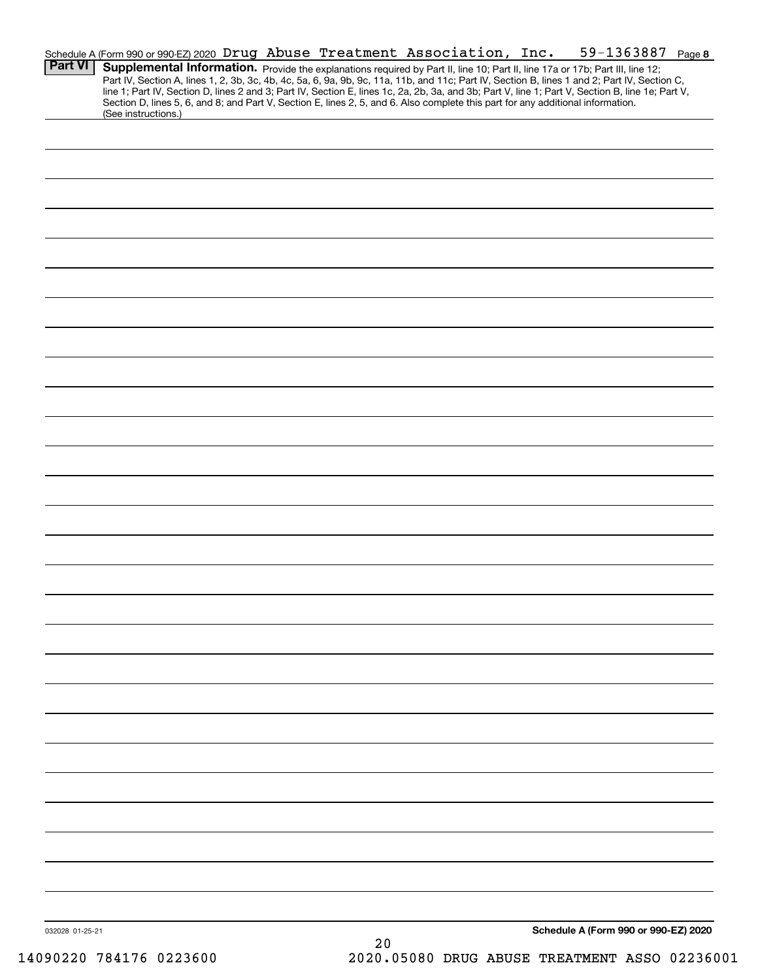|                 | Schedule A (Form 990 or 990-EZ) 2020 Drug Abuse Treatment Association, Inc.                                                                                                                                                                                                                                                                                                                                                                                                                                                                                          |  |  |    |  |  | 59-1363887                           | Page 8 |
|-----------------|----------------------------------------------------------------------------------------------------------------------------------------------------------------------------------------------------------------------------------------------------------------------------------------------------------------------------------------------------------------------------------------------------------------------------------------------------------------------------------------------------------------------------------------------------------------------|--|--|----|--|--|--------------------------------------|--------|
| <b>Part VI</b>  | Supplemental Information. Provide the explanations required by Part II, line 10; Part II, line 17a or 17b; Part III, line 12;<br>Part IV, Section A, lines 1, 2, 3b, 3c, 4b, 4c, 5a, 6, 9a, 9b, 9c, 11a, 11b, and 11c; Part IV, Section B, lines 1 and 2; Part IV, Section C,<br>line 1; Part IV, Section D, lines 2 and 3; Part IV, Section E, lines 1c, 2a, 2b, 3a, and 3b; Part V, line 1; Part V, Section B, line 1e; Part V,<br>Section D, lines 5, 6, and 8; and Part V, Section E, lines 2, 5, and 6. Also complete this part for any additional information. |  |  |    |  |  |                                      |        |
|                 | (See instructions.)                                                                                                                                                                                                                                                                                                                                                                                                                                                                                                                                                  |  |  |    |  |  |                                      |        |
|                 |                                                                                                                                                                                                                                                                                                                                                                                                                                                                                                                                                                      |  |  |    |  |  |                                      |        |
|                 |                                                                                                                                                                                                                                                                                                                                                                                                                                                                                                                                                                      |  |  |    |  |  |                                      |        |
|                 |                                                                                                                                                                                                                                                                                                                                                                                                                                                                                                                                                                      |  |  |    |  |  |                                      |        |
|                 |                                                                                                                                                                                                                                                                                                                                                                                                                                                                                                                                                                      |  |  |    |  |  |                                      |        |
|                 |                                                                                                                                                                                                                                                                                                                                                                                                                                                                                                                                                                      |  |  |    |  |  |                                      |        |
|                 |                                                                                                                                                                                                                                                                                                                                                                                                                                                                                                                                                                      |  |  |    |  |  |                                      |        |
|                 |                                                                                                                                                                                                                                                                                                                                                                                                                                                                                                                                                                      |  |  |    |  |  |                                      |        |
|                 |                                                                                                                                                                                                                                                                                                                                                                                                                                                                                                                                                                      |  |  |    |  |  |                                      |        |
|                 |                                                                                                                                                                                                                                                                                                                                                                                                                                                                                                                                                                      |  |  |    |  |  |                                      |        |
|                 |                                                                                                                                                                                                                                                                                                                                                                                                                                                                                                                                                                      |  |  |    |  |  |                                      |        |
|                 |                                                                                                                                                                                                                                                                                                                                                                                                                                                                                                                                                                      |  |  |    |  |  |                                      |        |
|                 |                                                                                                                                                                                                                                                                                                                                                                                                                                                                                                                                                                      |  |  |    |  |  |                                      |        |
|                 |                                                                                                                                                                                                                                                                                                                                                                                                                                                                                                                                                                      |  |  |    |  |  |                                      |        |
|                 |                                                                                                                                                                                                                                                                                                                                                                                                                                                                                                                                                                      |  |  |    |  |  |                                      |        |
|                 |                                                                                                                                                                                                                                                                                                                                                                                                                                                                                                                                                                      |  |  |    |  |  |                                      |        |
|                 |                                                                                                                                                                                                                                                                                                                                                                                                                                                                                                                                                                      |  |  |    |  |  |                                      |        |
|                 |                                                                                                                                                                                                                                                                                                                                                                                                                                                                                                                                                                      |  |  |    |  |  |                                      |        |
|                 |                                                                                                                                                                                                                                                                                                                                                                                                                                                                                                                                                                      |  |  |    |  |  |                                      |        |
|                 |                                                                                                                                                                                                                                                                                                                                                                                                                                                                                                                                                                      |  |  |    |  |  |                                      |        |
|                 |                                                                                                                                                                                                                                                                                                                                                                                                                                                                                                                                                                      |  |  |    |  |  |                                      |        |
|                 |                                                                                                                                                                                                                                                                                                                                                                                                                                                                                                                                                                      |  |  |    |  |  |                                      |        |
|                 |                                                                                                                                                                                                                                                                                                                                                                                                                                                                                                                                                                      |  |  |    |  |  |                                      |        |
|                 |                                                                                                                                                                                                                                                                                                                                                                                                                                                                                                                                                                      |  |  |    |  |  |                                      |        |
|                 |                                                                                                                                                                                                                                                                                                                                                                                                                                                                                                                                                                      |  |  |    |  |  |                                      |        |
|                 |                                                                                                                                                                                                                                                                                                                                                                                                                                                                                                                                                                      |  |  |    |  |  |                                      |        |
|                 |                                                                                                                                                                                                                                                                                                                                                                                                                                                                                                                                                                      |  |  |    |  |  |                                      |        |
|                 |                                                                                                                                                                                                                                                                                                                                                                                                                                                                                                                                                                      |  |  |    |  |  |                                      |        |
|                 |                                                                                                                                                                                                                                                                                                                                                                                                                                                                                                                                                                      |  |  |    |  |  |                                      |        |
|                 |                                                                                                                                                                                                                                                                                                                                                                                                                                                                                                                                                                      |  |  |    |  |  |                                      |        |
|                 |                                                                                                                                                                                                                                                                                                                                                                                                                                                                                                                                                                      |  |  |    |  |  |                                      |        |
|                 |                                                                                                                                                                                                                                                                                                                                                                                                                                                                                                                                                                      |  |  |    |  |  |                                      |        |
| 032028 01-25-21 |                                                                                                                                                                                                                                                                                                                                                                                                                                                                                                                                                                      |  |  | 20 |  |  | Schedule A (Form 990 or 990-EZ) 2020 |        |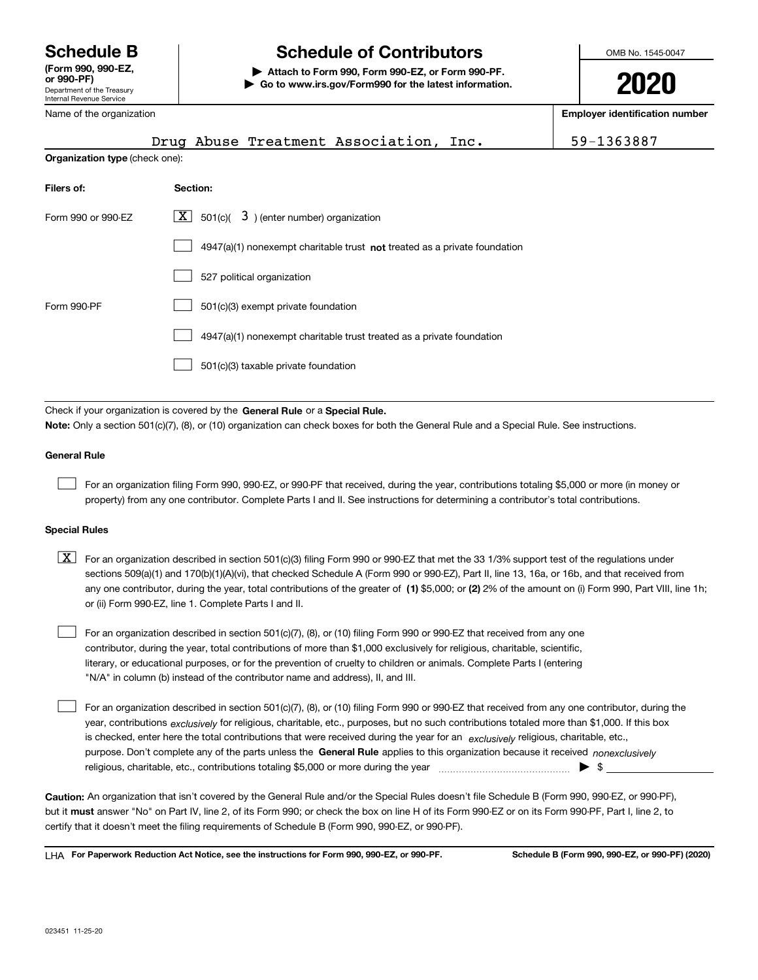Department of the Treasury Internal Revenue Service **(Form 990, 990-EZ, or 990-PF)** Name of the organization

## **Schedule B Schedule of Contributors**

**| Attach to Form 990, Form 990-EZ, or Form 990-PF. | Go to www.irs.gov/Form990 for the latest information.** OMB No. 1545-0047

**2020**

**Employer identification number**

|                                                                  | Drug Abuse Treatment Association,<br>Inc.                                                                                                                                                                                                                                                                                                                                                                                                                                                                 | 59-1363887 |  |  |  |  |  |  |  |
|------------------------------------------------------------------|-----------------------------------------------------------------------------------------------------------------------------------------------------------------------------------------------------------------------------------------------------------------------------------------------------------------------------------------------------------------------------------------------------------------------------------------------------------------------------------------------------------|------------|--|--|--|--|--|--|--|
| Organization type (check one):                                   |                                                                                                                                                                                                                                                                                                                                                                                                                                                                                                           |            |  |  |  |  |  |  |  |
| Filers of:<br>Section:                                           |                                                                                                                                                                                                                                                                                                                                                                                                                                                                                                           |            |  |  |  |  |  |  |  |
| $X$ 501(c)( 3) (enter number) organization<br>Form 990 or 990-EZ |                                                                                                                                                                                                                                                                                                                                                                                                                                                                                                           |            |  |  |  |  |  |  |  |
|                                                                  | 4947(a)(1) nonexempt charitable trust not treated as a private foundation                                                                                                                                                                                                                                                                                                                                                                                                                                 |            |  |  |  |  |  |  |  |
|                                                                  | 527 political organization                                                                                                                                                                                                                                                                                                                                                                                                                                                                                |            |  |  |  |  |  |  |  |
| Form 990-PF                                                      | 501(c)(3) exempt private foundation                                                                                                                                                                                                                                                                                                                                                                                                                                                                       |            |  |  |  |  |  |  |  |
|                                                                  | 4947(a)(1) nonexempt charitable trust treated as a private foundation                                                                                                                                                                                                                                                                                                                                                                                                                                     |            |  |  |  |  |  |  |  |
|                                                                  | 501(c)(3) taxable private foundation                                                                                                                                                                                                                                                                                                                                                                                                                                                                      |            |  |  |  |  |  |  |  |
|                                                                  | Check if your organization is covered by the General Rule or a Special Rule.<br>Note: Only a section 501(c)(7), (8), or (10) organization can check boxes for both the General Rule and a Special Rule. See instructions.                                                                                                                                                                                                                                                                                 |            |  |  |  |  |  |  |  |
| <b>General Rule</b>                                              |                                                                                                                                                                                                                                                                                                                                                                                                                                                                                                           |            |  |  |  |  |  |  |  |
|                                                                  | For an organization filing Form 990, 990-EZ, or 990-PF that received, during the year, contributions totaling \$5,000 or more (in money or<br>property) from any one contributor. Complete Parts I and II. See instructions for determining a contributor's total contributions.                                                                                                                                                                                                                          |            |  |  |  |  |  |  |  |
| <b>Special Rules</b>                                             |                                                                                                                                                                                                                                                                                                                                                                                                                                                                                                           |            |  |  |  |  |  |  |  |
| $\lfloor x \rfloor$                                              | For an organization described in section 501(c)(3) filing Form 990 or 990-EZ that met the 33 1/3% support test of the regulations under<br>sections 509(a)(1) and 170(b)(1)(A)(vi), that checked Schedule A (Form 990 or 990-EZ), Part II, line 13, 16a, or 16b, and that received from<br>any one contributor, during the year, total contributions of the greater of (1) \$5,000; or (2) 2% of the amount on (i) Form 990, Part VIII, line 1h;<br>or (ii) Form 990-EZ, line 1. Complete Parts I and II. |            |  |  |  |  |  |  |  |

For an organization described in section 501(c)(7), (8), or (10) filing Form 990 or 990-EZ that received from any one contributor, during the year, total contributions of more than \$1,000 exclusively for religious, charitable, scientific, literary, or educational purposes, or for the prevention of cruelty to children or animals. Complete Parts I (entering "N/A" in column (b) instead of the contributor name and address), II, and III.

purpose. Don't complete any of the parts unless the **General Rule** applies to this organization because it received *nonexclusively* year, contributions <sub>exclusively</sub> for religious, charitable, etc., purposes, but no such contributions totaled more than \$1,000. If this box is checked, enter here the total contributions that were received during the year for an  $\;$ exclusively religious, charitable, etc., For an organization described in section 501(c)(7), (8), or (10) filing Form 990 or 990-EZ that received from any one contributor, during the religious, charitable, etc., contributions totaling \$5,000 or more during the year  $~$   $~$   $~$   $~$   $~$   $~$   $\sim$   $~$   $\bullet$   $~$   $\sim$   $~$  $\mathcal{L}^{\text{max}}$ 

**Caution:**  An organization that isn't covered by the General Rule and/or the Special Rules doesn't file Schedule B (Form 990, 990-EZ, or 990-PF),  **must** but it answer "No" on Part IV, line 2, of its Form 990; or check the box on line H of its Form 990-EZ or on its Form 990-PF, Part I, line 2, to certify that it doesn't meet the filing requirements of Schedule B (Form 990, 990-EZ, or 990-PF).

**For Paperwork Reduction Act Notice, see the instructions for Form 990, 990-EZ, or 990-PF. Schedule B (Form 990, 990-EZ, or 990-PF) (2020)** LHA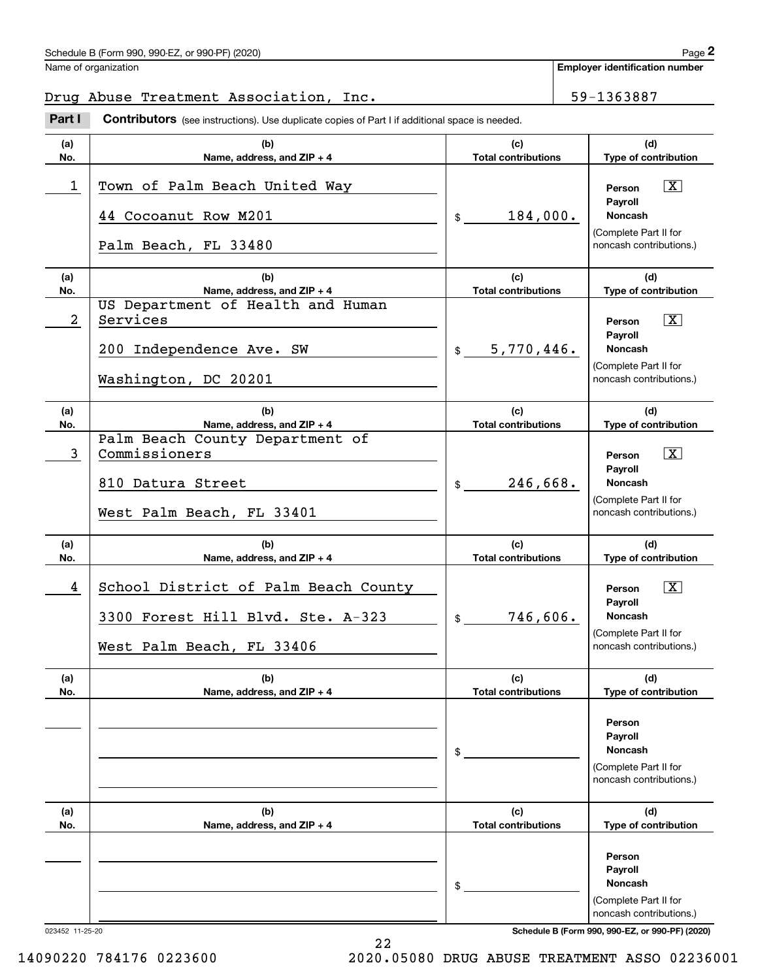Name of organization

**Employer identification number**

## Drug Abuse Treatment Association, Inc. 199-1363887

**(a)No.(b)Name, address, and ZIP + 4 (c)Total contributions (d)Type of contribution PersonPayrollNoncash(a)No.(b)Name, address, and ZIP + 4 (c)Total contributions (d)Type of contribution PersonPayrollNoncash(a)No.(b)Name, address, and ZIP + 4 (c)Total contributions (d)Type of contribution PersonPayrollNoncash(a)No.(b)Name, address, and ZIP + 4 (c) Total contributions (d)Type of contribution PersonPayrollNoncash(a)No.(b)Name, address, and ZIP + 4 (c)Total contributions (d)Type of contribution PersonPayrollNoncash(a)No.(b)Name, address, and ZIP + 4 (c)Total contributions (d)Type of contribution PersonPayrollNoncashContributors** (see instructions). Use duplicate copies of Part I if additional space is needed. \$(Complete Part II for noncash contributions.) \$(Complete Part II for noncash contributions.) \$(Complete Part II for noncash contributions.) \$(Complete Part II for noncash contributions.) \$(Complete Part II for noncash contributions.) \$(Complete Part II for noncash contributions.) **2** Chedule B (Form 990, 990-EZ, or 990-PF) (2020)<br> **2Part Part II**<br> **2Part II Contributors** (see instructions). Use duplicate copies of Part I if additional space is needed.  $\sqrt{X}$  $\boxed{\mathbf{X}}$  $|X|$  $|X|$ 1 X Town of Palm Beach United Way 184,000. 44 Cocoanut Row M201 Palm Beach, FL 33480 2 Services and the services of the services of the services of the services of the services of the services of the services of the services of the service of the service of the service of the service of the service of the 5,770,446. US Department of Health and Human 200 Independence Ave. SW Washington, DC 20201 3 Commissioners and the set of the set of the set of the set of the set of the set of the set of the set of th 246,668. Palm Beach County Department of 810 Datura Street West Palm Beach, FL 33401 4 School District of Palm Beach County | The Reason Towns | Person To 746,606. 3300 Forest Hill Blvd. Ste. A-323 West Palm Beach, FL 33406

22

023452 11-25-20 **Schedule B (Form 990, 990-EZ, or 990-PF) (2020)**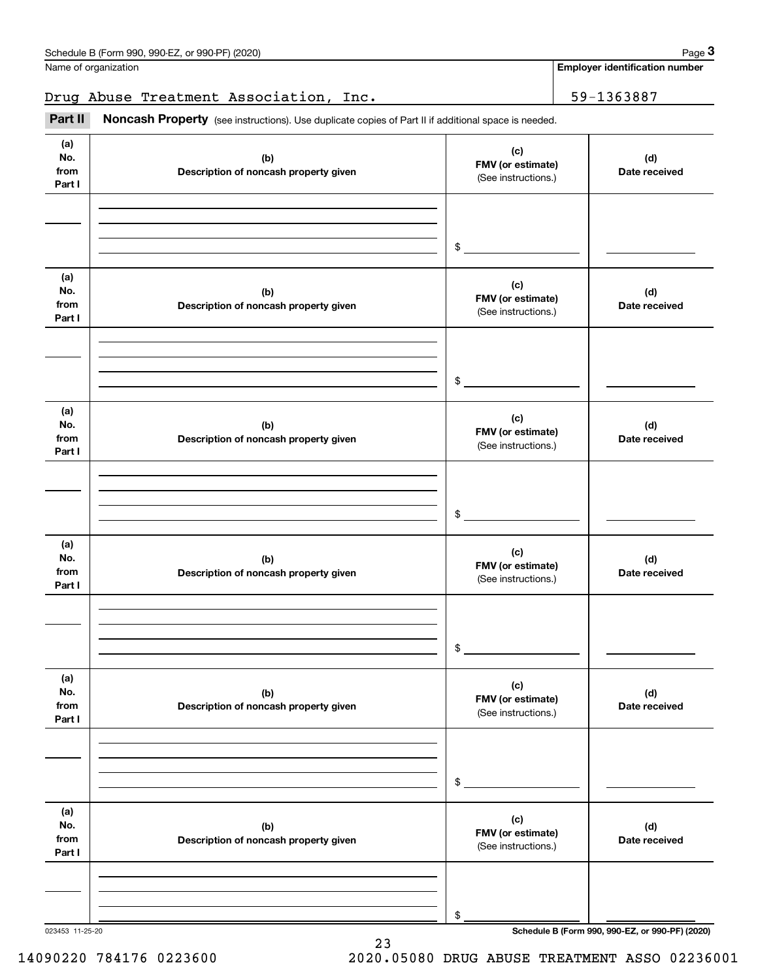| Schedule B (Form 990. 990-EZ. or 990-PF) (2020) | Page |
|-------------------------------------------------|------|
|-------------------------------------------------|------|

Name of organization

Drug Abuse Treatment Association, Inc. 199-1363887

**Employer identification number**

**(a)No.fromPart I (c) FMV (or estimate) (b) Description of noncash property given (d) Date received (a)No.fromPart I (c) FMV (or estimate) (b) Description of noncash property given (d) Date received (a)No.fromPart I (c) FMV (or estimate) (b) Description of noncash property given (d) Date received (a) No.fromPart I (c) FMV (or estimate) (b)Description of noncash property given (d)Date received (a) No.fromPart I (c) FMV (or estimate) (b) Description of noncash property given (d) Date received (a) No.fromPart I (c)FMV (or estimate) (b)Description of noncash property given (d)Date received** Noncash Property (see instructions). Use duplicate copies of Part II if additional space is needed. (See instructions.) \$(See instructions.) \$(See instructions.) \$(See instructions.) \$(See instructions.) \$(See instructions.) \$Employer identification<br>
Jame of organization<br> **3Part II**<br> **3Part II**<br> **1990, 990-EZ, or 990-PF)** (2020)<br> **2Part II**<br> **1990, 1990-1363887<br>
<b>Part II**<br> **1990-1363887**<br> **1990-1363887** 

23

023453 11-25-20 **Schedule B (Form 990, 990-EZ, or 990-PF) (2020)**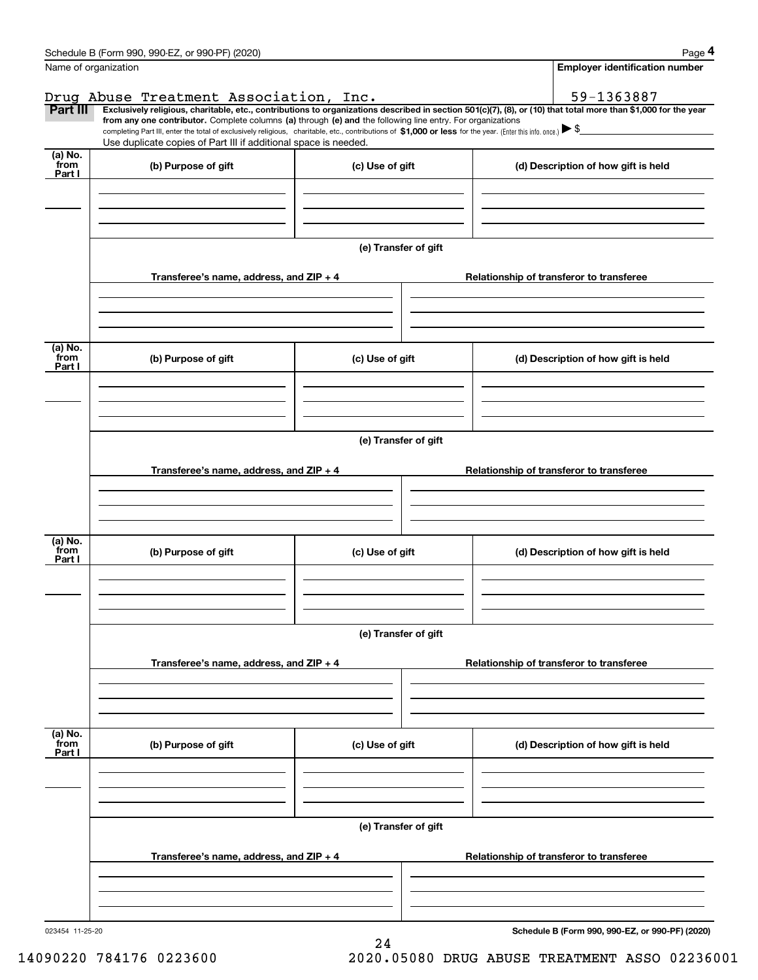|                           | Schedule B (Form 990, 990-EZ, or 990-PF) (2020)                                                                                                                                                                                                                              |                      |                                          | Page 4                                          |  |  |  |  |  |  |
|---------------------------|------------------------------------------------------------------------------------------------------------------------------------------------------------------------------------------------------------------------------------------------------------------------------|----------------------|------------------------------------------|-------------------------------------------------|--|--|--|--|--|--|
|                           | Name of organization                                                                                                                                                                                                                                                         |                      |                                          | <b>Employer identification number</b>           |  |  |  |  |  |  |
|                           | Drug Abuse Treatment Association, Inc.                                                                                                                                                                                                                                       |                      |                                          | 59-1363887                                      |  |  |  |  |  |  |
| Part III                  | Exclusively religious, charitable, etc., contributions to organizations described in section 501(c)(7), (8), or (10) that total more than \$1,000 for the year<br>from any one contributor. Complete columns (a) through (e) and the following line entry. For organizations |                      |                                          |                                                 |  |  |  |  |  |  |
|                           | completing Part III, enter the total of exclusively religious, charitable, etc., contributions of \$1,000 or less for the year. (Enter this info. once.) $\blacktriangleright$ \$                                                                                            |                      |                                          |                                                 |  |  |  |  |  |  |
| (a) No.                   | Use duplicate copies of Part III if additional space is needed.                                                                                                                                                                                                              |                      |                                          |                                                 |  |  |  |  |  |  |
| from<br>Part I            | (b) Purpose of gift                                                                                                                                                                                                                                                          | (c) Use of gift      |                                          | (d) Description of how gift is held             |  |  |  |  |  |  |
|                           |                                                                                                                                                                                                                                                                              |                      |                                          |                                                 |  |  |  |  |  |  |
|                           |                                                                                                                                                                                                                                                                              |                      |                                          |                                                 |  |  |  |  |  |  |
|                           |                                                                                                                                                                                                                                                                              |                      |                                          |                                                 |  |  |  |  |  |  |
|                           |                                                                                                                                                                                                                                                                              | (e) Transfer of gift |                                          |                                                 |  |  |  |  |  |  |
|                           |                                                                                                                                                                                                                                                                              |                      |                                          |                                                 |  |  |  |  |  |  |
|                           | Transferee's name, address, and ZIP + 4                                                                                                                                                                                                                                      |                      |                                          | Relationship of transferor to transferee        |  |  |  |  |  |  |
|                           |                                                                                                                                                                                                                                                                              |                      |                                          |                                                 |  |  |  |  |  |  |
|                           |                                                                                                                                                                                                                                                                              |                      |                                          |                                                 |  |  |  |  |  |  |
|                           |                                                                                                                                                                                                                                                                              |                      |                                          |                                                 |  |  |  |  |  |  |
| (a) No.<br>from<br>Part I | (b) Purpose of gift                                                                                                                                                                                                                                                          | (c) Use of gift      |                                          | (d) Description of how gift is held             |  |  |  |  |  |  |
|                           |                                                                                                                                                                                                                                                                              |                      |                                          |                                                 |  |  |  |  |  |  |
|                           |                                                                                                                                                                                                                                                                              |                      |                                          |                                                 |  |  |  |  |  |  |
|                           |                                                                                                                                                                                                                                                                              |                      |                                          |                                                 |  |  |  |  |  |  |
|                           |                                                                                                                                                                                                                                                                              |                      |                                          |                                                 |  |  |  |  |  |  |
|                           |                                                                                                                                                                                                                                                                              | (e) Transfer of gift |                                          |                                                 |  |  |  |  |  |  |
|                           | Transferee's name, address, and ZIP + 4                                                                                                                                                                                                                                      |                      | Relationship of transferor to transferee |                                                 |  |  |  |  |  |  |
|                           |                                                                                                                                                                                                                                                                              |                      |                                          |                                                 |  |  |  |  |  |  |
|                           |                                                                                                                                                                                                                                                                              |                      |                                          |                                                 |  |  |  |  |  |  |
|                           |                                                                                                                                                                                                                                                                              |                      |                                          |                                                 |  |  |  |  |  |  |
| (a) No.<br>from           | (b) Purpose of gift                                                                                                                                                                                                                                                          | (c) Use of gift      |                                          | (d) Description of how gift is held             |  |  |  |  |  |  |
| Part I                    |                                                                                                                                                                                                                                                                              |                      |                                          |                                                 |  |  |  |  |  |  |
|                           |                                                                                                                                                                                                                                                                              |                      |                                          |                                                 |  |  |  |  |  |  |
|                           |                                                                                                                                                                                                                                                                              |                      |                                          |                                                 |  |  |  |  |  |  |
|                           |                                                                                                                                                                                                                                                                              | (e) Transfer of gift |                                          |                                                 |  |  |  |  |  |  |
|                           |                                                                                                                                                                                                                                                                              |                      |                                          |                                                 |  |  |  |  |  |  |
|                           | Transferee's name, address, and ZIP + 4                                                                                                                                                                                                                                      |                      | Relationship of transferor to transferee |                                                 |  |  |  |  |  |  |
|                           |                                                                                                                                                                                                                                                                              |                      |                                          |                                                 |  |  |  |  |  |  |
|                           |                                                                                                                                                                                                                                                                              |                      |                                          |                                                 |  |  |  |  |  |  |
|                           |                                                                                                                                                                                                                                                                              |                      |                                          |                                                 |  |  |  |  |  |  |
| (a) No.<br>from           | (b) Purpose of gift                                                                                                                                                                                                                                                          | (c) Use of gift      |                                          | (d) Description of how gift is held             |  |  |  |  |  |  |
| Part I                    |                                                                                                                                                                                                                                                                              |                      |                                          |                                                 |  |  |  |  |  |  |
|                           |                                                                                                                                                                                                                                                                              |                      |                                          |                                                 |  |  |  |  |  |  |
|                           |                                                                                                                                                                                                                                                                              |                      |                                          |                                                 |  |  |  |  |  |  |
|                           | (e) Transfer of gift                                                                                                                                                                                                                                                         |                      |                                          |                                                 |  |  |  |  |  |  |
|                           |                                                                                                                                                                                                                                                                              |                      |                                          |                                                 |  |  |  |  |  |  |
|                           | Transferee's name, address, and ZIP + 4                                                                                                                                                                                                                                      |                      |                                          | Relationship of transferor to transferee        |  |  |  |  |  |  |
|                           |                                                                                                                                                                                                                                                                              |                      |                                          |                                                 |  |  |  |  |  |  |
|                           |                                                                                                                                                                                                                                                                              |                      |                                          |                                                 |  |  |  |  |  |  |
|                           |                                                                                                                                                                                                                                                                              |                      |                                          |                                                 |  |  |  |  |  |  |
| 023454 11-25-20           |                                                                                                                                                                                                                                                                              |                      |                                          | Schedule B (Form 990, 990-EZ, or 990-PF) (2020) |  |  |  |  |  |  |
|                           |                                                                                                                                                                                                                                                                              | 24                   |                                          |                                                 |  |  |  |  |  |  |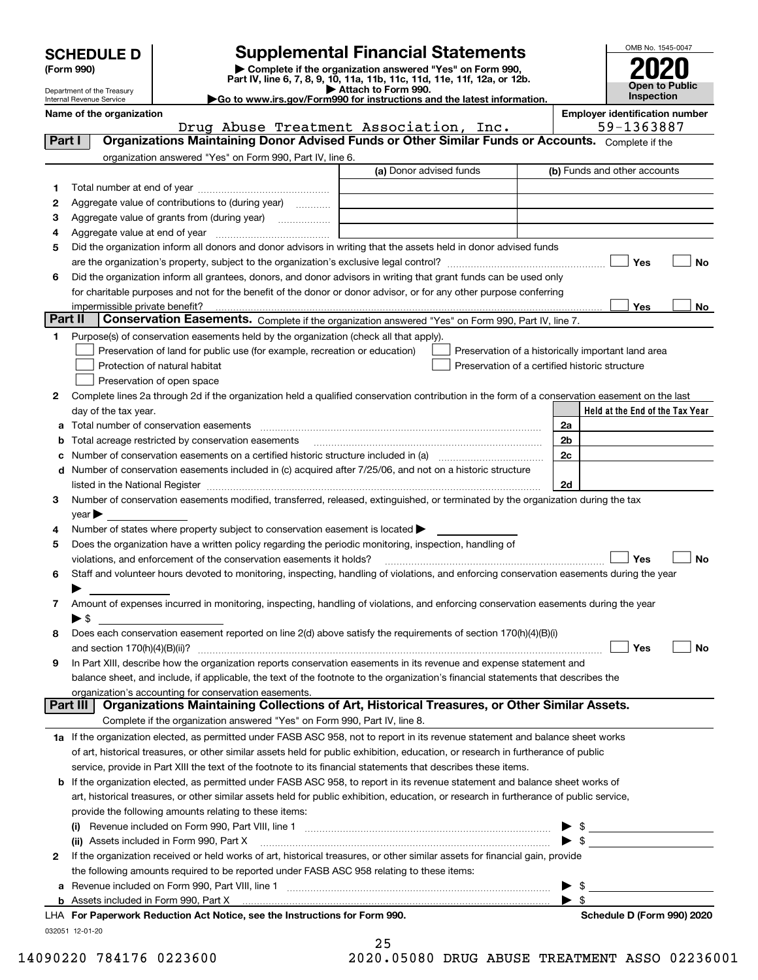Department of the Treasury Internal Revenue Service

## **SCHEDULE D Supplemental Financial Statements**

(Form 990)<br>
Pepartment of the Treasury<br>
Department of the Treasury<br>
Department of the Treasury<br>
Department of the Treasury<br> **Co to www.irs.gov/Form990 for instructions and the latest information.**<br> **Co to www.irs.gov/Form9** 



OMB No. 1545-0047 **Open to Public Inspection2020**

|  |  |  |  | Name of the organization |  |  |
|--|--|--|--|--------------------------|--|--|
|--|--|--|--|--------------------------|--|--|

Drug Abuse Treatment Association, Inc. | 59-1363887

**Name of the organization Employer identification number**

| <b>Part I</b>   |                            | Organizations Maintaining Donor Advised Funds or Other Similar Funds or Accounts. Complete if the                                                                                                                                                        |                         |                                                    |
|-----------------|----------------------------|----------------------------------------------------------------------------------------------------------------------------------------------------------------------------------------------------------------------------------------------------------|-------------------------|----------------------------------------------------|
|                 |                            | organization answered "Yes" on Form 990, Part IV, line 6.                                                                                                                                                                                                |                         |                                                    |
|                 |                            |                                                                                                                                                                                                                                                          | (a) Donor advised funds | (b) Funds and other accounts                       |
| 1.              |                            |                                                                                                                                                                                                                                                          |                         |                                                    |
| 2               |                            | Aggregate value of contributions to (during year)                                                                                                                                                                                                        |                         |                                                    |
| з               |                            | Aggregate value of grants from (during year)                                                                                                                                                                                                             |                         |                                                    |
| 4               |                            |                                                                                                                                                                                                                                                          |                         |                                                    |
| 5               |                            | Did the organization inform all donors and donor advisors in writing that the assets held in donor advised funds                                                                                                                                         |                         |                                                    |
|                 |                            |                                                                                                                                                                                                                                                          |                         | Yes<br>No                                          |
| 6               |                            | Did the organization inform all grantees, donors, and donor advisors in writing that grant funds can be used only                                                                                                                                        |                         |                                                    |
|                 |                            | for charitable purposes and not for the benefit of the donor or donor advisor, or for any other purpose conferring                                                                                                                                       |                         |                                                    |
|                 |                            | impermissible private benefit?                                                                                                                                                                                                                           |                         | Yes<br>No                                          |
| <b>Part II</b>  |                            | <b>Conservation Easements.</b> Complete if the organization answered "Yes" on Form 990, Part IV, line 7.                                                                                                                                                 |                         |                                                    |
| 1               |                            | Purpose(s) of conservation easements held by the organization (check all that apply).                                                                                                                                                                    |                         |                                                    |
|                 |                            | Preservation of land for public use (for example, recreation or education)                                                                                                                                                                               |                         | Preservation of a historically important land area |
|                 |                            | Protection of natural habitat                                                                                                                                                                                                                            |                         | Preservation of a certified historic structure     |
|                 |                            | Preservation of open space                                                                                                                                                                                                                               |                         |                                                    |
| 2               |                            | Complete lines 2a through 2d if the organization held a qualified conservation contribution in the form of a conservation easement on the last                                                                                                           |                         |                                                    |
|                 |                            | day of the tax year.                                                                                                                                                                                                                                     |                         | Held at the End of the Tax Year                    |
|                 |                            | <b>a</b> Total number of conservation easements                                                                                                                                                                                                          |                         | 2a                                                 |
| b               |                            | Total acreage restricted by conservation easements                                                                                                                                                                                                       |                         | 2 <sub>b</sub>                                     |
| c               |                            | Number of conservation easements on a certified historic structure included in (a) manufacture of conservation                                                                                                                                           |                         | 2c                                                 |
| d               |                            | Number of conservation easements included in (c) acquired after 7/25/06, and not on a historic structure                                                                                                                                                 |                         |                                                    |
|                 |                            | listed in the National Register [11, 1200] [12] The National Register [11, 1200] [12] The National Register [11, 1200] [12] The National Register [11, 1200] [12] The National Register [11, 1200] [12] The National Register                            |                         | 2d                                                 |
| з               |                            | Number of conservation easements modified, transferred, released, extinguished, or terminated by the organization during the tax                                                                                                                         |                         |                                                    |
|                 | $year \blacktriangleright$ |                                                                                                                                                                                                                                                          |                         |                                                    |
| 4               |                            | Number of states where property subject to conservation easement is located >                                                                                                                                                                            |                         |                                                    |
| 5               |                            | Does the organization have a written policy regarding the periodic monitoring, inspection, handling of                                                                                                                                                   |                         |                                                    |
|                 |                            | violations, and enforcement of the conservation easements it holds?                                                                                                                                                                                      |                         | Yes<br><b>No</b>                                   |
| 6               |                            | Staff and volunteer hours devoted to monitoring, inspecting, handling of violations, and enforcing conservation easements during the year                                                                                                                |                         |                                                    |
|                 |                            |                                                                                                                                                                                                                                                          |                         |                                                    |
| 7               |                            | Amount of expenses incurred in monitoring, inspecting, handling of violations, and enforcing conservation easements during the year                                                                                                                      |                         |                                                    |
|                 | $\blacktriangleright$ \$   |                                                                                                                                                                                                                                                          |                         |                                                    |
| 8               |                            | Does each conservation easement reported on line 2(d) above satisfy the requirements of section 170(h)(4)(B)(i)                                                                                                                                          |                         | Yes<br>No                                          |
|                 |                            |                                                                                                                                                                                                                                                          |                         |                                                    |
| 9               |                            | In Part XIII, describe how the organization reports conservation easements in its revenue and expense statement and<br>balance sheet, and include, if applicable, the text of the footnote to the organization's financial statements that describes the |                         |                                                    |
|                 |                            |                                                                                                                                                                                                                                                          |                         |                                                    |
| <b>Part III</b> |                            | organization's accounting for conservation easements.<br>Organizations Maintaining Collections of Art, Historical Treasures, or Other Similar Assets.                                                                                                    |                         |                                                    |
|                 |                            | Complete if the organization answered "Yes" on Form 990, Part IV, line 8.                                                                                                                                                                                |                         |                                                    |
|                 |                            | 1a If the organization elected, as permitted under FASB ASC 958, not to report in its revenue statement and balance sheet works                                                                                                                          |                         |                                                    |
|                 |                            | of art, historical treasures, or other similar assets held for public exhibition, education, or research in furtherance of public                                                                                                                        |                         |                                                    |
|                 |                            | service, provide in Part XIII the text of the footnote to its financial statements that describes these items.                                                                                                                                           |                         |                                                    |
|                 |                            | <b>b</b> If the organization elected, as permitted under FASB ASC 958, to report in its revenue statement and balance sheet works of                                                                                                                     |                         |                                                    |
|                 |                            | art, historical treasures, or other similar assets held for public exhibition, education, or research in furtherance of public service,                                                                                                                  |                         |                                                    |
|                 |                            | provide the following amounts relating to these items:                                                                                                                                                                                                   |                         |                                                    |
|                 |                            |                                                                                                                                                                                                                                                          |                         |                                                    |
|                 |                            | (ii) Assets included in Form 990, Part X                                                                                                                                                                                                                 |                         | $\blacktriangleright$ s                            |
| $\mathbf{2}$    |                            | If the organization received or held works of art, historical treasures, or other similar assets for financial gain, provide                                                                                                                             |                         |                                                    |
|                 |                            | the following amounts required to be reported under FASB ASC 958 relating to these items:                                                                                                                                                                |                         |                                                    |
|                 |                            | a Revenue included on Form 990, Part VIII, line 1 [2000] [2000] [2000] [2000] [3000] [3000] [3000] [3000] [3000                                                                                                                                          |                         |                                                    |
|                 |                            | b Assets included in Form 990, Part X [11] [2000] [2010] [2010] [30] Assets included in Form 990, Part X [2010] [2010] [2010] [2010] [2010] [2010] [2010] [2010] [2010] [2010] [2010] [2010] [2010] [2010] [2010] [2010] [2010                           |                         | \$                                                 |
|                 |                            | LHA For Paperwork Reduction Act Notice, see the Instructions for Form 990.                                                                                                                                                                               |                         | Schedule D (Form 990) 2020                         |
|                 | 032051 12-01-20            |                                                                                                                                                                                                                                                          |                         |                                                    |

| 25 |           |  |  |  |
|----|-----------|--|--|--|
| ົ  | 0 F O O O |  |  |  |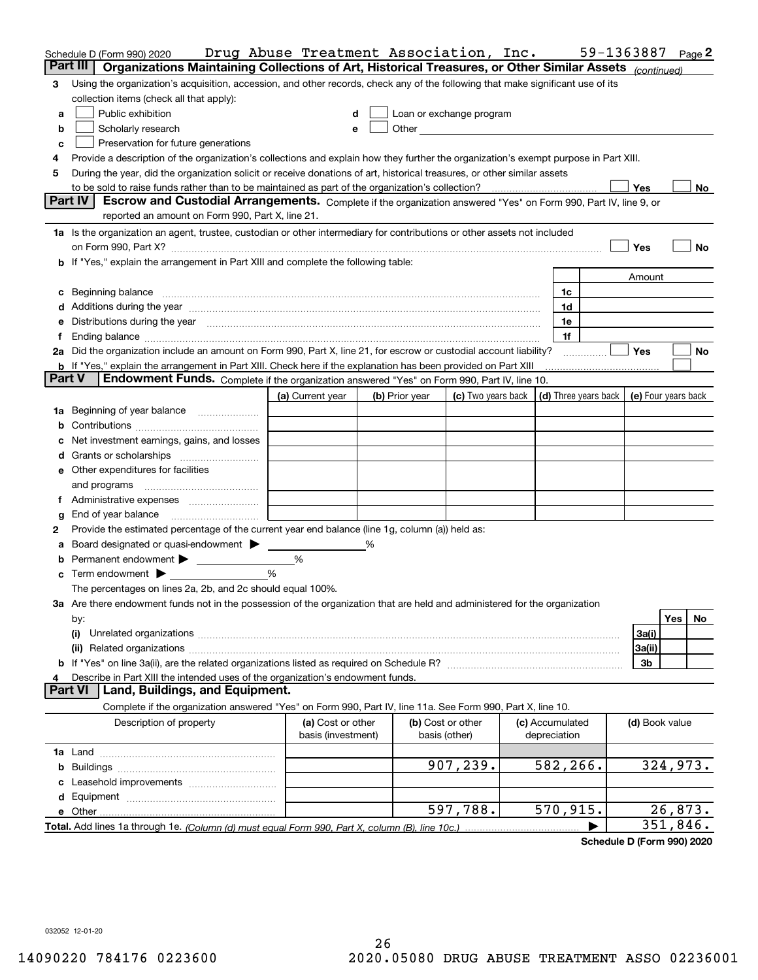| Organizations Maintaining Collections of Art, Historical Treasures, or Other Similar Assets (continued)<br>Part III<br>Using the organization's acquisition, accession, and other records, check any of the following that make significant use of its<br>3<br>collection items (check all that apply):<br>Public exhibition<br>Loan or exchange program<br>a<br>d<br>Other the contract of the contract of the contract of the contract of the contract of the contract of the contract of the contract of the contract of the contract of the contract of the contract of the contract of the cont<br>Scholarly research<br>b<br>е<br>Preservation for future generations<br>c<br>Provide a description of the organization's collections and explain how they further the organization's exempt purpose in Part XIII.<br>4<br>During the year, did the organization solicit or receive donations of art, historical treasures, or other similar assets<br>5<br>Yes<br>No.<br><b>Part IV</b><br>Escrow and Custodial Arrangements. Complete if the organization answered "Yes" on Form 990, Part IV, line 9, or<br>reported an amount on Form 990, Part X, line 21.<br>1a Is the organization an agent, trustee, custodian or other intermediary for contributions or other assets not included<br>Yes<br>No<br>b If "Yes," explain the arrangement in Part XIII and complete the following table:<br>Amount<br>Beginning balance <b>with the contract of the contract of the contract of the contract of the contract of the contract of the contract of the contract of the contract of the contract of the contract of the contract of the co</b><br>1c<br>c<br>1d<br>d Additions during the year measurement contains and a final state of a final state of the state of the state of the state of the state of the state of the state of the state of the state of the state of the state of the s<br>Distributions during the year manufactured and continuum and contact the year manufactured and contact the year<br>1e<br>1f<br>2a Did the organization include an amount on Form 990, Part X, line 21, for escrow or custodial account liability?<br><b>Yes</b><br>No<br><b>b</b> If "Yes," explain the arrangement in Part XIII. Check here if the explanation has been provided on Part XIII<br><b>Part V</b><br>Endowment Funds. Complete if the organization answered "Yes" on Form 990, Part IV, line 10.<br>(b) Prior year<br>(c) Two years back<br>(d) Three years back $\vert$ (e) Four years back<br>(a) Current year<br>Beginning of year balance<br>1a<br>Net investment earnings, gains, and losses<br>a<br><b>e</b> Other expenditures for facilities<br>and programs<br>End of year balance<br>g<br>Provide the estimated percentage of the current year end balance (line 1g, column (a)) held as:<br>2<br>Board designated or quasi-endowment ><br>а<br>Permanent endowment ><br>%<br>Term endowment $\blacktriangleright$<br>%<br>The percentages on lines 2a, 2b, and 2c should equal 100%.<br>3a Are there endowment funds not in the possession of the organization that are held and administered for the organization<br>Yes<br>No<br>by:<br>(i)<br>3a(i)<br>3a(ii)<br>(ii)<br>3b<br>Describe in Part XIII the intended uses of the organization's endowment funds.<br>Land, Buildings, and Equipment.<br><b>Part VI</b><br>Complete if the organization answered "Yes" on Form 990, Part IV, line 11a. See Form 990, Part X, line 10.<br>(b) Cost or other<br>Description of property<br>(a) Cost or other<br>(c) Accumulated<br>(d) Book value<br>basis (investment)<br>depreciation<br>basis (other)<br>907,239.<br>582,266.<br>324,973.<br>b<br>597,788.<br>570, 915.<br>26,873.<br>е<br>351,846. | Schedule D (Form 990) 2020 | Drug Abuse Treatment Association, Inc. |  |  | 59-1363887 |  | Page 2 |
|------------------------------------------------------------------------------------------------------------------------------------------------------------------------------------------------------------------------------------------------------------------------------------------------------------------------------------------------------------------------------------------------------------------------------------------------------------------------------------------------------------------------------------------------------------------------------------------------------------------------------------------------------------------------------------------------------------------------------------------------------------------------------------------------------------------------------------------------------------------------------------------------------------------------------------------------------------------------------------------------------------------------------------------------------------------------------------------------------------------------------------------------------------------------------------------------------------------------------------------------------------------------------------------------------------------------------------------------------------------------------------------------------------------------------------------------------------------------------------------------------------------------------------------------------------------------------------------------------------------------------------------------------------------------------------------------------------------------------------------------------------------------------------------------------------------------------------------------------------------------------------------------------------------------------------------------------------------------------------------------------------------------------------------------------------------------------------------------------------------------------------------------------------------------------------------------------------------------------------------------------------------------------------------------------------------------------------------------------------------------------------------------------------------------------------------------------------------------------------------------------------------------------------------------------------------------------------------------------------------------------------------------------------------------------------------------------------------------------------------------------------------------------------------------------------------------------------------------------------------------------------------------------------------------------------------------------------------------------------------------------------------------------------------------------------------------------------------------------------------------------------------------------------------------------------------------------------------------------------------------------------------------------------------------------------------------------------------------------------------------------------------------------------------------------------------------------------------------------------------------------------------------------------------------------------------------------------------------------------------------------------------------------------------------------------------------------------------------------------------|----------------------------|----------------------------------------|--|--|------------|--|--------|
|                                                                                                                                                                                                                                                                                                                                                                                                                                                                                                                                                                                                                                                                                                                                                                                                                                                                                                                                                                                                                                                                                                                                                                                                                                                                                                                                                                                                                                                                                                                                                                                                                                                                                                                                                                                                                                                                                                                                                                                                                                                                                                                                                                                                                                                                                                                                                                                                                                                                                                                                                                                                                                                                                                                                                                                                                                                                                                                                                                                                                                                                                                                                                                                                                                                                                                                                                                                                                                                                                                                                                                                                                                                                                                                                          |                            |                                        |  |  |            |  |        |
|                                                                                                                                                                                                                                                                                                                                                                                                                                                                                                                                                                                                                                                                                                                                                                                                                                                                                                                                                                                                                                                                                                                                                                                                                                                                                                                                                                                                                                                                                                                                                                                                                                                                                                                                                                                                                                                                                                                                                                                                                                                                                                                                                                                                                                                                                                                                                                                                                                                                                                                                                                                                                                                                                                                                                                                                                                                                                                                                                                                                                                                                                                                                                                                                                                                                                                                                                                                                                                                                                                                                                                                                                                                                                                                                          |                            |                                        |  |  |            |  |        |
|                                                                                                                                                                                                                                                                                                                                                                                                                                                                                                                                                                                                                                                                                                                                                                                                                                                                                                                                                                                                                                                                                                                                                                                                                                                                                                                                                                                                                                                                                                                                                                                                                                                                                                                                                                                                                                                                                                                                                                                                                                                                                                                                                                                                                                                                                                                                                                                                                                                                                                                                                                                                                                                                                                                                                                                                                                                                                                                                                                                                                                                                                                                                                                                                                                                                                                                                                                                                                                                                                                                                                                                                                                                                                                                                          |                            |                                        |  |  |            |  |        |
|                                                                                                                                                                                                                                                                                                                                                                                                                                                                                                                                                                                                                                                                                                                                                                                                                                                                                                                                                                                                                                                                                                                                                                                                                                                                                                                                                                                                                                                                                                                                                                                                                                                                                                                                                                                                                                                                                                                                                                                                                                                                                                                                                                                                                                                                                                                                                                                                                                                                                                                                                                                                                                                                                                                                                                                                                                                                                                                                                                                                                                                                                                                                                                                                                                                                                                                                                                                                                                                                                                                                                                                                                                                                                                                                          |                            |                                        |  |  |            |  |        |
|                                                                                                                                                                                                                                                                                                                                                                                                                                                                                                                                                                                                                                                                                                                                                                                                                                                                                                                                                                                                                                                                                                                                                                                                                                                                                                                                                                                                                                                                                                                                                                                                                                                                                                                                                                                                                                                                                                                                                                                                                                                                                                                                                                                                                                                                                                                                                                                                                                                                                                                                                                                                                                                                                                                                                                                                                                                                                                                                                                                                                                                                                                                                                                                                                                                                                                                                                                                                                                                                                                                                                                                                                                                                                                                                          |                            |                                        |  |  |            |  |        |
|                                                                                                                                                                                                                                                                                                                                                                                                                                                                                                                                                                                                                                                                                                                                                                                                                                                                                                                                                                                                                                                                                                                                                                                                                                                                                                                                                                                                                                                                                                                                                                                                                                                                                                                                                                                                                                                                                                                                                                                                                                                                                                                                                                                                                                                                                                                                                                                                                                                                                                                                                                                                                                                                                                                                                                                                                                                                                                                                                                                                                                                                                                                                                                                                                                                                                                                                                                                                                                                                                                                                                                                                                                                                                                                                          |                            |                                        |  |  |            |  |        |
|                                                                                                                                                                                                                                                                                                                                                                                                                                                                                                                                                                                                                                                                                                                                                                                                                                                                                                                                                                                                                                                                                                                                                                                                                                                                                                                                                                                                                                                                                                                                                                                                                                                                                                                                                                                                                                                                                                                                                                                                                                                                                                                                                                                                                                                                                                                                                                                                                                                                                                                                                                                                                                                                                                                                                                                                                                                                                                                                                                                                                                                                                                                                                                                                                                                                                                                                                                                                                                                                                                                                                                                                                                                                                                                                          |                            |                                        |  |  |            |  |        |
|                                                                                                                                                                                                                                                                                                                                                                                                                                                                                                                                                                                                                                                                                                                                                                                                                                                                                                                                                                                                                                                                                                                                                                                                                                                                                                                                                                                                                                                                                                                                                                                                                                                                                                                                                                                                                                                                                                                                                                                                                                                                                                                                                                                                                                                                                                                                                                                                                                                                                                                                                                                                                                                                                                                                                                                                                                                                                                                                                                                                                                                                                                                                                                                                                                                                                                                                                                                                                                                                                                                                                                                                                                                                                                                                          |                            |                                        |  |  |            |  |        |
|                                                                                                                                                                                                                                                                                                                                                                                                                                                                                                                                                                                                                                                                                                                                                                                                                                                                                                                                                                                                                                                                                                                                                                                                                                                                                                                                                                                                                                                                                                                                                                                                                                                                                                                                                                                                                                                                                                                                                                                                                                                                                                                                                                                                                                                                                                                                                                                                                                                                                                                                                                                                                                                                                                                                                                                                                                                                                                                                                                                                                                                                                                                                                                                                                                                                                                                                                                                                                                                                                                                                                                                                                                                                                                                                          |                            |                                        |  |  |            |  |        |
|                                                                                                                                                                                                                                                                                                                                                                                                                                                                                                                                                                                                                                                                                                                                                                                                                                                                                                                                                                                                                                                                                                                                                                                                                                                                                                                                                                                                                                                                                                                                                                                                                                                                                                                                                                                                                                                                                                                                                                                                                                                                                                                                                                                                                                                                                                                                                                                                                                                                                                                                                                                                                                                                                                                                                                                                                                                                                                                                                                                                                                                                                                                                                                                                                                                                                                                                                                                                                                                                                                                                                                                                                                                                                                                                          |                            |                                        |  |  |            |  |        |
|                                                                                                                                                                                                                                                                                                                                                                                                                                                                                                                                                                                                                                                                                                                                                                                                                                                                                                                                                                                                                                                                                                                                                                                                                                                                                                                                                                                                                                                                                                                                                                                                                                                                                                                                                                                                                                                                                                                                                                                                                                                                                                                                                                                                                                                                                                                                                                                                                                                                                                                                                                                                                                                                                                                                                                                                                                                                                                                                                                                                                                                                                                                                                                                                                                                                                                                                                                                                                                                                                                                                                                                                                                                                                                                                          |                            |                                        |  |  |            |  |        |
|                                                                                                                                                                                                                                                                                                                                                                                                                                                                                                                                                                                                                                                                                                                                                                                                                                                                                                                                                                                                                                                                                                                                                                                                                                                                                                                                                                                                                                                                                                                                                                                                                                                                                                                                                                                                                                                                                                                                                                                                                                                                                                                                                                                                                                                                                                                                                                                                                                                                                                                                                                                                                                                                                                                                                                                                                                                                                                                                                                                                                                                                                                                                                                                                                                                                                                                                                                                                                                                                                                                                                                                                                                                                                                                                          |                            |                                        |  |  |            |  |        |
|                                                                                                                                                                                                                                                                                                                                                                                                                                                                                                                                                                                                                                                                                                                                                                                                                                                                                                                                                                                                                                                                                                                                                                                                                                                                                                                                                                                                                                                                                                                                                                                                                                                                                                                                                                                                                                                                                                                                                                                                                                                                                                                                                                                                                                                                                                                                                                                                                                                                                                                                                                                                                                                                                                                                                                                                                                                                                                                                                                                                                                                                                                                                                                                                                                                                                                                                                                                                                                                                                                                                                                                                                                                                                                                                          |                            |                                        |  |  |            |  |        |
|                                                                                                                                                                                                                                                                                                                                                                                                                                                                                                                                                                                                                                                                                                                                                                                                                                                                                                                                                                                                                                                                                                                                                                                                                                                                                                                                                                                                                                                                                                                                                                                                                                                                                                                                                                                                                                                                                                                                                                                                                                                                                                                                                                                                                                                                                                                                                                                                                                                                                                                                                                                                                                                                                                                                                                                                                                                                                                                                                                                                                                                                                                                                                                                                                                                                                                                                                                                                                                                                                                                                                                                                                                                                                                                                          |                            |                                        |  |  |            |  |        |
|                                                                                                                                                                                                                                                                                                                                                                                                                                                                                                                                                                                                                                                                                                                                                                                                                                                                                                                                                                                                                                                                                                                                                                                                                                                                                                                                                                                                                                                                                                                                                                                                                                                                                                                                                                                                                                                                                                                                                                                                                                                                                                                                                                                                                                                                                                                                                                                                                                                                                                                                                                                                                                                                                                                                                                                                                                                                                                                                                                                                                                                                                                                                                                                                                                                                                                                                                                                                                                                                                                                                                                                                                                                                                                                                          |                            |                                        |  |  |            |  |        |
|                                                                                                                                                                                                                                                                                                                                                                                                                                                                                                                                                                                                                                                                                                                                                                                                                                                                                                                                                                                                                                                                                                                                                                                                                                                                                                                                                                                                                                                                                                                                                                                                                                                                                                                                                                                                                                                                                                                                                                                                                                                                                                                                                                                                                                                                                                                                                                                                                                                                                                                                                                                                                                                                                                                                                                                                                                                                                                                                                                                                                                                                                                                                                                                                                                                                                                                                                                                                                                                                                                                                                                                                                                                                                                                                          |                            |                                        |  |  |            |  |        |
|                                                                                                                                                                                                                                                                                                                                                                                                                                                                                                                                                                                                                                                                                                                                                                                                                                                                                                                                                                                                                                                                                                                                                                                                                                                                                                                                                                                                                                                                                                                                                                                                                                                                                                                                                                                                                                                                                                                                                                                                                                                                                                                                                                                                                                                                                                                                                                                                                                                                                                                                                                                                                                                                                                                                                                                                                                                                                                                                                                                                                                                                                                                                                                                                                                                                                                                                                                                                                                                                                                                                                                                                                                                                                                                                          |                            |                                        |  |  |            |  |        |
|                                                                                                                                                                                                                                                                                                                                                                                                                                                                                                                                                                                                                                                                                                                                                                                                                                                                                                                                                                                                                                                                                                                                                                                                                                                                                                                                                                                                                                                                                                                                                                                                                                                                                                                                                                                                                                                                                                                                                                                                                                                                                                                                                                                                                                                                                                                                                                                                                                                                                                                                                                                                                                                                                                                                                                                                                                                                                                                                                                                                                                                                                                                                                                                                                                                                                                                                                                                                                                                                                                                                                                                                                                                                                                                                          |                            |                                        |  |  |            |  |        |
|                                                                                                                                                                                                                                                                                                                                                                                                                                                                                                                                                                                                                                                                                                                                                                                                                                                                                                                                                                                                                                                                                                                                                                                                                                                                                                                                                                                                                                                                                                                                                                                                                                                                                                                                                                                                                                                                                                                                                                                                                                                                                                                                                                                                                                                                                                                                                                                                                                                                                                                                                                                                                                                                                                                                                                                                                                                                                                                                                                                                                                                                                                                                                                                                                                                                                                                                                                                                                                                                                                                                                                                                                                                                                                                                          |                            |                                        |  |  |            |  |        |
|                                                                                                                                                                                                                                                                                                                                                                                                                                                                                                                                                                                                                                                                                                                                                                                                                                                                                                                                                                                                                                                                                                                                                                                                                                                                                                                                                                                                                                                                                                                                                                                                                                                                                                                                                                                                                                                                                                                                                                                                                                                                                                                                                                                                                                                                                                                                                                                                                                                                                                                                                                                                                                                                                                                                                                                                                                                                                                                                                                                                                                                                                                                                                                                                                                                                                                                                                                                                                                                                                                                                                                                                                                                                                                                                          |                            |                                        |  |  |            |  |        |
|                                                                                                                                                                                                                                                                                                                                                                                                                                                                                                                                                                                                                                                                                                                                                                                                                                                                                                                                                                                                                                                                                                                                                                                                                                                                                                                                                                                                                                                                                                                                                                                                                                                                                                                                                                                                                                                                                                                                                                                                                                                                                                                                                                                                                                                                                                                                                                                                                                                                                                                                                                                                                                                                                                                                                                                                                                                                                                                                                                                                                                                                                                                                                                                                                                                                                                                                                                                                                                                                                                                                                                                                                                                                                                                                          |                            |                                        |  |  |            |  |        |
|                                                                                                                                                                                                                                                                                                                                                                                                                                                                                                                                                                                                                                                                                                                                                                                                                                                                                                                                                                                                                                                                                                                                                                                                                                                                                                                                                                                                                                                                                                                                                                                                                                                                                                                                                                                                                                                                                                                                                                                                                                                                                                                                                                                                                                                                                                                                                                                                                                                                                                                                                                                                                                                                                                                                                                                                                                                                                                                                                                                                                                                                                                                                                                                                                                                                                                                                                                                                                                                                                                                                                                                                                                                                                                                                          |                            |                                        |  |  |            |  |        |
|                                                                                                                                                                                                                                                                                                                                                                                                                                                                                                                                                                                                                                                                                                                                                                                                                                                                                                                                                                                                                                                                                                                                                                                                                                                                                                                                                                                                                                                                                                                                                                                                                                                                                                                                                                                                                                                                                                                                                                                                                                                                                                                                                                                                                                                                                                                                                                                                                                                                                                                                                                                                                                                                                                                                                                                                                                                                                                                                                                                                                                                                                                                                                                                                                                                                                                                                                                                                                                                                                                                                                                                                                                                                                                                                          |                            |                                        |  |  |            |  |        |
|                                                                                                                                                                                                                                                                                                                                                                                                                                                                                                                                                                                                                                                                                                                                                                                                                                                                                                                                                                                                                                                                                                                                                                                                                                                                                                                                                                                                                                                                                                                                                                                                                                                                                                                                                                                                                                                                                                                                                                                                                                                                                                                                                                                                                                                                                                                                                                                                                                                                                                                                                                                                                                                                                                                                                                                                                                                                                                                                                                                                                                                                                                                                                                                                                                                                                                                                                                                                                                                                                                                                                                                                                                                                                                                                          |                            |                                        |  |  |            |  |        |
|                                                                                                                                                                                                                                                                                                                                                                                                                                                                                                                                                                                                                                                                                                                                                                                                                                                                                                                                                                                                                                                                                                                                                                                                                                                                                                                                                                                                                                                                                                                                                                                                                                                                                                                                                                                                                                                                                                                                                                                                                                                                                                                                                                                                                                                                                                                                                                                                                                                                                                                                                                                                                                                                                                                                                                                                                                                                                                                                                                                                                                                                                                                                                                                                                                                                                                                                                                                                                                                                                                                                                                                                                                                                                                                                          |                            |                                        |  |  |            |  |        |
|                                                                                                                                                                                                                                                                                                                                                                                                                                                                                                                                                                                                                                                                                                                                                                                                                                                                                                                                                                                                                                                                                                                                                                                                                                                                                                                                                                                                                                                                                                                                                                                                                                                                                                                                                                                                                                                                                                                                                                                                                                                                                                                                                                                                                                                                                                                                                                                                                                                                                                                                                                                                                                                                                                                                                                                                                                                                                                                                                                                                                                                                                                                                                                                                                                                                                                                                                                                                                                                                                                                                                                                                                                                                                                                                          |                            |                                        |  |  |            |  |        |
|                                                                                                                                                                                                                                                                                                                                                                                                                                                                                                                                                                                                                                                                                                                                                                                                                                                                                                                                                                                                                                                                                                                                                                                                                                                                                                                                                                                                                                                                                                                                                                                                                                                                                                                                                                                                                                                                                                                                                                                                                                                                                                                                                                                                                                                                                                                                                                                                                                                                                                                                                                                                                                                                                                                                                                                                                                                                                                                                                                                                                                                                                                                                                                                                                                                                                                                                                                                                                                                                                                                                                                                                                                                                                                                                          |                            |                                        |  |  |            |  |        |
|                                                                                                                                                                                                                                                                                                                                                                                                                                                                                                                                                                                                                                                                                                                                                                                                                                                                                                                                                                                                                                                                                                                                                                                                                                                                                                                                                                                                                                                                                                                                                                                                                                                                                                                                                                                                                                                                                                                                                                                                                                                                                                                                                                                                                                                                                                                                                                                                                                                                                                                                                                                                                                                                                                                                                                                                                                                                                                                                                                                                                                                                                                                                                                                                                                                                                                                                                                                                                                                                                                                                                                                                                                                                                                                                          |                            |                                        |  |  |            |  |        |
|                                                                                                                                                                                                                                                                                                                                                                                                                                                                                                                                                                                                                                                                                                                                                                                                                                                                                                                                                                                                                                                                                                                                                                                                                                                                                                                                                                                                                                                                                                                                                                                                                                                                                                                                                                                                                                                                                                                                                                                                                                                                                                                                                                                                                                                                                                                                                                                                                                                                                                                                                                                                                                                                                                                                                                                                                                                                                                                                                                                                                                                                                                                                                                                                                                                                                                                                                                                                                                                                                                                                                                                                                                                                                                                                          |                            |                                        |  |  |            |  |        |
|                                                                                                                                                                                                                                                                                                                                                                                                                                                                                                                                                                                                                                                                                                                                                                                                                                                                                                                                                                                                                                                                                                                                                                                                                                                                                                                                                                                                                                                                                                                                                                                                                                                                                                                                                                                                                                                                                                                                                                                                                                                                                                                                                                                                                                                                                                                                                                                                                                                                                                                                                                                                                                                                                                                                                                                                                                                                                                                                                                                                                                                                                                                                                                                                                                                                                                                                                                                                                                                                                                                                                                                                                                                                                                                                          |                            |                                        |  |  |            |  |        |
|                                                                                                                                                                                                                                                                                                                                                                                                                                                                                                                                                                                                                                                                                                                                                                                                                                                                                                                                                                                                                                                                                                                                                                                                                                                                                                                                                                                                                                                                                                                                                                                                                                                                                                                                                                                                                                                                                                                                                                                                                                                                                                                                                                                                                                                                                                                                                                                                                                                                                                                                                                                                                                                                                                                                                                                                                                                                                                                                                                                                                                                                                                                                                                                                                                                                                                                                                                                                                                                                                                                                                                                                                                                                                                                                          |                            |                                        |  |  |            |  |        |
|                                                                                                                                                                                                                                                                                                                                                                                                                                                                                                                                                                                                                                                                                                                                                                                                                                                                                                                                                                                                                                                                                                                                                                                                                                                                                                                                                                                                                                                                                                                                                                                                                                                                                                                                                                                                                                                                                                                                                                                                                                                                                                                                                                                                                                                                                                                                                                                                                                                                                                                                                                                                                                                                                                                                                                                                                                                                                                                                                                                                                                                                                                                                                                                                                                                                                                                                                                                                                                                                                                                                                                                                                                                                                                                                          |                            |                                        |  |  |            |  |        |
|                                                                                                                                                                                                                                                                                                                                                                                                                                                                                                                                                                                                                                                                                                                                                                                                                                                                                                                                                                                                                                                                                                                                                                                                                                                                                                                                                                                                                                                                                                                                                                                                                                                                                                                                                                                                                                                                                                                                                                                                                                                                                                                                                                                                                                                                                                                                                                                                                                                                                                                                                                                                                                                                                                                                                                                                                                                                                                                                                                                                                                                                                                                                                                                                                                                                                                                                                                                                                                                                                                                                                                                                                                                                                                                                          |                            |                                        |  |  |            |  |        |
|                                                                                                                                                                                                                                                                                                                                                                                                                                                                                                                                                                                                                                                                                                                                                                                                                                                                                                                                                                                                                                                                                                                                                                                                                                                                                                                                                                                                                                                                                                                                                                                                                                                                                                                                                                                                                                                                                                                                                                                                                                                                                                                                                                                                                                                                                                                                                                                                                                                                                                                                                                                                                                                                                                                                                                                                                                                                                                                                                                                                                                                                                                                                                                                                                                                                                                                                                                                                                                                                                                                                                                                                                                                                                                                                          |                            |                                        |  |  |            |  |        |
|                                                                                                                                                                                                                                                                                                                                                                                                                                                                                                                                                                                                                                                                                                                                                                                                                                                                                                                                                                                                                                                                                                                                                                                                                                                                                                                                                                                                                                                                                                                                                                                                                                                                                                                                                                                                                                                                                                                                                                                                                                                                                                                                                                                                                                                                                                                                                                                                                                                                                                                                                                                                                                                                                                                                                                                                                                                                                                                                                                                                                                                                                                                                                                                                                                                                                                                                                                                                                                                                                                                                                                                                                                                                                                                                          |                            |                                        |  |  |            |  |        |
|                                                                                                                                                                                                                                                                                                                                                                                                                                                                                                                                                                                                                                                                                                                                                                                                                                                                                                                                                                                                                                                                                                                                                                                                                                                                                                                                                                                                                                                                                                                                                                                                                                                                                                                                                                                                                                                                                                                                                                                                                                                                                                                                                                                                                                                                                                                                                                                                                                                                                                                                                                                                                                                                                                                                                                                                                                                                                                                                                                                                                                                                                                                                                                                                                                                                                                                                                                                                                                                                                                                                                                                                                                                                                                                                          |                            |                                        |  |  |            |  |        |
|                                                                                                                                                                                                                                                                                                                                                                                                                                                                                                                                                                                                                                                                                                                                                                                                                                                                                                                                                                                                                                                                                                                                                                                                                                                                                                                                                                                                                                                                                                                                                                                                                                                                                                                                                                                                                                                                                                                                                                                                                                                                                                                                                                                                                                                                                                                                                                                                                                                                                                                                                                                                                                                                                                                                                                                                                                                                                                                                                                                                                                                                                                                                                                                                                                                                                                                                                                                                                                                                                                                                                                                                                                                                                                                                          |                            |                                        |  |  |            |  |        |
|                                                                                                                                                                                                                                                                                                                                                                                                                                                                                                                                                                                                                                                                                                                                                                                                                                                                                                                                                                                                                                                                                                                                                                                                                                                                                                                                                                                                                                                                                                                                                                                                                                                                                                                                                                                                                                                                                                                                                                                                                                                                                                                                                                                                                                                                                                                                                                                                                                                                                                                                                                                                                                                                                                                                                                                                                                                                                                                                                                                                                                                                                                                                                                                                                                                                                                                                                                                                                                                                                                                                                                                                                                                                                                                                          |                            |                                        |  |  |            |  |        |
|                                                                                                                                                                                                                                                                                                                                                                                                                                                                                                                                                                                                                                                                                                                                                                                                                                                                                                                                                                                                                                                                                                                                                                                                                                                                                                                                                                                                                                                                                                                                                                                                                                                                                                                                                                                                                                                                                                                                                                                                                                                                                                                                                                                                                                                                                                                                                                                                                                                                                                                                                                                                                                                                                                                                                                                                                                                                                                                                                                                                                                                                                                                                                                                                                                                                                                                                                                                                                                                                                                                                                                                                                                                                                                                                          |                            |                                        |  |  |            |  |        |
|                                                                                                                                                                                                                                                                                                                                                                                                                                                                                                                                                                                                                                                                                                                                                                                                                                                                                                                                                                                                                                                                                                                                                                                                                                                                                                                                                                                                                                                                                                                                                                                                                                                                                                                                                                                                                                                                                                                                                                                                                                                                                                                                                                                                                                                                                                                                                                                                                                                                                                                                                                                                                                                                                                                                                                                                                                                                                                                                                                                                                                                                                                                                                                                                                                                                                                                                                                                                                                                                                                                                                                                                                                                                                                                                          |                            |                                        |  |  |            |  |        |
|                                                                                                                                                                                                                                                                                                                                                                                                                                                                                                                                                                                                                                                                                                                                                                                                                                                                                                                                                                                                                                                                                                                                                                                                                                                                                                                                                                                                                                                                                                                                                                                                                                                                                                                                                                                                                                                                                                                                                                                                                                                                                                                                                                                                                                                                                                                                                                                                                                                                                                                                                                                                                                                                                                                                                                                                                                                                                                                                                                                                                                                                                                                                                                                                                                                                                                                                                                                                                                                                                                                                                                                                                                                                                                                                          |                            |                                        |  |  |            |  |        |
|                                                                                                                                                                                                                                                                                                                                                                                                                                                                                                                                                                                                                                                                                                                                                                                                                                                                                                                                                                                                                                                                                                                                                                                                                                                                                                                                                                                                                                                                                                                                                                                                                                                                                                                                                                                                                                                                                                                                                                                                                                                                                                                                                                                                                                                                                                                                                                                                                                                                                                                                                                                                                                                                                                                                                                                                                                                                                                                                                                                                                                                                                                                                                                                                                                                                                                                                                                                                                                                                                                                                                                                                                                                                                                                                          |                            |                                        |  |  |            |  |        |
|                                                                                                                                                                                                                                                                                                                                                                                                                                                                                                                                                                                                                                                                                                                                                                                                                                                                                                                                                                                                                                                                                                                                                                                                                                                                                                                                                                                                                                                                                                                                                                                                                                                                                                                                                                                                                                                                                                                                                                                                                                                                                                                                                                                                                                                                                                                                                                                                                                                                                                                                                                                                                                                                                                                                                                                                                                                                                                                                                                                                                                                                                                                                                                                                                                                                                                                                                                                                                                                                                                                                                                                                                                                                                                                                          |                            |                                        |  |  |            |  |        |
|                                                                                                                                                                                                                                                                                                                                                                                                                                                                                                                                                                                                                                                                                                                                                                                                                                                                                                                                                                                                                                                                                                                                                                                                                                                                                                                                                                                                                                                                                                                                                                                                                                                                                                                                                                                                                                                                                                                                                                                                                                                                                                                                                                                                                                                                                                                                                                                                                                                                                                                                                                                                                                                                                                                                                                                                                                                                                                                                                                                                                                                                                                                                                                                                                                                                                                                                                                                                                                                                                                                                                                                                                                                                                                                                          |                            |                                        |  |  |            |  |        |
|                                                                                                                                                                                                                                                                                                                                                                                                                                                                                                                                                                                                                                                                                                                                                                                                                                                                                                                                                                                                                                                                                                                                                                                                                                                                                                                                                                                                                                                                                                                                                                                                                                                                                                                                                                                                                                                                                                                                                                                                                                                                                                                                                                                                                                                                                                                                                                                                                                                                                                                                                                                                                                                                                                                                                                                                                                                                                                                                                                                                                                                                                                                                                                                                                                                                                                                                                                                                                                                                                                                                                                                                                                                                                                                                          |                            |                                        |  |  |            |  |        |
|                                                                                                                                                                                                                                                                                                                                                                                                                                                                                                                                                                                                                                                                                                                                                                                                                                                                                                                                                                                                                                                                                                                                                                                                                                                                                                                                                                                                                                                                                                                                                                                                                                                                                                                                                                                                                                                                                                                                                                                                                                                                                                                                                                                                                                                                                                                                                                                                                                                                                                                                                                                                                                                                                                                                                                                                                                                                                                                                                                                                                                                                                                                                                                                                                                                                                                                                                                                                                                                                                                                                                                                                                                                                                                                                          |                            |                                        |  |  |            |  |        |
|                                                                                                                                                                                                                                                                                                                                                                                                                                                                                                                                                                                                                                                                                                                                                                                                                                                                                                                                                                                                                                                                                                                                                                                                                                                                                                                                                                                                                                                                                                                                                                                                                                                                                                                                                                                                                                                                                                                                                                                                                                                                                                                                                                                                                                                                                                                                                                                                                                                                                                                                                                                                                                                                                                                                                                                                                                                                                                                                                                                                                                                                                                                                                                                                                                                                                                                                                                                                                                                                                                                                                                                                                                                                                                                                          |                            |                                        |  |  |            |  |        |
|                                                                                                                                                                                                                                                                                                                                                                                                                                                                                                                                                                                                                                                                                                                                                                                                                                                                                                                                                                                                                                                                                                                                                                                                                                                                                                                                                                                                                                                                                                                                                                                                                                                                                                                                                                                                                                                                                                                                                                                                                                                                                                                                                                                                                                                                                                                                                                                                                                                                                                                                                                                                                                                                                                                                                                                                                                                                                                                                                                                                                                                                                                                                                                                                                                                                                                                                                                                                                                                                                                                                                                                                                                                                                                                                          |                            |                                        |  |  |            |  |        |
|                                                                                                                                                                                                                                                                                                                                                                                                                                                                                                                                                                                                                                                                                                                                                                                                                                                                                                                                                                                                                                                                                                                                                                                                                                                                                                                                                                                                                                                                                                                                                                                                                                                                                                                                                                                                                                                                                                                                                                                                                                                                                                                                                                                                                                                                                                                                                                                                                                                                                                                                                                                                                                                                                                                                                                                                                                                                                                                                                                                                                                                                                                                                                                                                                                                                                                                                                                                                                                                                                                                                                                                                                                                                                                                                          |                            |                                        |  |  |            |  |        |
|                                                                                                                                                                                                                                                                                                                                                                                                                                                                                                                                                                                                                                                                                                                                                                                                                                                                                                                                                                                                                                                                                                                                                                                                                                                                                                                                                                                                                                                                                                                                                                                                                                                                                                                                                                                                                                                                                                                                                                                                                                                                                                                                                                                                                                                                                                                                                                                                                                                                                                                                                                                                                                                                                                                                                                                                                                                                                                                                                                                                                                                                                                                                                                                                                                                                                                                                                                                                                                                                                                                                                                                                                                                                                                                                          |                            |                                        |  |  |            |  |        |

**Schedule D (Form 990) 2020**

032052 12-01-20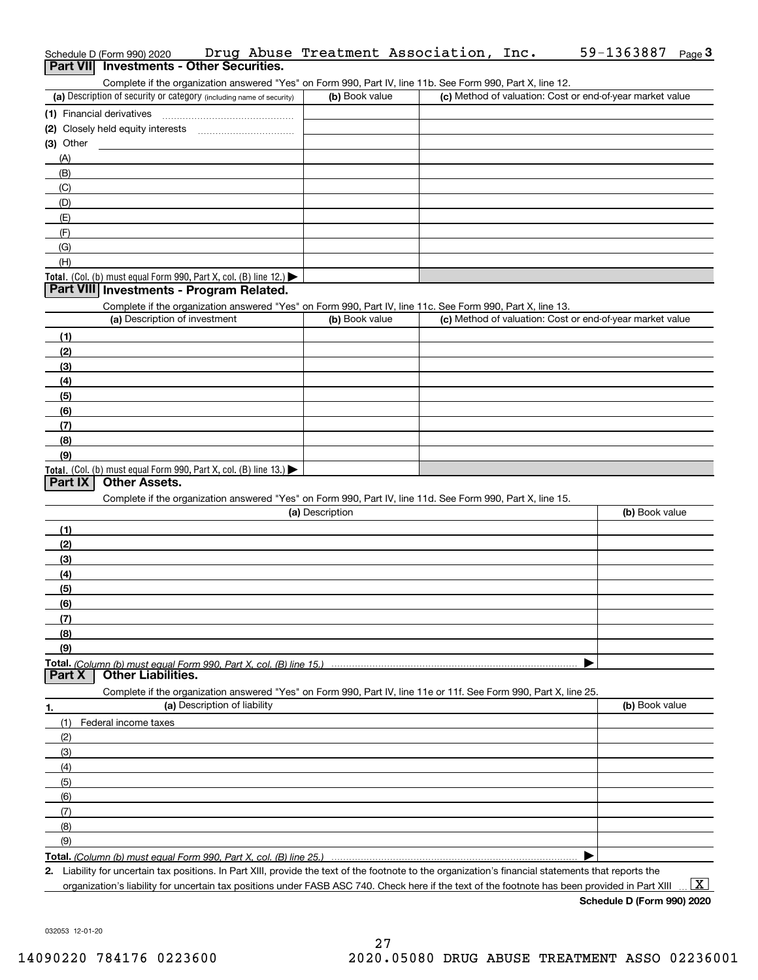|             | Schedule D (Form 990) 2020                                                               |                              | Drug Abuse Treatment Association, Inc.                                                                                        |  | 59-1363887<br>Page $3$                                                                                                                               |
|-------------|------------------------------------------------------------------------------------------|------------------------------|-------------------------------------------------------------------------------------------------------------------------------|--|------------------------------------------------------------------------------------------------------------------------------------------------------|
|             | Part VII Investments - Other Securities.                                                 |                              |                                                                                                                               |  |                                                                                                                                                      |
|             |                                                                                          |                              | Complete if the organization answered "Yes" on Form 990, Part IV, line 11b. See Form 990, Part X, line 12.                    |  |                                                                                                                                                      |
|             | (a) Description of security or category (including name of security)                     |                              | (b) Book value                                                                                                                |  | (c) Method of valuation: Cost or end-of-year market value                                                                                            |
|             |                                                                                          |                              |                                                                                                                               |  |                                                                                                                                                      |
|             |                                                                                          |                              |                                                                                                                               |  |                                                                                                                                                      |
| $(3)$ Other |                                                                                          |                              |                                                                                                                               |  |                                                                                                                                                      |
| (A)         |                                                                                          |                              |                                                                                                                               |  |                                                                                                                                                      |
| (B)         |                                                                                          |                              |                                                                                                                               |  |                                                                                                                                                      |
| (C)         |                                                                                          |                              |                                                                                                                               |  |                                                                                                                                                      |
| (D)         |                                                                                          |                              |                                                                                                                               |  |                                                                                                                                                      |
| (E)<br>(F)  |                                                                                          |                              |                                                                                                                               |  |                                                                                                                                                      |
| (G)         |                                                                                          |                              |                                                                                                                               |  |                                                                                                                                                      |
| (H)         |                                                                                          |                              |                                                                                                                               |  |                                                                                                                                                      |
|             | Total. (Col. (b) must equal Form 990, Part X, col. (B) line 12.) $\blacktriangleright$   |                              |                                                                                                                               |  |                                                                                                                                                      |
|             | Part VIII Investments - Program Related.                                                 |                              |                                                                                                                               |  |                                                                                                                                                      |
|             |                                                                                          |                              | Complete if the organization answered "Yes" on Form 990, Part IV, line 11c. See Form 990, Part X, line 13.                    |  |                                                                                                                                                      |
|             | (a) Description of investment                                                            |                              | (b) Book value                                                                                                                |  | (c) Method of valuation: Cost or end-of-year market value                                                                                            |
| (1)         |                                                                                          |                              |                                                                                                                               |  |                                                                                                                                                      |
| (2)         |                                                                                          |                              |                                                                                                                               |  |                                                                                                                                                      |
| (3)         |                                                                                          |                              |                                                                                                                               |  |                                                                                                                                                      |
| (4)         |                                                                                          |                              |                                                                                                                               |  |                                                                                                                                                      |
| (5)         |                                                                                          |                              |                                                                                                                               |  |                                                                                                                                                      |
| (6)         |                                                                                          |                              |                                                                                                                               |  |                                                                                                                                                      |
| (7)         |                                                                                          |                              |                                                                                                                               |  |                                                                                                                                                      |
| (8)         |                                                                                          |                              |                                                                                                                               |  |                                                                                                                                                      |
| (9)         |                                                                                          |                              |                                                                                                                               |  |                                                                                                                                                      |
| Part IX     | Total. (Col. (b) must equal Form 990, Part X, col. (B) line 13.)<br><b>Other Assets.</b> |                              |                                                                                                                               |  |                                                                                                                                                      |
|             |                                                                                          |                              |                                                                                                                               |  |                                                                                                                                                      |
|             |                                                                                          |                              | Complete if the organization answered "Yes" on Form 990, Part IV, line 11d. See Form 990, Part X, line 15.<br>(a) Description |  | (b) Book value                                                                                                                                       |
| (1)         |                                                                                          |                              |                                                                                                                               |  |                                                                                                                                                      |
| (2)         |                                                                                          |                              |                                                                                                                               |  |                                                                                                                                                      |
| (3)         |                                                                                          |                              |                                                                                                                               |  |                                                                                                                                                      |
| (4)         |                                                                                          |                              |                                                                                                                               |  |                                                                                                                                                      |
| (5)         |                                                                                          |                              |                                                                                                                               |  |                                                                                                                                                      |
| (6)         |                                                                                          |                              |                                                                                                                               |  |                                                                                                                                                      |
| (7)         |                                                                                          |                              |                                                                                                                               |  |                                                                                                                                                      |
| (8)         |                                                                                          |                              |                                                                                                                               |  |                                                                                                                                                      |
| (9)         |                                                                                          |                              |                                                                                                                               |  |                                                                                                                                                      |
|             |                                                                                          |                              |                                                                                                                               |  |                                                                                                                                                      |
| Part X      | <b>Other Liabilities.</b>                                                                |                              |                                                                                                                               |  |                                                                                                                                                      |
|             |                                                                                          |                              | Complete if the organization answered "Yes" on Form 990, Part IV, line 11e or 11f. See Form 990, Part X, line 25.             |  |                                                                                                                                                      |
| 1.          |                                                                                          | (a) Description of liability |                                                                                                                               |  | (b) Book value                                                                                                                                       |
| (1)         | Federal income taxes                                                                     |                              |                                                                                                                               |  |                                                                                                                                                      |
| (2)         |                                                                                          |                              |                                                                                                                               |  |                                                                                                                                                      |
| (3)         |                                                                                          |                              |                                                                                                                               |  |                                                                                                                                                      |
| (4)         |                                                                                          |                              |                                                                                                                               |  |                                                                                                                                                      |
| (5)         |                                                                                          |                              |                                                                                                                               |  |                                                                                                                                                      |
| (6)         |                                                                                          |                              |                                                                                                                               |  |                                                                                                                                                      |
| (7)         |                                                                                          |                              |                                                                                                                               |  |                                                                                                                                                      |
| (8)         |                                                                                          |                              |                                                                                                                               |  |                                                                                                                                                      |
| (9)         |                                                                                          |                              |                                                                                                                               |  |                                                                                                                                                      |
|             | Total. (Column (b) must equal Form 990, Part X, col. (B) line 25.)                       |                              |                                                                                                                               |  |                                                                                                                                                      |
|             |                                                                                          |                              |                                                                                                                               |  | 2. Liability for uncertain tax positions. In Part XIII, provide the text of the footnote to the organization's financial statements that reports the |

organization's liability for uncertain tax positions under FASB ASC 740. Check here if the text of the footnote has been provided in Part XIII  $\,$  ...  $\overline{\rm X}$ 

**Schedule D (Form 990) 2020**

032053 12-01-20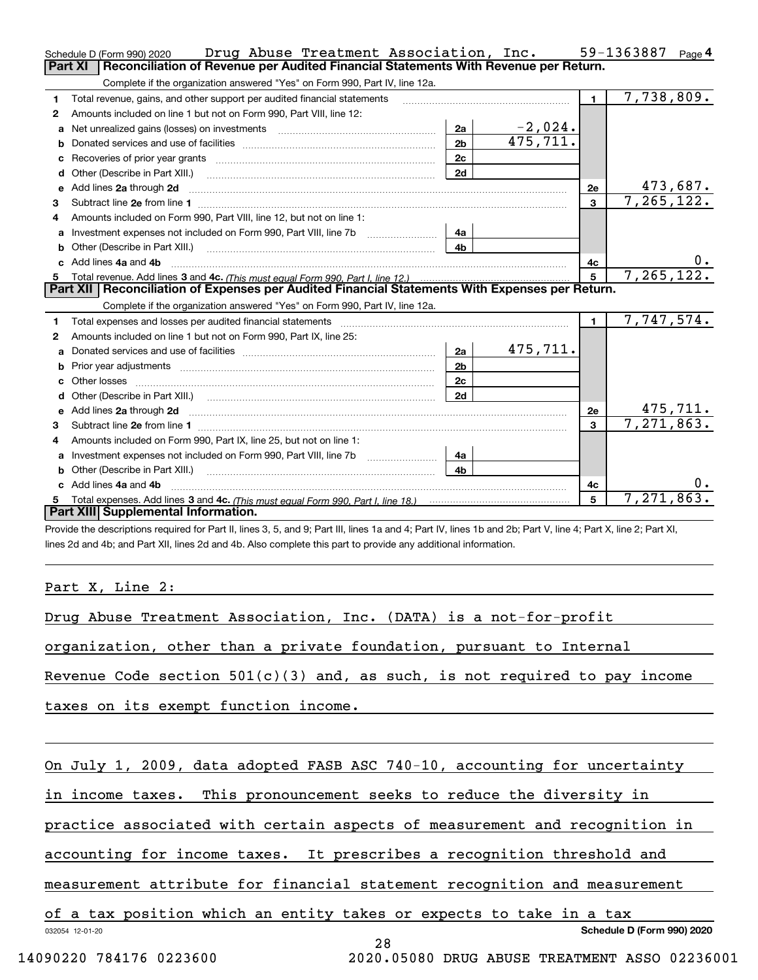|    | Drug Abuse Treatment Association, Inc.<br>Schedule D (Form 990) 2020                                                                                                                                                           |                |              |                | 59-1363887   | Page 4   |
|----|--------------------------------------------------------------------------------------------------------------------------------------------------------------------------------------------------------------------------------|----------------|--------------|----------------|--------------|----------|
|    | Reconciliation of Revenue per Audited Financial Statements With Revenue per Return.<br>Part XI                                                                                                                                 |                |              |                |              |          |
|    | Complete if the organization answered "Yes" on Form 990, Part IV, line 12a.                                                                                                                                                    |                |              |                |              |          |
| 1  | Total revenue, gains, and other support per audited financial statements                                                                                                                                                       |                |              | $\blacksquare$ | 7,738,809.   |          |
| 2  | Amounts included on line 1 but not on Form 990, Part VIII, line 12:                                                                                                                                                            |                |              |                |              |          |
| а  |                                                                                                                                                                                                                                | 2a             | $-2,024.$    |                |              |          |
| b  |                                                                                                                                                                                                                                | 2 <sub>b</sub> | 475, 711.    |                |              |          |
| с  |                                                                                                                                                                                                                                | 2c             |              |                |              |          |
| d  |                                                                                                                                                                                                                                | 2d             |              |                |              |          |
| е  | Add lines 2a through 2d <b>contract and a contract and a contract a</b> contract a contract and a contract a contract a                                                                                                        |                |              | 2e             |              | 473,687. |
| 3  |                                                                                                                                                                                                                                |                |              | 3              | 7, 265, 122. |          |
| 4  | Amounts included on Form 990, Part VIII, line 12, but not on line 1:                                                                                                                                                           |                |              |                |              |          |
| a  | Investment expenses not included on Form 990, Part VIII, line 7b                                                                                                                                                               | 4a             |              |                |              |          |
| b  | Other (Describe in Part XIII.)                                                                                                                                                                                                 | 4b             |              |                |              |          |
| c. | Add lines 4a and 4b                                                                                                                                                                                                            |                |              | 4с             |              | 0.       |
|    |                                                                                                                                                                                                                                | 5 <sup>5</sup> | 7, 265, 122. |                |              |          |
|    | Part XII   Reconciliation of Expenses per Audited Financial Statements With Expenses per Return.                                                                                                                               |                |              |                |              |          |
|    | Complete if the organization answered "Yes" on Form 990, Part IV, line 12a.                                                                                                                                                    |                |              |                |              |          |
| 1  | Total expenses and losses per audited financial statements [11] [12] contain an intervention and contain a statements [13] [13] and the statements [13] [13] and the statements [13] and the statements [13] and the statement |                |              | $\mathbf{1}$   | 7,747,574.   |          |
| 2  | Amounts included on line 1 but not on Form 990, Part IX, line 25:                                                                                                                                                              |                |              |                |              |          |
| a  |                                                                                                                                                                                                                                | 2a             | 475,711.     |                |              |          |
| b  |                                                                                                                                                                                                                                | 2 <sub>b</sub> |              |                |              |          |
| c  |                                                                                                                                                                                                                                | 2 <sub>c</sub> |              |                |              |          |
| d  |                                                                                                                                                                                                                                | 2d             |              |                |              |          |
| е  |                                                                                                                                                                                                                                |                |              | <b>2e</b>      |              | 475,711. |
| 3  |                                                                                                                                                                                                                                |                |              | $\overline{3}$ | 7,271,863.   |          |
| 4  | Amounts included on Form 990, Part IX, line 25, but not on line 1:                                                                                                                                                             |                |              |                |              |          |
| a  |                                                                                                                                                                                                                                | 4a             |              |                |              |          |
| b  | Other (Describe in Part XIII.) [100] [100] [100] [100] [100] [100] [100] [100] [100] [100] [100] [100] [100] [                                                                                                                 | 4h             |              |                |              |          |
|    | Add lines 4a and 4b                                                                                                                                                                                                            |                |              | 4c             |              | 0.       |
| 5. |                                                                                                                                                                                                                                |                |              | $\overline{5}$ | 7, 271, 863. |          |
|    | Part XIII Supplemental Information.                                                                                                                                                                                            |                |              |                |              |          |
|    | Provide the descriptions required for Part II, lines 3, 5, and 9; Part III, lines 1a and 4; Part IV, lines 1b and 2b; Part V, line 4; Part X, line 2; Part XI,                                                                 |                |              |                |              |          |
|    | lines 2d and 4b; and Part XII, lines 2d and 4b. Also complete this part to provide any additional information.                                                                                                                 |                |              |                |              |          |

Part X, Line 2: 2008

| organization, other than a private foundation, pursuant to Internal          |
|------------------------------------------------------------------------------|
|                                                                              |
| Revenue Code section $501(c)(3)$ and, as such, is not required to pay income |
| taxes on its exempt function income.                                         |
|                                                                              |
| On July 1, 2009, data adopted FASB ASC 740-10, accounting for uncertainty    |
| in income taxes. This pronouncement seeks to reduce the diversity in         |
| practice associated with certain aspects of measurement and recognition in   |
| accounting for income taxes. It prescribes a recognition threshold and       |
| measurement attribute for financial statement recognition and measurement    |
| of a tax position which an entity takes or expects to take in a tax          |
| Schedule D (Form 990) 2020<br>032054 12-01-20<br>28                          |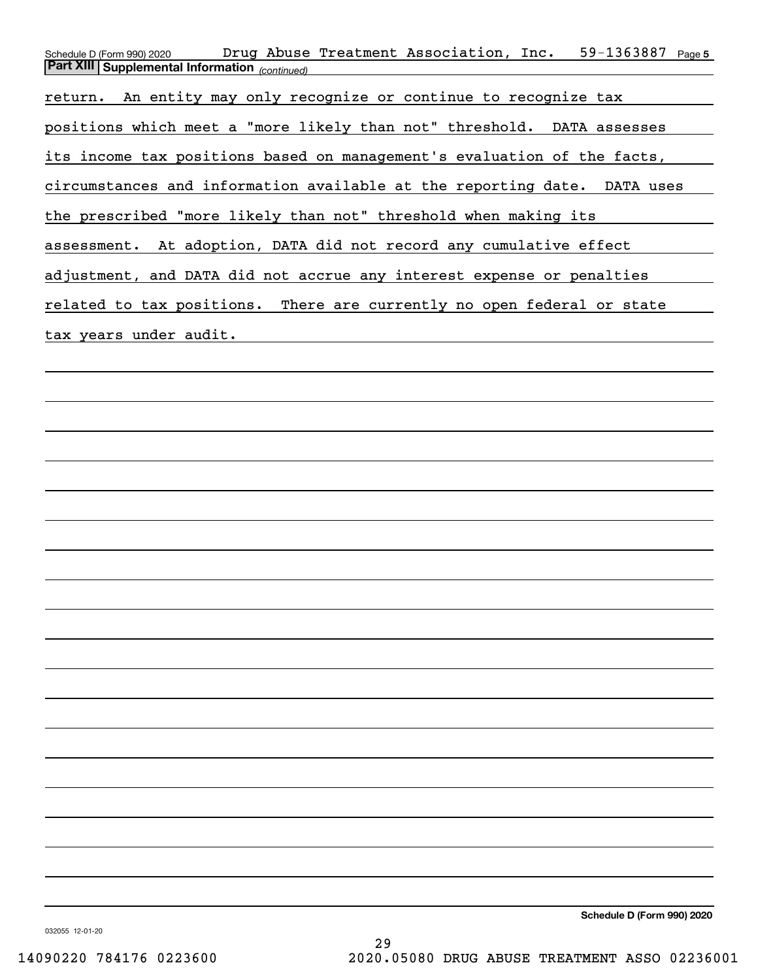| An entity may only recognize or continue to recognize tax<br>return.<br>positions which meet a "more likely than not" threshold. DATA assesses<br>its income tax positions based on management's evaluation of the facts,<br>circumstances and information available at the reporting date. DATA uses<br>the prescribed "more likely than not" threshold when making its<br>At adoption, DATA did not record any cumulative effect<br>assessment.<br>adjustment, and DATA did not accrue any interest expense or penalties<br>related to tax positions.<br>There are currently no open federal or state<br>tax years under audit. | Drug Abuse Treatment Association, Inc.<br>59-1363887<br>Page 5<br>Schedule D (Form 990) 2020<br><b>Part XIII Supplemental Information</b> (continued) |
|-----------------------------------------------------------------------------------------------------------------------------------------------------------------------------------------------------------------------------------------------------------------------------------------------------------------------------------------------------------------------------------------------------------------------------------------------------------------------------------------------------------------------------------------------------------------------------------------------------------------------------------|-------------------------------------------------------------------------------------------------------------------------------------------------------|
|                                                                                                                                                                                                                                                                                                                                                                                                                                                                                                                                                                                                                                   |                                                                                                                                                       |
|                                                                                                                                                                                                                                                                                                                                                                                                                                                                                                                                                                                                                                   |                                                                                                                                                       |
|                                                                                                                                                                                                                                                                                                                                                                                                                                                                                                                                                                                                                                   |                                                                                                                                                       |
|                                                                                                                                                                                                                                                                                                                                                                                                                                                                                                                                                                                                                                   |                                                                                                                                                       |
|                                                                                                                                                                                                                                                                                                                                                                                                                                                                                                                                                                                                                                   |                                                                                                                                                       |
|                                                                                                                                                                                                                                                                                                                                                                                                                                                                                                                                                                                                                                   |                                                                                                                                                       |
|                                                                                                                                                                                                                                                                                                                                                                                                                                                                                                                                                                                                                                   |                                                                                                                                                       |
|                                                                                                                                                                                                                                                                                                                                                                                                                                                                                                                                                                                                                                   |                                                                                                                                                       |
|                                                                                                                                                                                                                                                                                                                                                                                                                                                                                                                                                                                                                                   |                                                                                                                                                       |
|                                                                                                                                                                                                                                                                                                                                                                                                                                                                                                                                                                                                                                   |                                                                                                                                                       |
|                                                                                                                                                                                                                                                                                                                                                                                                                                                                                                                                                                                                                                   |                                                                                                                                                       |
|                                                                                                                                                                                                                                                                                                                                                                                                                                                                                                                                                                                                                                   |                                                                                                                                                       |
|                                                                                                                                                                                                                                                                                                                                                                                                                                                                                                                                                                                                                                   |                                                                                                                                                       |
|                                                                                                                                                                                                                                                                                                                                                                                                                                                                                                                                                                                                                                   |                                                                                                                                                       |
|                                                                                                                                                                                                                                                                                                                                                                                                                                                                                                                                                                                                                                   |                                                                                                                                                       |
|                                                                                                                                                                                                                                                                                                                                                                                                                                                                                                                                                                                                                                   |                                                                                                                                                       |
|                                                                                                                                                                                                                                                                                                                                                                                                                                                                                                                                                                                                                                   |                                                                                                                                                       |
|                                                                                                                                                                                                                                                                                                                                                                                                                                                                                                                                                                                                                                   |                                                                                                                                                       |
|                                                                                                                                                                                                                                                                                                                                                                                                                                                                                                                                                                                                                                   |                                                                                                                                                       |
|                                                                                                                                                                                                                                                                                                                                                                                                                                                                                                                                                                                                                                   |                                                                                                                                                       |
|                                                                                                                                                                                                                                                                                                                                                                                                                                                                                                                                                                                                                                   |                                                                                                                                                       |
|                                                                                                                                                                                                                                                                                                                                                                                                                                                                                                                                                                                                                                   |                                                                                                                                                       |
|                                                                                                                                                                                                                                                                                                                                                                                                                                                                                                                                                                                                                                   |                                                                                                                                                       |
|                                                                                                                                                                                                                                                                                                                                                                                                                                                                                                                                                                                                                                   |                                                                                                                                                       |
|                                                                                                                                                                                                                                                                                                                                                                                                                                                                                                                                                                                                                                   |                                                                                                                                                       |
|                                                                                                                                                                                                                                                                                                                                                                                                                                                                                                                                                                                                                                   |                                                                                                                                                       |
|                                                                                                                                                                                                                                                                                                                                                                                                                                                                                                                                                                                                                                   |                                                                                                                                                       |
|                                                                                                                                                                                                                                                                                                                                                                                                                                                                                                                                                                                                                                   | Schedule D (Form 990) 2020                                                                                                                            |

**Schedule D (Form 990) 2020**

032055 12-01-20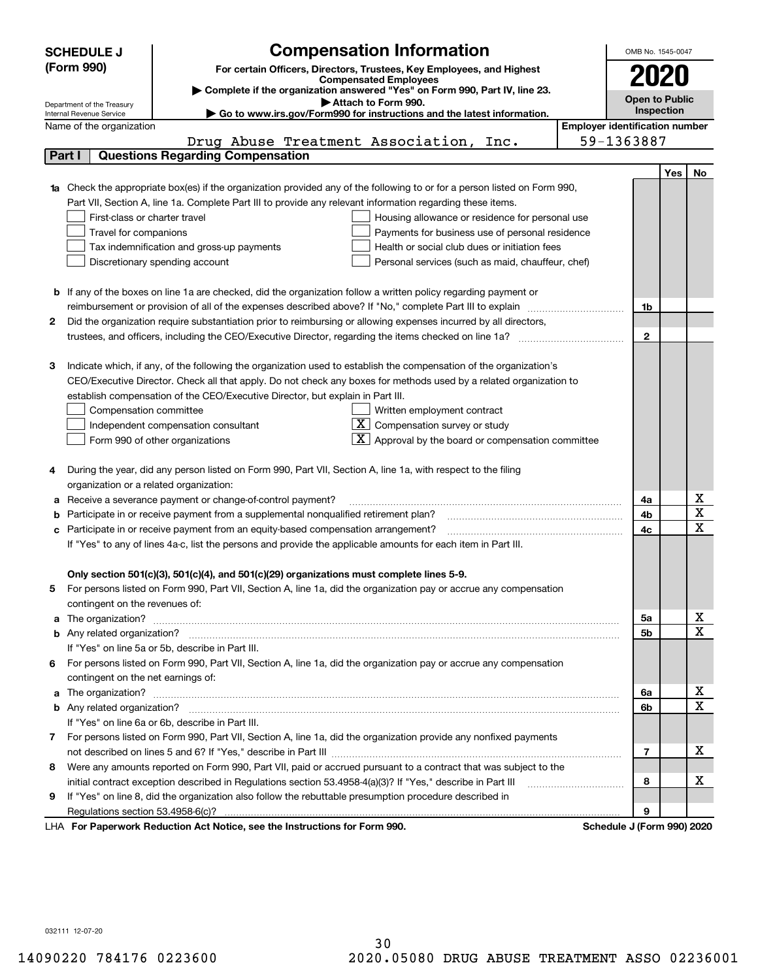| (Form 990)<br>For certain Officers, Directors, Trustees, Key Employees, and Highest<br><b>Compensated Employees</b><br>Complete if the organization answered "Yes" on Form 990, Part IV, line 23.<br>Open to Public<br>Attach to Form 990.<br>Department of the Treasury<br>Inspection<br>Go to www.irs.gov/Form990 for instructions and the latest information.<br>Internal Revenue Service<br><b>Employer identification number</b><br>Name of the organization<br>59-1363887<br>Drug Abuse Treatment Association, Inc.<br><b>Questions Regarding Compensation</b><br>Part I<br>Yes<br>No.<br>1a Check the appropriate box(es) if the organization provided any of the following to or for a person listed on Form 990,<br>Part VII, Section A, line 1a. Complete Part III to provide any relevant information regarding these items.<br>First-class or charter travel<br>Housing allowance or residence for personal use<br>Payments for business use of personal residence<br>Travel for companions<br>Health or social club dues or initiation fees<br>Tax indemnification and gross-up payments<br>Discretionary spending account<br>Personal services (such as maid, chauffeur, chef)<br><b>b</b> If any of the boxes on line 1a are checked, did the organization follow a written policy regarding payment or<br>reimbursement or provision of all of the expenses described above? If "No," complete Part III to explain<br>1b<br>Did the organization require substantiation prior to reimbursing or allowing expenses incurred by all directors,<br>2<br>$\mathbf{2}$<br>Indicate which, if any, of the following the organization used to establish the compensation of the organization's<br>З<br>CEO/Executive Director. Check all that apply. Do not check any boxes for methods used by a related organization to<br>establish compensation of the CEO/Executive Director, but explain in Part III.<br>Compensation committee<br>Written employment contract<br>$X \mid$<br>Compensation survey or study<br>Independent compensation consultant<br>Approval by the board or compensation committee<br>Form 990 of other organizations<br>During the year, did any person listed on Form 990, Part VII, Section A, line 1a, with respect to the filing<br>organization or a related organization:<br>Χ<br>Receive a severance payment or change-of-control payment?<br>4a<br>$\overline{\textbf{x}}$<br>Participate in or receive payment from a supplemental nonqualified retirement plan?<br>4b<br>$\overline{\mathbf{x}}$<br>c Participate in or receive payment from an equity-based compensation arrangement?<br>4c<br>If "Yes" to any of lines 4a-c, list the persons and provide the applicable amounts for each item in Part III.<br>Only section 501(c)(3), 501(c)(4), and 501(c)(29) organizations must complete lines 5-9.<br>For persons listed on Form 990, Part VII, Section A, line 1a, did the organization pay or accrue any compensation<br>5<br>contingent on the revenues of:<br>x<br>a The organization? <b>Manual Community Community</b> Community Community Community Community Community Community Community<br>5a<br>$\overline{\mathbf{x}}$<br>5b<br>If "Yes" on line 5a or 5b, describe in Part III.<br>6 For persons listed on Form 990, Part VII, Section A, line 1a, did the organization pay or accrue any compensation<br>contingent on the net earnings of:<br>х<br>6a<br>$\mathbf X$<br>6b<br>If "Yes" on line 6a or 6b, describe in Part III.<br>7 For persons listed on Form 990, Part VII, Section A, line 1a, did the organization provide any nonfixed payments<br>х<br>7<br>Were any amounts reported on Form 990, Part VII, paid or accrued pursuant to a contract that was subject to the<br>8<br>х<br>initial contract exception described in Regulations section 53.4958-4(a)(3)? If "Yes," describe in Part III<br>8<br>If "Yes" on line 8, did the organization also follow the rebuttable presumption procedure described in<br>9. | <b>SCHEDULE J</b> | <b>Compensation Information</b> |  | OMB No. 1545-0047 |  |  |  |
|----------------------------------------------------------------------------------------------------------------------------------------------------------------------------------------------------------------------------------------------------------------------------------------------------------------------------------------------------------------------------------------------------------------------------------------------------------------------------------------------------------------------------------------------------------------------------------------------------------------------------------------------------------------------------------------------------------------------------------------------------------------------------------------------------------------------------------------------------------------------------------------------------------------------------------------------------------------------------------------------------------------------------------------------------------------------------------------------------------------------------------------------------------------------------------------------------------------------------------------------------------------------------------------------------------------------------------------------------------------------------------------------------------------------------------------------------------------------------------------------------------------------------------------------------------------------------------------------------------------------------------------------------------------------------------------------------------------------------------------------------------------------------------------------------------------------------------------------------------------------------------------------------------------------------------------------------------------------------------------------------------------------------------------------------------------------------------------------------------------------------------------------------------------------------------------------------------------------------------------------------------------------------------------------------------------------------------------------------------------------------------------------------------------------------------------------------------------------------------------------------------------------------------------------------------------------------------------------------------------------------------------------------------------------------------------------------------------------------------------------------------------------------------------------------------------------------------------------------------------------------------------------------------------------------------------------------------------------------------------------------------------------------------------------------------------------------------------------------------------------------------------------------------------------------------------------------------------------------------------------------------------------------------------------------------------------------------------------------------------------------------------------------------------------------------------------------------------------------------------------------------------------------------------------------------------------------------------------------------------------------------------------------------------------------------------------------------------------------------------------------------------------------------------------------------------------------------------------------------------------------------------------------------------------------------------------------------------------------------------------------|-------------------|---------------------------------|--|-------------------|--|--|--|
|                                                                                                                                                                                                                                                                                                                                                                                                                                                                                                                                                                                                                                                                                                                                                                                                                                                                                                                                                                                                                                                                                                                                                                                                                                                                                                                                                                                                                                                                                                                                                                                                                                                                                                                                                                                                                                                                                                                                                                                                                                                                                                                                                                                                                                                                                                                                                                                                                                                                                                                                                                                                                                                                                                                                                                                                                                                                                                                                                                                                                                                                                                                                                                                                                                                                                                                                                                                                                                                                                                                                                                                                                                                                                                                                                                                                                                                                                                                                                                                                    |                   |                                 |  |                   |  |  |  |
|                                                                                                                                                                                                                                                                                                                                                                                                                                                                                                                                                                                                                                                                                                                                                                                                                                                                                                                                                                                                                                                                                                                                                                                                                                                                                                                                                                                                                                                                                                                                                                                                                                                                                                                                                                                                                                                                                                                                                                                                                                                                                                                                                                                                                                                                                                                                                                                                                                                                                                                                                                                                                                                                                                                                                                                                                                                                                                                                                                                                                                                                                                                                                                                                                                                                                                                                                                                                                                                                                                                                                                                                                                                                                                                                                                                                                                                                                                                                                                                                    |                   |                                 |  |                   |  |  |  |
|                                                                                                                                                                                                                                                                                                                                                                                                                                                                                                                                                                                                                                                                                                                                                                                                                                                                                                                                                                                                                                                                                                                                                                                                                                                                                                                                                                                                                                                                                                                                                                                                                                                                                                                                                                                                                                                                                                                                                                                                                                                                                                                                                                                                                                                                                                                                                                                                                                                                                                                                                                                                                                                                                                                                                                                                                                                                                                                                                                                                                                                                                                                                                                                                                                                                                                                                                                                                                                                                                                                                                                                                                                                                                                                                                                                                                                                                                                                                                                                                    |                   |                                 |  |                   |  |  |  |
|                                                                                                                                                                                                                                                                                                                                                                                                                                                                                                                                                                                                                                                                                                                                                                                                                                                                                                                                                                                                                                                                                                                                                                                                                                                                                                                                                                                                                                                                                                                                                                                                                                                                                                                                                                                                                                                                                                                                                                                                                                                                                                                                                                                                                                                                                                                                                                                                                                                                                                                                                                                                                                                                                                                                                                                                                                                                                                                                                                                                                                                                                                                                                                                                                                                                                                                                                                                                                                                                                                                                                                                                                                                                                                                                                                                                                                                                                                                                                                                                    |                   |                                 |  |                   |  |  |  |
|                                                                                                                                                                                                                                                                                                                                                                                                                                                                                                                                                                                                                                                                                                                                                                                                                                                                                                                                                                                                                                                                                                                                                                                                                                                                                                                                                                                                                                                                                                                                                                                                                                                                                                                                                                                                                                                                                                                                                                                                                                                                                                                                                                                                                                                                                                                                                                                                                                                                                                                                                                                                                                                                                                                                                                                                                                                                                                                                                                                                                                                                                                                                                                                                                                                                                                                                                                                                                                                                                                                                                                                                                                                                                                                                                                                                                                                                                                                                                                                                    |                   |                                 |  |                   |  |  |  |
|                                                                                                                                                                                                                                                                                                                                                                                                                                                                                                                                                                                                                                                                                                                                                                                                                                                                                                                                                                                                                                                                                                                                                                                                                                                                                                                                                                                                                                                                                                                                                                                                                                                                                                                                                                                                                                                                                                                                                                                                                                                                                                                                                                                                                                                                                                                                                                                                                                                                                                                                                                                                                                                                                                                                                                                                                                                                                                                                                                                                                                                                                                                                                                                                                                                                                                                                                                                                                                                                                                                                                                                                                                                                                                                                                                                                                                                                                                                                                                                                    |                   |                                 |  |                   |  |  |  |
|                                                                                                                                                                                                                                                                                                                                                                                                                                                                                                                                                                                                                                                                                                                                                                                                                                                                                                                                                                                                                                                                                                                                                                                                                                                                                                                                                                                                                                                                                                                                                                                                                                                                                                                                                                                                                                                                                                                                                                                                                                                                                                                                                                                                                                                                                                                                                                                                                                                                                                                                                                                                                                                                                                                                                                                                                                                                                                                                                                                                                                                                                                                                                                                                                                                                                                                                                                                                                                                                                                                                                                                                                                                                                                                                                                                                                                                                                                                                                                                                    |                   |                                 |  |                   |  |  |  |
|                                                                                                                                                                                                                                                                                                                                                                                                                                                                                                                                                                                                                                                                                                                                                                                                                                                                                                                                                                                                                                                                                                                                                                                                                                                                                                                                                                                                                                                                                                                                                                                                                                                                                                                                                                                                                                                                                                                                                                                                                                                                                                                                                                                                                                                                                                                                                                                                                                                                                                                                                                                                                                                                                                                                                                                                                                                                                                                                                                                                                                                                                                                                                                                                                                                                                                                                                                                                                                                                                                                                                                                                                                                                                                                                                                                                                                                                                                                                                                                                    |                   |                                 |  |                   |  |  |  |
|                                                                                                                                                                                                                                                                                                                                                                                                                                                                                                                                                                                                                                                                                                                                                                                                                                                                                                                                                                                                                                                                                                                                                                                                                                                                                                                                                                                                                                                                                                                                                                                                                                                                                                                                                                                                                                                                                                                                                                                                                                                                                                                                                                                                                                                                                                                                                                                                                                                                                                                                                                                                                                                                                                                                                                                                                                                                                                                                                                                                                                                                                                                                                                                                                                                                                                                                                                                                                                                                                                                                                                                                                                                                                                                                                                                                                                                                                                                                                                                                    |                   |                                 |  |                   |  |  |  |
|                                                                                                                                                                                                                                                                                                                                                                                                                                                                                                                                                                                                                                                                                                                                                                                                                                                                                                                                                                                                                                                                                                                                                                                                                                                                                                                                                                                                                                                                                                                                                                                                                                                                                                                                                                                                                                                                                                                                                                                                                                                                                                                                                                                                                                                                                                                                                                                                                                                                                                                                                                                                                                                                                                                                                                                                                                                                                                                                                                                                                                                                                                                                                                                                                                                                                                                                                                                                                                                                                                                                                                                                                                                                                                                                                                                                                                                                                                                                                                                                    |                   |                                 |  |                   |  |  |  |
|                                                                                                                                                                                                                                                                                                                                                                                                                                                                                                                                                                                                                                                                                                                                                                                                                                                                                                                                                                                                                                                                                                                                                                                                                                                                                                                                                                                                                                                                                                                                                                                                                                                                                                                                                                                                                                                                                                                                                                                                                                                                                                                                                                                                                                                                                                                                                                                                                                                                                                                                                                                                                                                                                                                                                                                                                                                                                                                                                                                                                                                                                                                                                                                                                                                                                                                                                                                                                                                                                                                                                                                                                                                                                                                                                                                                                                                                                                                                                                                                    |                   |                                 |  |                   |  |  |  |
|                                                                                                                                                                                                                                                                                                                                                                                                                                                                                                                                                                                                                                                                                                                                                                                                                                                                                                                                                                                                                                                                                                                                                                                                                                                                                                                                                                                                                                                                                                                                                                                                                                                                                                                                                                                                                                                                                                                                                                                                                                                                                                                                                                                                                                                                                                                                                                                                                                                                                                                                                                                                                                                                                                                                                                                                                                                                                                                                                                                                                                                                                                                                                                                                                                                                                                                                                                                                                                                                                                                                                                                                                                                                                                                                                                                                                                                                                                                                                                                                    |                   |                                 |  |                   |  |  |  |
|                                                                                                                                                                                                                                                                                                                                                                                                                                                                                                                                                                                                                                                                                                                                                                                                                                                                                                                                                                                                                                                                                                                                                                                                                                                                                                                                                                                                                                                                                                                                                                                                                                                                                                                                                                                                                                                                                                                                                                                                                                                                                                                                                                                                                                                                                                                                                                                                                                                                                                                                                                                                                                                                                                                                                                                                                                                                                                                                                                                                                                                                                                                                                                                                                                                                                                                                                                                                                                                                                                                                                                                                                                                                                                                                                                                                                                                                                                                                                                                                    |                   |                                 |  |                   |  |  |  |
|                                                                                                                                                                                                                                                                                                                                                                                                                                                                                                                                                                                                                                                                                                                                                                                                                                                                                                                                                                                                                                                                                                                                                                                                                                                                                                                                                                                                                                                                                                                                                                                                                                                                                                                                                                                                                                                                                                                                                                                                                                                                                                                                                                                                                                                                                                                                                                                                                                                                                                                                                                                                                                                                                                                                                                                                                                                                                                                                                                                                                                                                                                                                                                                                                                                                                                                                                                                                                                                                                                                                                                                                                                                                                                                                                                                                                                                                                                                                                                                                    |                   |                                 |  |                   |  |  |  |
|                                                                                                                                                                                                                                                                                                                                                                                                                                                                                                                                                                                                                                                                                                                                                                                                                                                                                                                                                                                                                                                                                                                                                                                                                                                                                                                                                                                                                                                                                                                                                                                                                                                                                                                                                                                                                                                                                                                                                                                                                                                                                                                                                                                                                                                                                                                                                                                                                                                                                                                                                                                                                                                                                                                                                                                                                                                                                                                                                                                                                                                                                                                                                                                                                                                                                                                                                                                                                                                                                                                                                                                                                                                                                                                                                                                                                                                                                                                                                                                                    |                   |                                 |  |                   |  |  |  |
|                                                                                                                                                                                                                                                                                                                                                                                                                                                                                                                                                                                                                                                                                                                                                                                                                                                                                                                                                                                                                                                                                                                                                                                                                                                                                                                                                                                                                                                                                                                                                                                                                                                                                                                                                                                                                                                                                                                                                                                                                                                                                                                                                                                                                                                                                                                                                                                                                                                                                                                                                                                                                                                                                                                                                                                                                                                                                                                                                                                                                                                                                                                                                                                                                                                                                                                                                                                                                                                                                                                                                                                                                                                                                                                                                                                                                                                                                                                                                                                                    |                   |                                 |  |                   |  |  |  |
|                                                                                                                                                                                                                                                                                                                                                                                                                                                                                                                                                                                                                                                                                                                                                                                                                                                                                                                                                                                                                                                                                                                                                                                                                                                                                                                                                                                                                                                                                                                                                                                                                                                                                                                                                                                                                                                                                                                                                                                                                                                                                                                                                                                                                                                                                                                                                                                                                                                                                                                                                                                                                                                                                                                                                                                                                                                                                                                                                                                                                                                                                                                                                                                                                                                                                                                                                                                                                                                                                                                                                                                                                                                                                                                                                                                                                                                                                                                                                                                                    |                   |                                 |  |                   |  |  |  |
|                                                                                                                                                                                                                                                                                                                                                                                                                                                                                                                                                                                                                                                                                                                                                                                                                                                                                                                                                                                                                                                                                                                                                                                                                                                                                                                                                                                                                                                                                                                                                                                                                                                                                                                                                                                                                                                                                                                                                                                                                                                                                                                                                                                                                                                                                                                                                                                                                                                                                                                                                                                                                                                                                                                                                                                                                                                                                                                                                                                                                                                                                                                                                                                                                                                                                                                                                                                                                                                                                                                                                                                                                                                                                                                                                                                                                                                                                                                                                                                                    |                   |                                 |  |                   |  |  |  |
|                                                                                                                                                                                                                                                                                                                                                                                                                                                                                                                                                                                                                                                                                                                                                                                                                                                                                                                                                                                                                                                                                                                                                                                                                                                                                                                                                                                                                                                                                                                                                                                                                                                                                                                                                                                                                                                                                                                                                                                                                                                                                                                                                                                                                                                                                                                                                                                                                                                                                                                                                                                                                                                                                                                                                                                                                                                                                                                                                                                                                                                                                                                                                                                                                                                                                                                                                                                                                                                                                                                                                                                                                                                                                                                                                                                                                                                                                                                                                                                                    |                   |                                 |  |                   |  |  |  |
|                                                                                                                                                                                                                                                                                                                                                                                                                                                                                                                                                                                                                                                                                                                                                                                                                                                                                                                                                                                                                                                                                                                                                                                                                                                                                                                                                                                                                                                                                                                                                                                                                                                                                                                                                                                                                                                                                                                                                                                                                                                                                                                                                                                                                                                                                                                                                                                                                                                                                                                                                                                                                                                                                                                                                                                                                                                                                                                                                                                                                                                                                                                                                                                                                                                                                                                                                                                                                                                                                                                                                                                                                                                                                                                                                                                                                                                                                                                                                                                                    |                   |                                 |  |                   |  |  |  |
|                                                                                                                                                                                                                                                                                                                                                                                                                                                                                                                                                                                                                                                                                                                                                                                                                                                                                                                                                                                                                                                                                                                                                                                                                                                                                                                                                                                                                                                                                                                                                                                                                                                                                                                                                                                                                                                                                                                                                                                                                                                                                                                                                                                                                                                                                                                                                                                                                                                                                                                                                                                                                                                                                                                                                                                                                                                                                                                                                                                                                                                                                                                                                                                                                                                                                                                                                                                                                                                                                                                                                                                                                                                                                                                                                                                                                                                                                                                                                                                                    |                   |                                 |  |                   |  |  |  |
|                                                                                                                                                                                                                                                                                                                                                                                                                                                                                                                                                                                                                                                                                                                                                                                                                                                                                                                                                                                                                                                                                                                                                                                                                                                                                                                                                                                                                                                                                                                                                                                                                                                                                                                                                                                                                                                                                                                                                                                                                                                                                                                                                                                                                                                                                                                                                                                                                                                                                                                                                                                                                                                                                                                                                                                                                                                                                                                                                                                                                                                                                                                                                                                                                                                                                                                                                                                                                                                                                                                                                                                                                                                                                                                                                                                                                                                                                                                                                                                                    |                   |                                 |  |                   |  |  |  |
|                                                                                                                                                                                                                                                                                                                                                                                                                                                                                                                                                                                                                                                                                                                                                                                                                                                                                                                                                                                                                                                                                                                                                                                                                                                                                                                                                                                                                                                                                                                                                                                                                                                                                                                                                                                                                                                                                                                                                                                                                                                                                                                                                                                                                                                                                                                                                                                                                                                                                                                                                                                                                                                                                                                                                                                                                                                                                                                                                                                                                                                                                                                                                                                                                                                                                                                                                                                                                                                                                                                                                                                                                                                                                                                                                                                                                                                                                                                                                                                                    |                   |                                 |  |                   |  |  |  |
|                                                                                                                                                                                                                                                                                                                                                                                                                                                                                                                                                                                                                                                                                                                                                                                                                                                                                                                                                                                                                                                                                                                                                                                                                                                                                                                                                                                                                                                                                                                                                                                                                                                                                                                                                                                                                                                                                                                                                                                                                                                                                                                                                                                                                                                                                                                                                                                                                                                                                                                                                                                                                                                                                                                                                                                                                                                                                                                                                                                                                                                                                                                                                                                                                                                                                                                                                                                                                                                                                                                                                                                                                                                                                                                                                                                                                                                                                                                                                                                                    |                   |                                 |  |                   |  |  |  |
|                                                                                                                                                                                                                                                                                                                                                                                                                                                                                                                                                                                                                                                                                                                                                                                                                                                                                                                                                                                                                                                                                                                                                                                                                                                                                                                                                                                                                                                                                                                                                                                                                                                                                                                                                                                                                                                                                                                                                                                                                                                                                                                                                                                                                                                                                                                                                                                                                                                                                                                                                                                                                                                                                                                                                                                                                                                                                                                                                                                                                                                                                                                                                                                                                                                                                                                                                                                                                                                                                                                                                                                                                                                                                                                                                                                                                                                                                                                                                                                                    |                   |                                 |  |                   |  |  |  |
|                                                                                                                                                                                                                                                                                                                                                                                                                                                                                                                                                                                                                                                                                                                                                                                                                                                                                                                                                                                                                                                                                                                                                                                                                                                                                                                                                                                                                                                                                                                                                                                                                                                                                                                                                                                                                                                                                                                                                                                                                                                                                                                                                                                                                                                                                                                                                                                                                                                                                                                                                                                                                                                                                                                                                                                                                                                                                                                                                                                                                                                                                                                                                                                                                                                                                                                                                                                                                                                                                                                                                                                                                                                                                                                                                                                                                                                                                                                                                                                                    |                   |                                 |  |                   |  |  |  |
|                                                                                                                                                                                                                                                                                                                                                                                                                                                                                                                                                                                                                                                                                                                                                                                                                                                                                                                                                                                                                                                                                                                                                                                                                                                                                                                                                                                                                                                                                                                                                                                                                                                                                                                                                                                                                                                                                                                                                                                                                                                                                                                                                                                                                                                                                                                                                                                                                                                                                                                                                                                                                                                                                                                                                                                                                                                                                                                                                                                                                                                                                                                                                                                                                                                                                                                                                                                                                                                                                                                                                                                                                                                                                                                                                                                                                                                                                                                                                                                                    |                   |                                 |  |                   |  |  |  |
|                                                                                                                                                                                                                                                                                                                                                                                                                                                                                                                                                                                                                                                                                                                                                                                                                                                                                                                                                                                                                                                                                                                                                                                                                                                                                                                                                                                                                                                                                                                                                                                                                                                                                                                                                                                                                                                                                                                                                                                                                                                                                                                                                                                                                                                                                                                                                                                                                                                                                                                                                                                                                                                                                                                                                                                                                                                                                                                                                                                                                                                                                                                                                                                                                                                                                                                                                                                                                                                                                                                                                                                                                                                                                                                                                                                                                                                                                                                                                                                                    |                   |                                 |  |                   |  |  |  |
|                                                                                                                                                                                                                                                                                                                                                                                                                                                                                                                                                                                                                                                                                                                                                                                                                                                                                                                                                                                                                                                                                                                                                                                                                                                                                                                                                                                                                                                                                                                                                                                                                                                                                                                                                                                                                                                                                                                                                                                                                                                                                                                                                                                                                                                                                                                                                                                                                                                                                                                                                                                                                                                                                                                                                                                                                                                                                                                                                                                                                                                                                                                                                                                                                                                                                                                                                                                                                                                                                                                                                                                                                                                                                                                                                                                                                                                                                                                                                                                                    |                   |                                 |  |                   |  |  |  |
|                                                                                                                                                                                                                                                                                                                                                                                                                                                                                                                                                                                                                                                                                                                                                                                                                                                                                                                                                                                                                                                                                                                                                                                                                                                                                                                                                                                                                                                                                                                                                                                                                                                                                                                                                                                                                                                                                                                                                                                                                                                                                                                                                                                                                                                                                                                                                                                                                                                                                                                                                                                                                                                                                                                                                                                                                                                                                                                                                                                                                                                                                                                                                                                                                                                                                                                                                                                                                                                                                                                                                                                                                                                                                                                                                                                                                                                                                                                                                                                                    |                   |                                 |  |                   |  |  |  |
|                                                                                                                                                                                                                                                                                                                                                                                                                                                                                                                                                                                                                                                                                                                                                                                                                                                                                                                                                                                                                                                                                                                                                                                                                                                                                                                                                                                                                                                                                                                                                                                                                                                                                                                                                                                                                                                                                                                                                                                                                                                                                                                                                                                                                                                                                                                                                                                                                                                                                                                                                                                                                                                                                                                                                                                                                                                                                                                                                                                                                                                                                                                                                                                                                                                                                                                                                                                                                                                                                                                                                                                                                                                                                                                                                                                                                                                                                                                                                                                                    |                   |                                 |  |                   |  |  |  |
|                                                                                                                                                                                                                                                                                                                                                                                                                                                                                                                                                                                                                                                                                                                                                                                                                                                                                                                                                                                                                                                                                                                                                                                                                                                                                                                                                                                                                                                                                                                                                                                                                                                                                                                                                                                                                                                                                                                                                                                                                                                                                                                                                                                                                                                                                                                                                                                                                                                                                                                                                                                                                                                                                                                                                                                                                                                                                                                                                                                                                                                                                                                                                                                                                                                                                                                                                                                                                                                                                                                                                                                                                                                                                                                                                                                                                                                                                                                                                                                                    |                   |                                 |  |                   |  |  |  |
|                                                                                                                                                                                                                                                                                                                                                                                                                                                                                                                                                                                                                                                                                                                                                                                                                                                                                                                                                                                                                                                                                                                                                                                                                                                                                                                                                                                                                                                                                                                                                                                                                                                                                                                                                                                                                                                                                                                                                                                                                                                                                                                                                                                                                                                                                                                                                                                                                                                                                                                                                                                                                                                                                                                                                                                                                                                                                                                                                                                                                                                                                                                                                                                                                                                                                                                                                                                                                                                                                                                                                                                                                                                                                                                                                                                                                                                                                                                                                                                                    |                   |                                 |  |                   |  |  |  |
|                                                                                                                                                                                                                                                                                                                                                                                                                                                                                                                                                                                                                                                                                                                                                                                                                                                                                                                                                                                                                                                                                                                                                                                                                                                                                                                                                                                                                                                                                                                                                                                                                                                                                                                                                                                                                                                                                                                                                                                                                                                                                                                                                                                                                                                                                                                                                                                                                                                                                                                                                                                                                                                                                                                                                                                                                                                                                                                                                                                                                                                                                                                                                                                                                                                                                                                                                                                                                                                                                                                                                                                                                                                                                                                                                                                                                                                                                                                                                                                                    |                   |                                 |  |                   |  |  |  |
|                                                                                                                                                                                                                                                                                                                                                                                                                                                                                                                                                                                                                                                                                                                                                                                                                                                                                                                                                                                                                                                                                                                                                                                                                                                                                                                                                                                                                                                                                                                                                                                                                                                                                                                                                                                                                                                                                                                                                                                                                                                                                                                                                                                                                                                                                                                                                                                                                                                                                                                                                                                                                                                                                                                                                                                                                                                                                                                                                                                                                                                                                                                                                                                                                                                                                                                                                                                                                                                                                                                                                                                                                                                                                                                                                                                                                                                                                                                                                                                                    |                   |                                 |  |                   |  |  |  |
|                                                                                                                                                                                                                                                                                                                                                                                                                                                                                                                                                                                                                                                                                                                                                                                                                                                                                                                                                                                                                                                                                                                                                                                                                                                                                                                                                                                                                                                                                                                                                                                                                                                                                                                                                                                                                                                                                                                                                                                                                                                                                                                                                                                                                                                                                                                                                                                                                                                                                                                                                                                                                                                                                                                                                                                                                                                                                                                                                                                                                                                                                                                                                                                                                                                                                                                                                                                                                                                                                                                                                                                                                                                                                                                                                                                                                                                                                                                                                                                                    |                   |                                 |  |                   |  |  |  |
|                                                                                                                                                                                                                                                                                                                                                                                                                                                                                                                                                                                                                                                                                                                                                                                                                                                                                                                                                                                                                                                                                                                                                                                                                                                                                                                                                                                                                                                                                                                                                                                                                                                                                                                                                                                                                                                                                                                                                                                                                                                                                                                                                                                                                                                                                                                                                                                                                                                                                                                                                                                                                                                                                                                                                                                                                                                                                                                                                                                                                                                                                                                                                                                                                                                                                                                                                                                                                                                                                                                                                                                                                                                                                                                                                                                                                                                                                                                                                                                                    |                   |                                 |  |                   |  |  |  |
|                                                                                                                                                                                                                                                                                                                                                                                                                                                                                                                                                                                                                                                                                                                                                                                                                                                                                                                                                                                                                                                                                                                                                                                                                                                                                                                                                                                                                                                                                                                                                                                                                                                                                                                                                                                                                                                                                                                                                                                                                                                                                                                                                                                                                                                                                                                                                                                                                                                                                                                                                                                                                                                                                                                                                                                                                                                                                                                                                                                                                                                                                                                                                                                                                                                                                                                                                                                                                                                                                                                                                                                                                                                                                                                                                                                                                                                                                                                                                                                                    |                   |                                 |  |                   |  |  |  |
|                                                                                                                                                                                                                                                                                                                                                                                                                                                                                                                                                                                                                                                                                                                                                                                                                                                                                                                                                                                                                                                                                                                                                                                                                                                                                                                                                                                                                                                                                                                                                                                                                                                                                                                                                                                                                                                                                                                                                                                                                                                                                                                                                                                                                                                                                                                                                                                                                                                                                                                                                                                                                                                                                                                                                                                                                                                                                                                                                                                                                                                                                                                                                                                                                                                                                                                                                                                                                                                                                                                                                                                                                                                                                                                                                                                                                                                                                                                                                                                                    |                   |                                 |  |                   |  |  |  |
|                                                                                                                                                                                                                                                                                                                                                                                                                                                                                                                                                                                                                                                                                                                                                                                                                                                                                                                                                                                                                                                                                                                                                                                                                                                                                                                                                                                                                                                                                                                                                                                                                                                                                                                                                                                                                                                                                                                                                                                                                                                                                                                                                                                                                                                                                                                                                                                                                                                                                                                                                                                                                                                                                                                                                                                                                                                                                                                                                                                                                                                                                                                                                                                                                                                                                                                                                                                                                                                                                                                                                                                                                                                                                                                                                                                                                                                                                                                                                                                                    |                   |                                 |  |                   |  |  |  |
|                                                                                                                                                                                                                                                                                                                                                                                                                                                                                                                                                                                                                                                                                                                                                                                                                                                                                                                                                                                                                                                                                                                                                                                                                                                                                                                                                                                                                                                                                                                                                                                                                                                                                                                                                                                                                                                                                                                                                                                                                                                                                                                                                                                                                                                                                                                                                                                                                                                                                                                                                                                                                                                                                                                                                                                                                                                                                                                                                                                                                                                                                                                                                                                                                                                                                                                                                                                                                                                                                                                                                                                                                                                                                                                                                                                                                                                                                                                                                                                                    |                   |                                 |  |                   |  |  |  |
|                                                                                                                                                                                                                                                                                                                                                                                                                                                                                                                                                                                                                                                                                                                                                                                                                                                                                                                                                                                                                                                                                                                                                                                                                                                                                                                                                                                                                                                                                                                                                                                                                                                                                                                                                                                                                                                                                                                                                                                                                                                                                                                                                                                                                                                                                                                                                                                                                                                                                                                                                                                                                                                                                                                                                                                                                                                                                                                                                                                                                                                                                                                                                                                                                                                                                                                                                                                                                                                                                                                                                                                                                                                                                                                                                                                                                                                                                                                                                                                                    |                   |                                 |  |                   |  |  |  |
|                                                                                                                                                                                                                                                                                                                                                                                                                                                                                                                                                                                                                                                                                                                                                                                                                                                                                                                                                                                                                                                                                                                                                                                                                                                                                                                                                                                                                                                                                                                                                                                                                                                                                                                                                                                                                                                                                                                                                                                                                                                                                                                                                                                                                                                                                                                                                                                                                                                                                                                                                                                                                                                                                                                                                                                                                                                                                                                                                                                                                                                                                                                                                                                                                                                                                                                                                                                                                                                                                                                                                                                                                                                                                                                                                                                                                                                                                                                                                                                                    |                   |                                 |  |                   |  |  |  |
|                                                                                                                                                                                                                                                                                                                                                                                                                                                                                                                                                                                                                                                                                                                                                                                                                                                                                                                                                                                                                                                                                                                                                                                                                                                                                                                                                                                                                                                                                                                                                                                                                                                                                                                                                                                                                                                                                                                                                                                                                                                                                                                                                                                                                                                                                                                                                                                                                                                                                                                                                                                                                                                                                                                                                                                                                                                                                                                                                                                                                                                                                                                                                                                                                                                                                                                                                                                                                                                                                                                                                                                                                                                                                                                                                                                                                                                                                                                                                                                                    |                   |                                 |  |                   |  |  |  |
|                                                                                                                                                                                                                                                                                                                                                                                                                                                                                                                                                                                                                                                                                                                                                                                                                                                                                                                                                                                                                                                                                                                                                                                                                                                                                                                                                                                                                                                                                                                                                                                                                                                                                                                                                                                                                                                                                                                                                                                                                                                                                                                                                                                                                                                                                                                                                                                                                                                                                                                                                                                                                                                                                                                                                                                                                                                                                                                                                                                                                                                                                                                                                                                                                                                                                                                                                                                                                                                                                                                                                                                                                                                                                                                                                                                                                                                                                                                                                                                                    |                   |                                 |  |                   |  |  |  |
|                                                                                                                                                                                                                                                                                                                                                                                                                                                                                                                                                                                                                                                                                                                                                                                                                                                                                                                                                                                                                                                                                                                                                                                                                                                                                                                                                                                                                                                                                                                                                                                                                                                                                                                                                                                                                                                                                                                                                                                                                                                                                                                                                                                                                                                                                                                                                                                                                                                                                                                                                                                                                                                                                                                                                                                                                                                                                                                                                                                                                                                                                                                                                                                                                                                                                                                                                                                                                                                                                                                                                                                                                                                                                                                                                                                                                                                                                                                                                                                                    |                   |                                 |  |                   |  |  |  |
|                                                                                                                                                                                                                                                                                                                                                                                                                                                                                                                                                                                                                                                                                                                                                                                                                                                                                                                                                                                                                                                                                                                                                                                                                                                                                                                                                                                                                                                                                                                                                                                                                                                                                                                                                                                                                                                                                                                                                                                                                                                                                                                                                                                                                                                                                                                                                                                                                                                                                                                                                                                                                                                                                                                                                                                                                                                                                                                                                                                                                                                                                                                                                                                                                                                                                                                                                                                                                                                                                                                                                                                                                                                                                                                                                                                                                                                                                                                                                                                                    |                   |                                 |  |                   |  |  |  |
|                                                                                                                                                                                                                                                                                                                                                                                                                                                                                                                                                                                                                                                                                                                                                                                                                                                                                                                                                                                                                                                                                                                                                                                                                                                                                                                                                                                                                                                                                                                                                                                                                                                                                                                                                                                                                                                                                                                                                                                                                                                                                                                                                                                                                                                                                                                                                                                                                                                                                                                                                                                                                                                                                                                                                                                                                                                                                                                                                                                                                                                                                                                                                                                                                                                                                                                                                                                                                                                                                                                                                                                                                                                                                                                                                                                                                                                                                                                                                                                                    |                   |                                 |  |                   |  |  |  |
|                                                                                                                                                                                                                                                                                                                                                                                                                                                                                                                                                                                                                                                                                                                                                                                                                                                                                                                                                                                                                                                                                                                                                                                                                                                                                                                                                                                                                                                                                                                                                                                                                                                                                                                                                                                                                                                                                                                                                                                                                                                                                                                                                                                                                                                                                                                                                                                                                                                                                                                                                                                                                                                                                                                                                                                                                                                                                                                                                                                                                                                                                                                                                                                                                                                                                                                                                                                                                                                                                                                                                                                                                                                                                                                                                                                                                                                                                                                                                                                                    |                   |                                 |  |                   |  |  |  |
|                                                                                                                                                                                                                                                                                                                                                                                                                                                                                                                                                                                                                                                                                                                                                                                                                                                                                                                                                                                                                                                                                                                                                                                                                                                                                                                                                                                                                                                                                                                                                                                                                                                                                                                                                                                                                                                                                                                                                                                                                                                                                                                                                                                                                                                                                                                                                                                                                                                                                                                                                                                                                                                                                                                                                                                                                                                                                                                                                                                                                                                                                                                                                                                                                                                                                                                                                                                                                                                                                                                                                                                                                                                                                                                                                                                                                                                                                                                                                                                                    |                   |                                 |  |                   |  |  |  |
| 9<br>expects Reduction Act Notice, see the Instructions for Ferm 000<br>Pohodulo I (Form 000) 2020                                                                                                                                                                                                                                                                                                                                                                                                                                                                                                                                                                                                                                                                                                                                                                                                                                                                                                                                                                                                                                                                                                                                                                                                                                                                                                                                                                                                                                                                                                                                                                                                                                                                                                                                                                                                                                                                                                                                                                                                                                                                                                                                                                                                                                                                                                                                                                                                                                                                                                                                                                                                                                                                                                                                                                                                                                                                                                                                                                                                                                                                                                                                                                                                                                                                                                                                                                                                                                                                                                                                                                                                                                                                                                                                                                                                                                                                                                 |                   |                                 |  |                   |  |  |  |

LHA For Paperwork Reduction Act Notice, see the Instructions for Form 990. Schedule J (Form 990) 2020

032111 12-07-20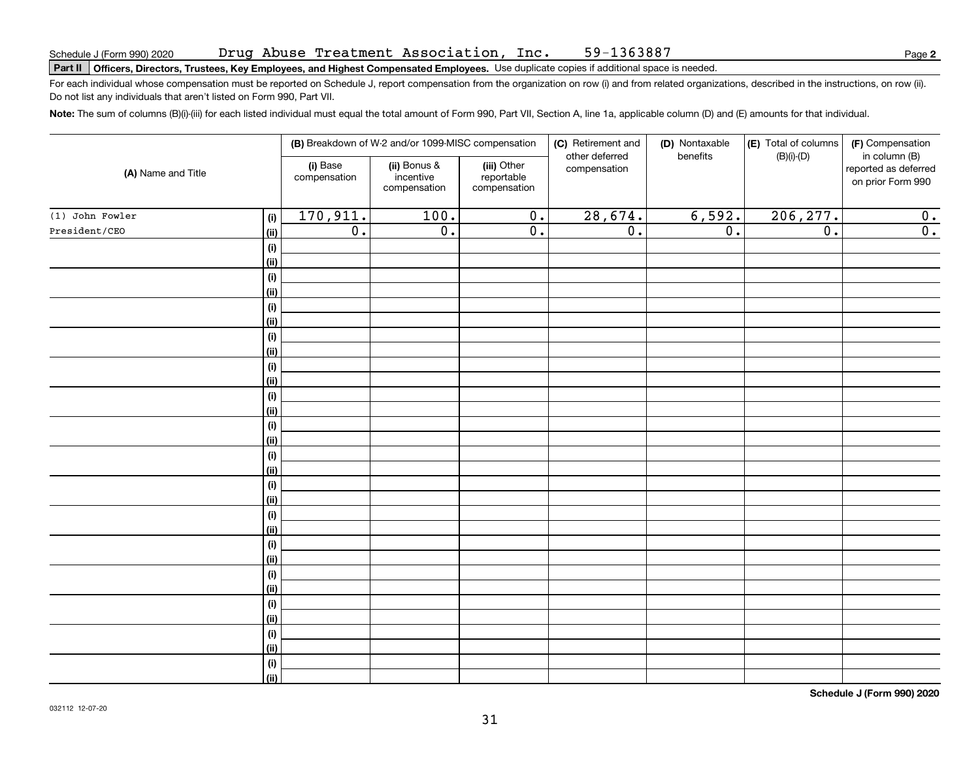# **Part II Officers, Directors, Trustees, Key Employees, and Highest Compensated Employees.**  Schedule J (Form 990) 2020 Page Use duplicate copies if additional space is needed.

For each individual whose compensation must be reported on Schedule J, report compensation from the organization on row (i) and from related organizations, described in the instructions, on row (ii). Do not list any individuals that aren't listed on Form 990, Part VII.

**Note:**  The sum of columns (B)(i)-(iii) for each listed individual must equal the total amount of Form 990, Part VII, Section A, line 1a, applicable column (D) and (E) amounts for that individual.

| (A) Name and Title |                              |                          | (B) Breakdown of W-2 and/or 1099-MISC compensation |                                           | (C) Retirement and<br>other deferred | (D) Nontaxable   | (E) Total of columns | (F) Compensation                                           |
|--------------------|------------------------------|--------------------------|----------------------------------------------------|-------------------------------------------|--------------------------------------|------------------|----------------------|------------------------------------------------------------|
|                    |                              | (i) Base<br>compensation | (ii) Bonus &<br>incentive<br>compensation          | (iii) Other<br>reportable<br>compensation | compensation                         | benefits         | $(B)(i)$ - $(D)$     | in column (B)<br>reported as deferred<br>on prior Form 990 |
| (1) John Fowler    | (i)                          | 170,911.                 | 100.                                               | $\overline{0}$ .                          | 28,674.                              | 6,592.           | 206, 277.            | $\overline{0}$ .                                           |
| President/CEO      | (ii)                         | $\overline{0}$ .         | $\overline{0}$ .                                   | $\overline{\mathbf{0}}$ .                 | $\overline{0}$ .                     | $\overline{0}$ . | $\overline{0}$ .     | $\overline{\mathbf{0}}$ .                                  |
|                    | $\qquad \qquad \textbf{(i)}$ |                          |                                                    |                                           |                                      |                  |                      |                                                            |
|                    | (ii)                         |                          |                                                    |                                           |                                      |                  |                      |                                                            |
|                    | (i)                          |                          |                                                    |                                           |                                      |                  |                      |                                                            |
|                    | (ii)                         |                          |                                                    |                                           |                                      |                  |                      |                                                            |
|                    | (i)                          |                          |                                                    |                                           |                                      |                  |                      |                                                            |
|                    | (ii)                         |                          |                                                    |                                           |                                      |                  |                      |                                                            |
|                    | (i)                          |                          |                                                    |                                           |                                      |                  |                      |                                                            |
|                    | (ii)                         |                          |                                                    |                                           |                                      |                  |                      |                                                            |
|                    | (i)                          |                          |                                                    |                                           |                                      |                  |                      |                                                            |
|                    | (ii)                         |                          |                                                    |                                           |                                      |                  |                      |                                                            |
|                    | (i)                          |                          |                                                    |                                           |                                      |                  |                      |                                                            |
|                    | (ii)                         |                          |                                                    |                                           |                                      |                  |                      |                                                            |
|                    | (i)                          |                          |                                                    |                                           |                                      |                  |                      |                                                            |
|                    | (ii)                         |                          |                                                    |                                           |                                      |                  |                      |                                                            |
|                    | (i)<br>(ii)                  |                          |                                                    |                                           |                                      |                  |                      |                                                            |
|                    | (i)                          |                          |                                                    |                                           |                                      |                  |                      |                                                            |
|                    | (ii)                         |                          |                                                    |                                           |                                      |                  |                      |                                                            |
|                    | (i)                          |                          |                                                    |                                           |                                      |                  |                      |                                                            |
|                    | (ii)                         |                          |                                                    |                                           |                                      |                  |                      |                                                            |
|                    | (i)                          |                          |                                                    |                                           |                                      |                  |                      |                                                            |
|                    | (ii)                         |                          |                                                    |                                           |                                      |                  |                      |                                                            |
|                    | (i)                          |                          |                                                    |                                           |                                      |                  |                      |                                                            |
|                    | (ii)                         |                          |                                                    |                                           |                                      |                  |                      |                                                            |
|                    | (i)                          |                          |                                                    |                                           |                                      |                  |                      |                                                            |
|                    | (ii)                         |                          |                                                    |                                           |                                      |                  |                      |                                                            |
|                    | (i)                          |                          |                                                    |                                           |                                      |                  |                      |                                                            |
|                    | (ii)                         |                          |                                                    |                                           |                                      |                  |                      |                                                            |
|                    | (i)                          |                          |                                                    |                                           |                                      |                  |                      |                                                            |
|                    | (ii)                         |                          |                                                    |                                           |                                      |                  |                      |                                                            |

**Schedule J (Form 990) 2020**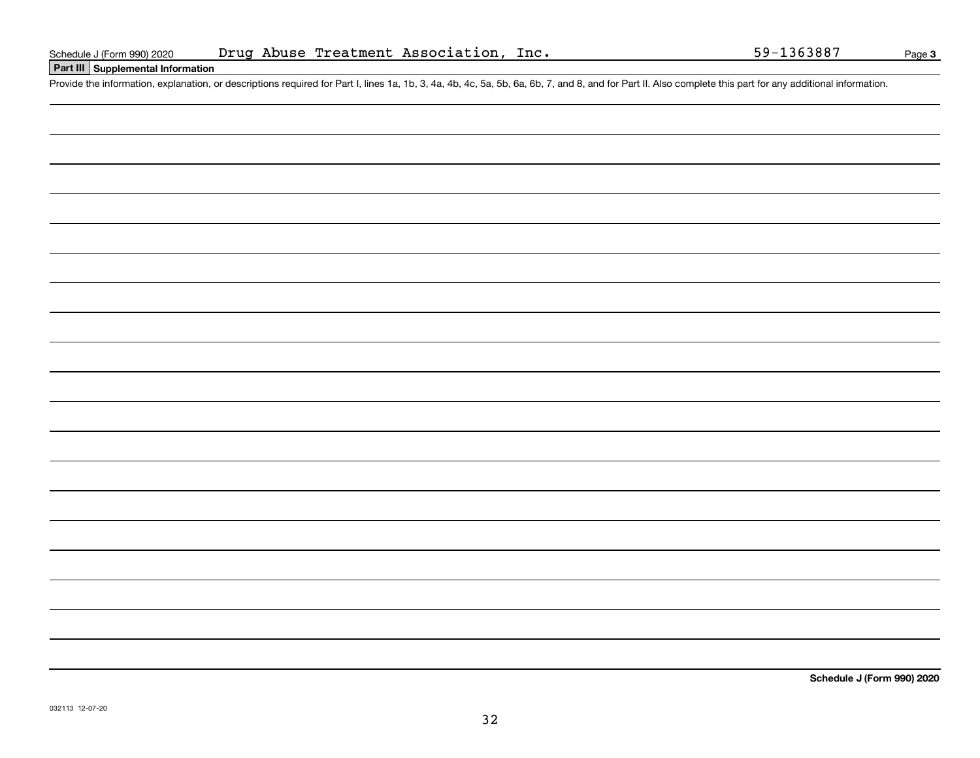## **Part III Supplemental Information**

Schedule J (Form 990) 2020 Drug Abuse Treatment Association, Inc. 59-1363887<br>Part III Supplemental Information<br>Provide the information, explanation, or descriptions required for Part I, lines 1a, 1b, 3, 4a, 4b, 4c, 5a, 5b,

**Schedule J (Form 990) 2020**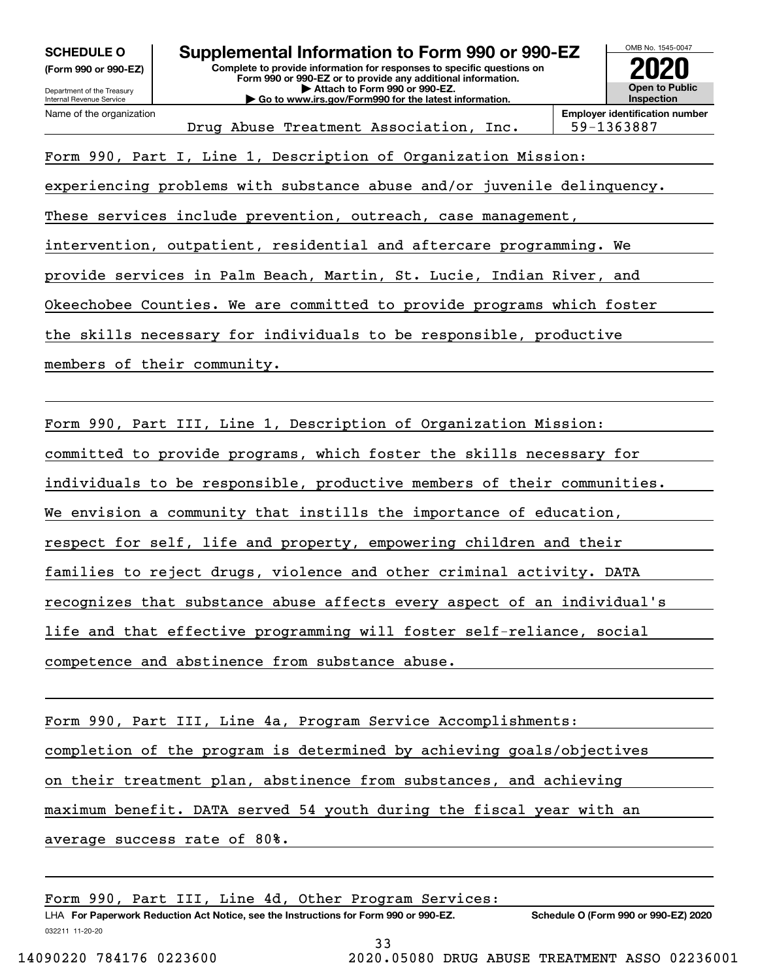Department of the Treasury **(Form 990 or 990-EZ)**

Name of the organization

Internal Revenue Service

## **Complete to provide information for responses to specific questions on SCHEDULE O Supplemental Information to Form 990 or 990-EZ**

**Form 990 or 990-EZ or to provide any additional information. | Attach to Form 990 or 990-EZ. | Go to www.irs.gov/Form990 for the latest information.**



Drug Abuse Treatment Association, Inc. 59-1363887

Form 990, Part I, Line 1, Description of Organization Mission: experiencing problems with substance abuse and/or juvenile delinquency. These services include prevention, outreach, case management, intervention, outpatient, residential and aftercare programming. We provide services in Palm Beach, Martin, St. Lucie, Indian River, and Okeechobee Counties. We are committed to provide programs which foster the skills necessary for individuals to be responsible, productive members of their community.

Form 990, Part III, Line 1, Description of Organization Mission: committed to provide programs, which foster the skills necessary for individuals to be responsible, productive members of their communities. We envision a community that instills the importance of education, respect for self, life and property, empowering children and their families to reject drugs, violence and other criminal activity. DATA recognizes that substance abuse affects every aspect of an individual's life and that effective programming will foster self-reliance, social competence and abstinence from substance abuse.

Form 990, Part III, Line 4a, Program Service Accomplishments: completion of the program is determined by achieving goals/objectives on their treatment plan, abstinence from substances, and achieving maximum benefit. DATA served 54 youth during the fiscal year with an average success rate of 80%.

|                         |  |  |  | Form 990, Part III, Line 4d, Other Program Services:                                 |  |                                               |  |
|-------------------------|--|--|--|--------------------------------------------------------------------------------------|--|-----------------------------------------------|--|
|                         |  |  |  | LHA For Paperwork Reduction Act Notice, see the Instructions for Form 990 or 990-EZ. |  | Schedule O (Form 990 or 990-EZ) 2020          |  |
| 032211 11-20-20         |  |  |  |                                                                                      |  |                                               |  |
|                         |  |  |  | 33                                                                                   |  |                                               |  |
| 14090220 784176 0223600 |  |  |  |                                                                                      |  | 2020.05080 DRUG ABUSE TREATMENT ASSO 02236001 |  |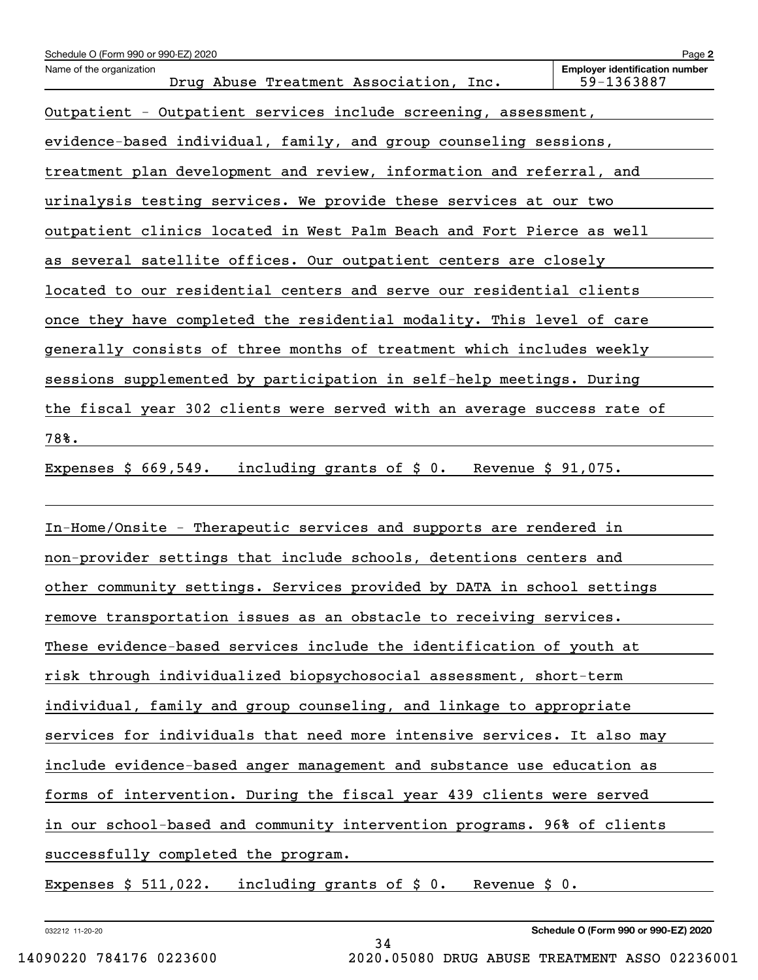| Schedule O (Form 990 or 990-EZ) 2020                                    | Page 2                                              |  |  |  |  |  |  |
|-------------------------------------------------------------------------|-----------------------------------------------------|--|--|--|--|--|--|
| Name of the organization<br>Drug Abuse Treatment Association, Inc.      | <b>Employer identification number</b><br>59-1363887 |  |  |  |  |  |  |
| Outpatient - Outpatient services include screening, assessment,         |                                                     |  |  |  |  |  |  |
| evidence-based individual, family, and group counseling sessions,       |                                                     |  |  |  |  |  |  |
| treatment plan development and review, information and referral, and    |                                                     |  |  |  |  |  |  |
| urinalysis testing services. We provide these services at our two       |                                                     |  |  |  |  |  |  |
| outpatient clinics located in West Palm Beach and Fort Pierce as well   |                                                     |  |  |  |  |  |  |
| as several satellite offices. Our outpatient centers are closely        |                                                     |  |  |  |  |  |  |
| located to our residential centers and serve our residential clients    |                                                     |  |  |  |  |  |  |
| once they have completed the residential modality. This level of care   |                                                     |  |  |  |  |  |  |
| generally consists of three months of treatment which includes weekly   |                                                     |  |  |  |  |  |  |
| sessions supplemented by participation in self-help meetings. During    |                                                     |  |  |  |  |  |  |
| the fiscal year 302 clients were served with an average success rate of |                                                     |  |  |  |  |  |  |
| 78%.                                                                    |                                                     |  |  |  |  |  |  |
| including grants of $$0.$<br>Expenses $$669,549.$<br>Revenue $$91,075.$ |                                                     |  |  |  |  |  |  |

In-Home/Onsite - Therapeutic services and supports are rendered in non-provider settings that include schools, detentions centers and other community settings. Services provided by DATA in school settings remove transportation issues as an obstacle to receiving services. These evidence-based services include the identification of youth at risk through individualized biopsychosocial assessment, short-term individual, family and group counseling, and linkage to appropriate services for individuals that need more intensive services. It also may include evidence-based anger management and substance use education as forms of intervention. During the fiscal year 439 clients were served in our school-based and community intervention programs. 96% of clients successfully completed the program.

34

Expenses  $$511,022$ . including grants of  $$0$ . Revenue  $$0$ .

032212 11-20-20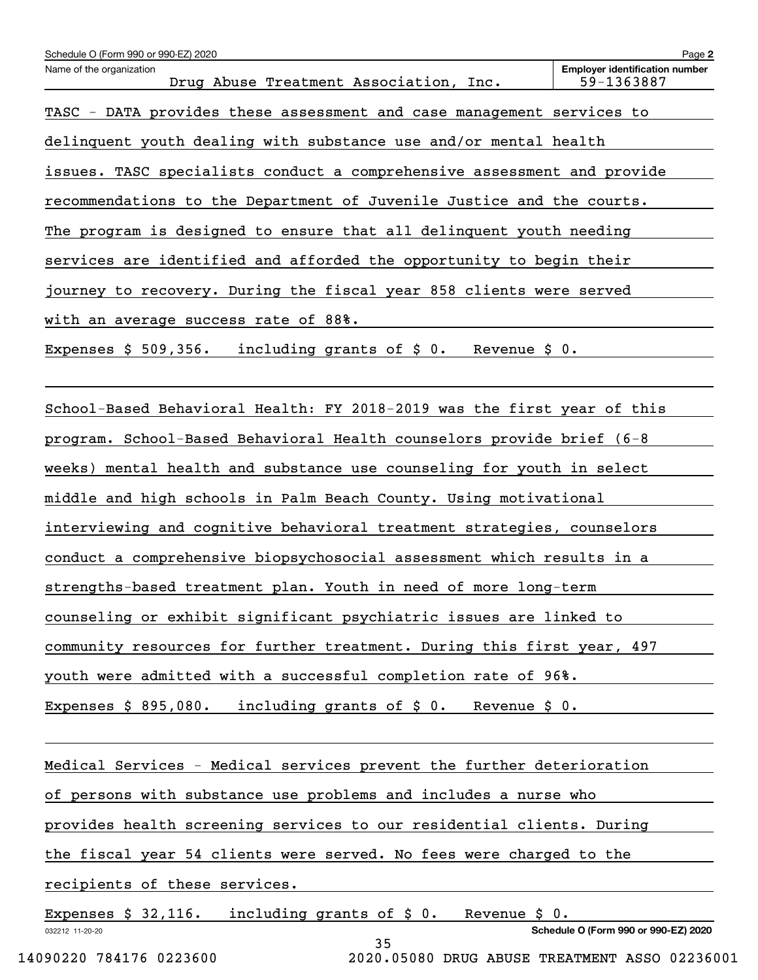| Schedule O (Form 990 or 990-EZ) 2020<br>Name of the organization            | Page 2<br><b>Employer identification number</b> |
|-----------------------------------------------------------------------------|-------------------------------------------------|
| Drug Abuse Treatment Association, Inc.                                      | 59-1363887                                      |
| TASC - DATA provides these assessment and case management services to       |                                                 |
| delinquent youth dealing with substance use and/or mental health            |                                                 |
| issues. TASC specialists conduct a comprehensive assessment and provide     |                                                 |
| recommendations to the Department of Juvenile Justice and the courts.       |                                                 |
| The program is designed to ensure that all delinquent youth needing         |                                                 |
| services are identified and afforded the opportunity to begin their         |                                                 |
| journey to recovery. During the fiscal year 858 clients were served         |                                                 |
| with an average success rate of 88%.                                        |                                                 |
| including grants of $$0.$<br>Expenses $$509,356.$<br>Revenue $$0.$          |                                                 |
|                                                                             |                                                 |
| School-Based Behavioral Health: FY 2018-2019 was the first year of this     |                                                 |
| program. School-Based Behavioral Health counselors provide brief (6-8       |                                                 |
| weeks) mental health and substance use counseling for youth in select       |                                                 |
| middle and high schools in Palm Beach County. Using motivational            |                                                 |
| interviewing and cognitive behavioral treatment strategies, counselors      |                                                 |
| conduct a comprehensive biopsychosocial assessment which results in a       |                                                 |
| strengths-based treatment plan. Youth in need of more long-term             |                                                 |
| counseling or exhibit significant psychiatric issues are linked to          |                                                 |
| community resources for further treatment. During this first year, 497      |                                                 |
| youth were admitted with a successful completion rate of 96%.               |                                                 |
| Expenses $$895,080$ . including grants of $$0$ . Revenue $$0$ .             |                                                 |
|                                                                             |                                                 |
| Medical Services - Medical services prevent the further deterioration       |                                                 |
| of persons with substance use problems and includes a nurse who             |                                                 |
| provides health screening services to our residential clients. During       |                                                 |
| the fiscal year 54 clients were served. No fees were charged to the         |                                                 |
| recipients of these services.                                               |                                                 |
| including grants of $\sharp$ 0. Revenue $\sharp$ 0.<br>Expenses $$32,116$ . |                                                 |
| 032212 11-20-20<br>35                                                       | Schedule O (Form 990 or 990-EZ) 2020            |
| 14090220 784176 0223600<br>2020.05080 DRUG ABUSE TREATMENT ASSO 02236001    |                                                 |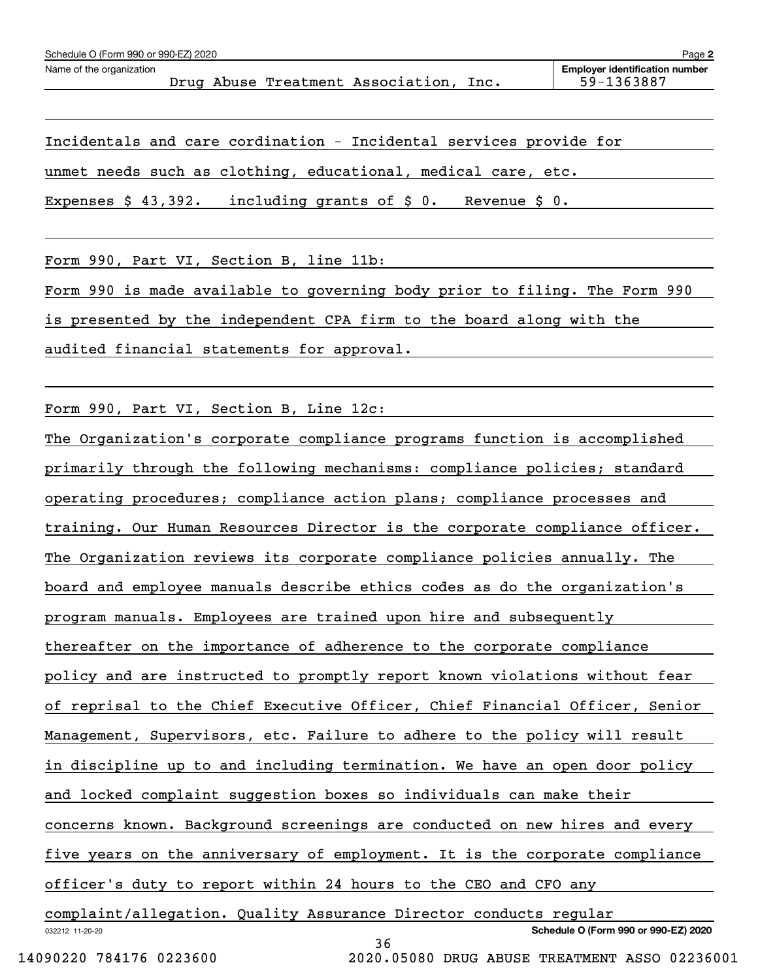Incidentals and care cordination - Incidental services provide for

unmet needs such as clothing, educational, medical care, etc.

Expenses \$ 43,392. including grants of \$ 0. Revenue \$ 0.

Form 990, Part VI, Section B, line 11b:

Form 990 is made available to governing body prior to filing. The Form 990

is presented by the independent CPA firm to the board along with the

audited financial statements for approval.

Form 990, Part VI, Section B, Line 12c:

032212 11-20-20 **Schedule O (Form 990 or 990-EZ) 2020** The Organization's corporate compliance programs function is accomplished primarily through the following mechanisms: compliance policies; standard operating procedures; compliance action plans; compliance processes and training. Our Human Resources Director is the corporate compliance officer. The Organization reviews its corporate compliance policies annually. The board and employee manuals describe ethics codes as do the organization's program manuals. Employees are trained upon hire and subsequently thereafter on the importance of adherence to the corporate compliance policy and are instructed to promptly report known violations without fear of reprisal to the Chief Executive Officer, Chief Financial Officer, Senior Management, Supervisors, etc. Failure to adhere to the policy will result in discipline up to and including termination. We have an open door policy and locked complaint suggestion boxes so individuals can make their concerns known. Background screenings are conducted on new hires and every five years on the anniversary of employment. It is the corporate compliance officer's duty to report within 24 hours to the CEO and CFO any complaint/allegation. Quality Assurance Director conducts regular

36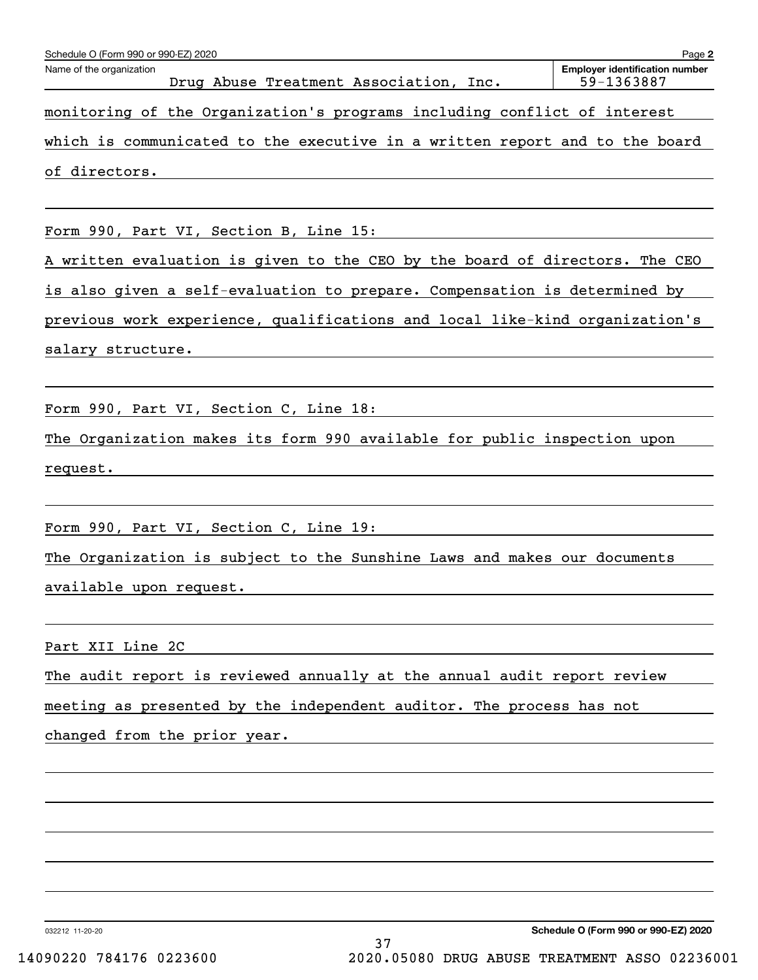| Schedule O (Form 990 or 990-EZ) 2020                                        | Page 2                                              |
|-----------------------------------------------------------------------------|-----------------------------------------------------|
| Name of the organization<br>Drug Abuse Treatment Association, Inc.          | <b>Employer identification number</b><br>59-1363887 |
| monitoring of the Organization's programs including conflict of interest    |                                                     |
| which is communicated to the executive in a written report and to the board |                                                     |
| of directors.                                                               |                                                     |
|                                                                             |                                                     |
| Form 990, Part VI, Section B, Line 15:                                      |                                                     |
| A written evaluation is given to the CEO by the board of directors. The CEO |                                                     |
| is also given a self-evaluation to prepare. Compensation is determined by   |                                                     |
| previous work experience, qualifications and local like-kind organization's |                                                     |
| salary structure.                                                           |                                                     |
|                                                                             |                                                     |
| Form 990, Part VI, Section C, Line 18:                                      |                                                     |
| The Organization makes its form 990 available for public inspection upon    |                                                     |
| request.                                                                    |                                                     |
|                                                                             |                                                     |
| Form 990, Part VI, Section C, Line 19:                                      |                                                     |
| The Organization is subject to the Sunshine Laws and makes our documents    |                                                     |
| available upon request.                                                     |                                                     |
|                                                                             |                                                     |
| Part XII Line 2C                                                            |                                                     |
| The audit report is reviewed annually at the annual audit report review     |                                                     |
| meeting as presented by the independent auditor. The process has not        |                                                     |
| changed from the prior year.                                                |                                                     |
|                                                                             |                                                     |
|                                                                             |                                                     |
|                                                                             |                                                     |

032212 11-20-20